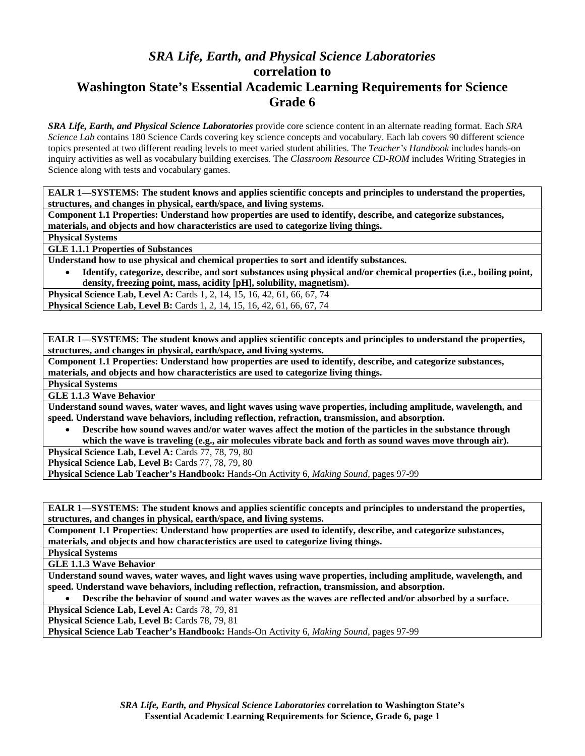# *SRA Life, Earth, and Physical Science Laboratories*  **correlation to Washington State's Essential Academic Learning Requirements for Science Grade 6**

*SRA Life, Earth, and Physical Science Laboratories* provide core science content in an alternate reading format. Each *SRA Science Lab* contains 180 Science Cards covering key science concepts and vocabulary. Each lab covers 90 different science topics presented at two different reading levels to meet varied student abilities. The *Teacher's Handbook* includes hands-on inquiry activities as well as vocabulary building exercises. The *Classroom Resource CD-ROM* includes Writing Strategies in Science along with tests and vocabulary games.

**EALR 1—SYSTEMS: The student knows and applies scientific concepts and principles to understand the properties, structures, and changes in physical, earth/space, and living systems.** 

**Component 1.1 Properties: Understand how properties are used to identify, describe, and categorize substances, materials, and objects and how characteristics are used to categorize living things.** 

**Physical Systems** 

**GLE 1.1.1 Properties of Substances** 

**Understand how to use physical and chemical properties to sort and identify substances.** 

• **Identify, categorize, describe, and sort substances using physical and/or chemical properties (i.e., boiling point, density, freezing point, mass, acidity [pH], solubility, magnetism).** 

**Physical Science Lab, Level A: Cards 1, 2, 14, 15, 16, 42, 61, 66, 67, 74 Physical Science Lab, Level B:** Cards 1, 2, 14, 15, 16, 42, 61, 66, 67, 74

**EALR 1—SYSTEMS: The student knows and applies scientific concepts and principles to understand the properties, structures, and changes in physical, earth/space, and living systems.** 

**Component 1.1 Properties: Understand how properties are used to identify, describe, and categorize substances, materials, and objects and how characteristics are used to categorize living things.** 

**Physical Systems** 

**GLE 1.1.3 Wave Behavior** 

**Understand sound waves, water waves, and light waves using wave properties, including amplitude, wavelength, and speed. Understand wave behaviors, including reflection, refraction, transmission, and absorption.** 

• **Describe how sound waves and/or water waves affect the motion of the particles in the substance through which the wave is traveling (e.g., air molecules vibrate back and forth as sound waves move through air).** 

**Physical Science Lab, Level A: Cards 77, 78, 79, 80** 

**Physical Science Lab, Level B:** Cards 77, 78, 79, 80

**Physical Science Lab Teacher's Handbook:** Hands-On Activity 6, *Making Sound,* pages 97-99

**EALR 1—SYSTEMS: The student knows and applies scientific concepts and principles to understand the properties, structures, and changes in physical, earth/space, and living systems.** 

**Component 1.1 Properties: Understand how properties are used to identify, describe, and categorize substances, materials, and objects and how characteristics are used to categorize living things.** 

**Physical Systems** 

**GLE 1.1.3 Wave Behavior** 

**Understand sound waves, water waves, and light waves using wave properties, including amplitude, wavelength, and speed. Understand wave behaviors, including reflection, refraction, transmission, and absorption.** 

• **Describe the behavior of sound and water waves as the waves are reflected and/or absorbed by a surface.** 

Physical Science Lab, Level A: Cards 78, 79, 81

Physical Science Lab, Level B: Cards 78, 79, 81

**Physical Science Lab Teacher's Handbook:** Hands-On Activity 6, *Making Sound,* pages 97-99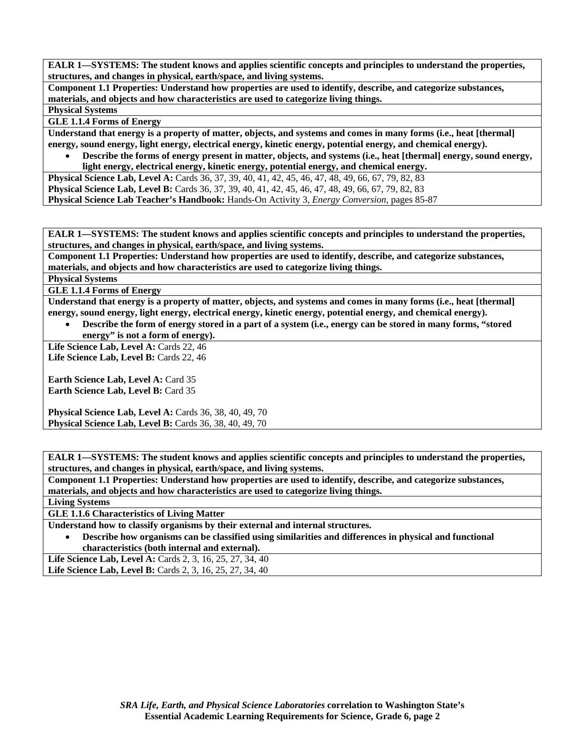**Component 1.1 Properties: Understand how properties are used to identify, describe, and categorize substances, materials, and objects and how characteristics are used to categorize living things.** 

**Physical Systems** 

**GLE 1.1.4 Forms of Energy** 

**Understand that energy is a property of matter, objects, and systems and comes in many forms (i.e., heat [thermal] energy, sound energy, light energy, electrical energy, kinetic energy, potential energy, and chemical energy).** 

• **Describe the forms of energy present in matter, objects, and systems (i.e., heat [thermal] energy, sound energy, light energy, electrical energy, kinetic energy, potential energy, and chemical energy.** 

**Physical Science Lab, Level A:** Cards 36, 37, 39, 40, 41, 42, 45, 46, 47, 48, 49, 66, 67, 79, 82, 83

**Physical Science Lab, Level B:** Cards 36, 37, 39, 40, 41, 42, 45, 46, 47, 48, 49, 66, 67, 79, 82, 83

**Physical Science Lab Teacher's Handbook:** Hands-On Activity 3, *Energy Conversion,* pages 85-87

**EALR 1—SYSTEMS: The student knows and applies scientific concepts and principles to understand the properties, structures, and changes in physical, earth/space, and living systems.** 

**Component 1.1 Properties: Understand how properties are used to identify, describe, and categorize substances, materials, and objects and how characteristics are used to categorize living things.** 

**Physical Systems** 

**GLE 1.1.4 Forms of Energy** 

**Understand that energy is a property of matter, objects, and systems and comes in many forms (i.e., heat [thermal] energy, sound energy, light energy, electrical energy, kinetic energy, potential energy, and chemical energy).** 

• **Describe the form of energy stored in a part of a system (i.e., energy can be stored in many forms, "stored energy" is not a form of energy).** 

Life Science Lab, Level A: Cards 22, 46 Life Science Lab, Level B: Cards 22, 46

**Earth Science Lab, Level A: Card 35 Earth Science Lab, Level B: Card 35** 

**Physical Science Lab, Level A: Cards 36, 38, 40, 49, 70 Physical Science Lab, Level B:** Cards 36, 38, 40, 49, 70

**EALR 1—SYSTEMS: The student knows and applies scientific concepts and principles to understand the properties, structures, and changes in physical, earth/space, and living systems.** 

**Component 1.1 Properties: Understand how properties are used to identify, describe, and categorize substances, materials, and objects and how characteristics are used to categorize living things.** 

**Living Systems** 

**GLE 1.1.6 Characteristics of Living Matter** 

**Understand how to classify organisms by their external and internal structures.** 

• **Describe how organisms can be classified using similarities and differences in physical and functional characteristics (both internal and external).** 

**Life Science Lab, Level A: Cards 2, 3, 16, 25, 27, 34, 40** Life Science Lab, Level B: Cards 2, 3, 16, 25, 27, 34, 40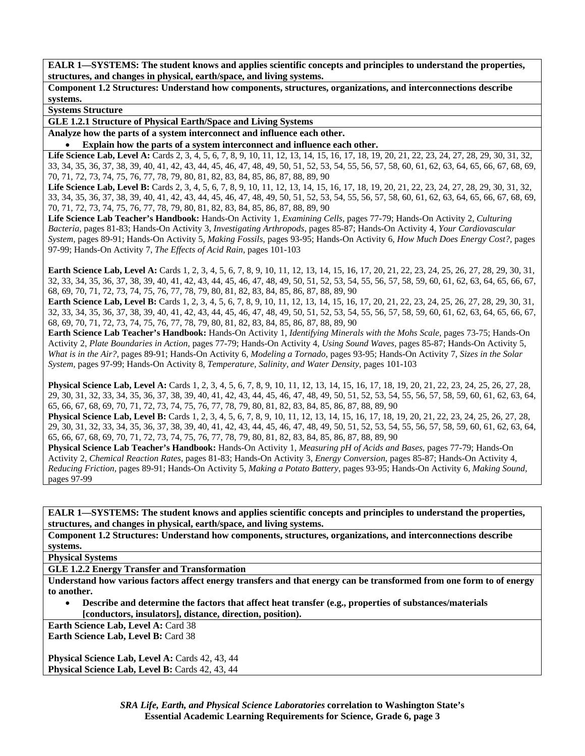**Component 1.2 Structures: Understand how components, structures, organizations, and interconnections describe systems.** 

**Systems Structure** 

**GLE 1.2.1 Structure of Physical Earth/Space and Living Systems** 

**Analyze how the parts of a system interconnect and influence each other.** 

• **Explain how the parts of a system interconnect and influence each other.** 

Life Science Lab, Level A: Cards 2, 3, 4, 5, 6, 7, 8, 9, 10, 11, 12, 13, 14, 15, 16, 17, 18, 19, 20, 21, 22, 23, 24, 27, 28, 29, 30, 31, 32, 33, 34, 35, 36, 37, 38, 39, 40, 41, 42, 43, 44, 45, 46, 47, 48, 49, 50, 51, 52, 53, 54, 55, 56, 57, 58, 60, 61, 62, 63, 64, 65, 66, 67, 68, 69, 70, 71, 72, 73, 74, 75, 76, 77, 78, 79, 80, 81, 82, 83, 84, 85, 86, 87, 88, 89, 90

Life Science Lab, Level B: Cards 2, 3, 4, 5, 6, 7, 8, 9, 10, 11, 12, 13, 14, 15, 16, 17, 18, 19, 20, 21, 22, 23, 24, 27, 28, 29, 30, 31, 32, 33, 34, 35, 36, 37, 38, 39, 40, 41, 42, 43, 44, 45, 46, 47, 48, 49, 50, 51, 52, 53, 54, 55, 56, 57, 58, 60, 61, 62, 63, 64, 65, 66, 67, 68, 69, 70, 71, 72, 73, 74, 75, 76, 77, 78, 79, 80, 81, 82, 83, 84, 85, 86, 87, 88, 89, 90

**Life Science Lab Teacher's Handbook:** Hands-On Activity 1, *Examining Cells,* pages 77-79; Hands-On Activity 2, *Culturing Bacteria,* pages 81-83; Hands-On Activity 3, *Investigating Arthropods,* pages 85-87; Hands-On Activity 4, *Your Cardiovascular System,* pages 89-91; Hands-On Activity 5, *Making Fossils,* pages 93-95; Hands-On Activity 6, *How Much Does Energy Cost?,* pages 97-99; Hands-On Activity 7, *The Effects of Acid Rain,* pages 101-103

**Earth Science Lab, Level A:** Cards 1, 2, 3, 4, 5, 6, 7, 8, 9, 10, 11, 12, 13, 14, 15, 16, 17, 20, 21, 22, 23, 24, 25, 26, 27, 28, 29, 30, 31, 32, 33, 34, 35, 36, 37, 38, 39, 40, 41, 42, 43, 44, 45, 46, 47, 48, 49, 50, 51, 52, 53, 54, 55, 56, 57, 58, 59, 60, 61, 62, 63, 64, 65, 66, 67, 68, 69, 70, 71, 72, 73, 74, 75, 76, 77, 78, 79, 80, 81, 82, 83, 84, 85, 86, 87, 88, 89, 90

**Earth Science Lab, Level B:** Cards 1, 2, 3, 4, 5, 6, 7, 8, 9, 10, 11, 12, 13, 14, 15, 16, 17, 20, 21, 22, 23, 24, 25, 26, 27, 28, 29, 30, 31, 32, 33, 34, 35, 36, 37, 38, 39, 40, 41, 42, 43, 44, 45, 46, 47, 48, 49, 50, 51, 52, 53, 54, 55, 56, 57, 58, 59, 60, 61, 62, 63, 64, 65, 66, 67, 68, 69, 70, 71, 72, 73, 74, 75, 76, 77, 78, 79, 80, 81, 82, 83, 84, 85, 86, 87, 88, 89, 90

**Earth Science Lab Teacher's Handbook:** Hands-On Activity 1, *Identifying Minerals with the Mohs Scale,* pages 73-75; Hands-On Activity 2, *Plate Boundaries in Action,* pages 77-79; Hands-On Activity 4, *Using Sound Waves,* pages 85-87; Hands-On Activity 5, *What is in the Air?,* pages 89-91; Hands-On Activity 6, *Modeling a Tornado,* pages 93-95; Hands-On Activity 7, *Sizes in the Solar System,* pages 97-99; Hands-On Activity 8, *Temperature, Salinity, and Water Density,* pages 101-103

**Physical Science Lab, Level A:** Cards 1, 2, 3, 4, 5, 6, 7, 8, 9, 10, 11, 12, 13, 14, 15, 16, 17, 18, 19, 20, 21, 22, 23, 24, 25, 26, 27, 28, 29, 30, 31, 32, 33, 34, 35, 36, 37, 38, 39, 40, 41, 42, 43, 44, 45, 46, 47, 48, 49, 50, 51, 52, 53, 54, 55, 56, 57, 58, 59, 60, 61, 62, 63, 64, 65, 66, 67, 68, 69, 70, 71, 72, 73, 74, 75, 76, 77, 78, 79, 80, 81, 82, 83, 84, 85, 86, 87, 88, 89, 90

**Physical Science Lab, Level B:** Cards 1, 2, 3, 4, 5, 6, 7, 8, 9, 10, 11, 12, 13, 14, 15, 16, 17, 18, 19, 20, 21, 22, 23, 24, 25, 26, 27, 28, 29, 30, 31, 32, 33, 34, 35, 36, 37, 38, 39, 40, 41, 42, 43, 44, 45, 46, 47, 48, 49, 50, 51, 52, 53, 54, 55, 56, 57, 58, 59, 60, 61, 62, 63, 64, 65, 66, 67, 68, 69, 70, 71, 72, 73, 74, 75, 76, 77, 78, 79, 80, 81, 82, 83, 84, 85, 86, 87, 88, 89, 90

**Physical Science Lab Teacher's Handbook:** Hands-On Activity 1, *Measuring pH of Acids and Bases,* pages 77-79; Hands-On Activity 2, *Chemical Reaction Rates,* pages 81-83; Hands-On Activity 3, *Energy Conversion,* pages 85-87; Hands-On Activity 4, *Reducing Friction,* pages 89-91; Hands-On Activity 5, *Making a Potato Battery,* pages 93-95; Hands-On Activity 6, *Making Sound,* pages 97-99

**EALR 1—SYSTEMS: The student knows and applies scientific concepts and principles to understand the properties, structures, and changes in physical, earth/space, and living systems.** 

**Component 1.2 Structures: Understand how components, structures, organizations, and interconnections describe systems.** 

**Physical Systems** 

**GLE 1.2.2 Energy Transfer and Transformation** 

**Understand how various factors affect energy transfers and that energy can be transformed from one form to of energy to another.** 

• **Describe and determine the factors that affect heat transfer (e.g., properties of substances/materials [conductors, insulators], distance, direction, position).** 

**Earth Science Lab, Level A: Card 38** 

**Earth Science Lab, Level B: Card 38** 

**Physical Science Lab, Level A: Cards 42, 43, 44 Physical Science Lab, Level B: Cards 42, 43, 44**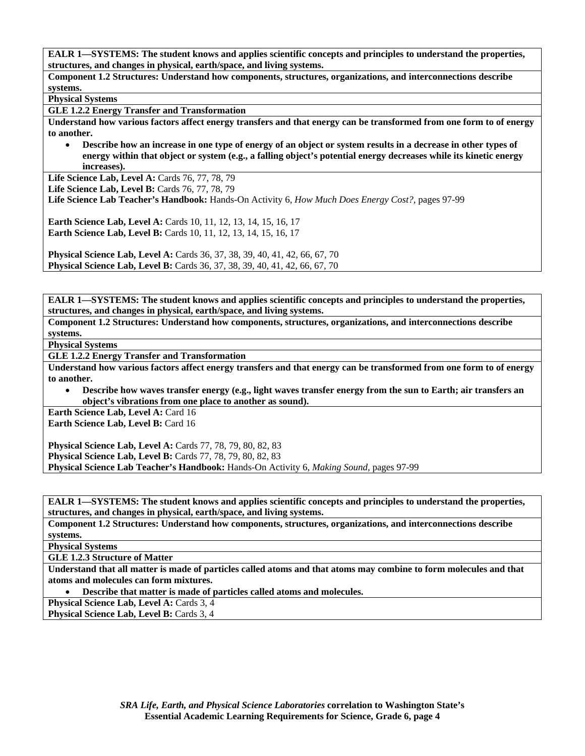**Component 1.2 Structures: Understand how components, structures, organizations, and interconnections describe systems.** 

**Physical Systems** 

**GLE 1.2.2 Energy Transfer and Transformation** 

**Understand how various factors affect energy transfers and that energy can be transformed from one form to of energy to another.** 

• **Describe how an increase in one type of energy of an object or system results in a decrease in other types of energy within that object or system (e.g., a falling object's potential energy decreases while its kinetic energy increases).** 

Life Science Lab, Level A: Cards 76, 77, 78, 79

**Life Science Lab, Level B: Cards 76, 77, 78, 79** 

**Life Science Lab Teacher's Handbook:** Hands-On Activity 6, *How Much Does Energy Cost?,* pages 97-99

**Earth Science Lab, Level A: Cards 10, 11, 12, 13, 14, 15, 16, 17 Earth Science Lab, Level B:** Cards 10, 11, 12, 13, 14, 15, 16, 17

**Physical Science Lab, Level A: Cards 36, 37, 38, 39, 40, 41, 42, 66, 67, 70 Physical Science Lab, Level B:** Cards 36, 37, 38, 39, 40, 41, 42, 66, 67, 70

**EALR 1—SYSTEMS: The student knows and applies scientific concepts and principles to understand the properties, structures, and changes in physical, earth/space, and living systems.** 

**Component 1.2 Structures: Understand how components, structures, organizations, and interconnections describe systems.** 

**Physical Systems** 

**GLE 1.2.2 Energy Transfer and Transformation** 

**Understand how various factors affect energy transfers and that energy can be transformed from one form to of energy to another.** 

• **Describe how waves transfer energy (e.g., light waves transfer energy from the sun to Earth; air transfers an object's vibrations from one place to another as sound).** 

**Earth Science Lab, Level A: Card 16 Earth Science Lab, Level B: Card 16** 

**Physical Science Lab, Level A:** Cards 77, 78, 79, 80, 82, 83 **Physical Science Lab, Level B:** Cards 77, 78, 79, 80, 82, 83 **Physical Science Lab Teacher's Handbook:** Hands-On Activity 6, *Making Sound,* pages 97-99

**EALR 1—SYSTEMS: The student knows and applies scientific concepts and principles to understand the properties, structures, and changes in physical, earth/space, and living systems.** 

**Component 1.2 Structures: Understand how components, structures, organizations, and interconnections describe systems.** 

**Physical Systems** 

**GLE 1.2.3 Structure of Matter** 

**Understand that all matter is made of particles called atoms and that atoms may combine to form molecules and that atoms and molecules can form mixtures.** 

• **Describe that matter is made of particles called atoms and molecules.** 

**Physical Science Lab, Level A: Cards 3, 4** 

**Physical Science Lab, Level B: Cards 3, 4**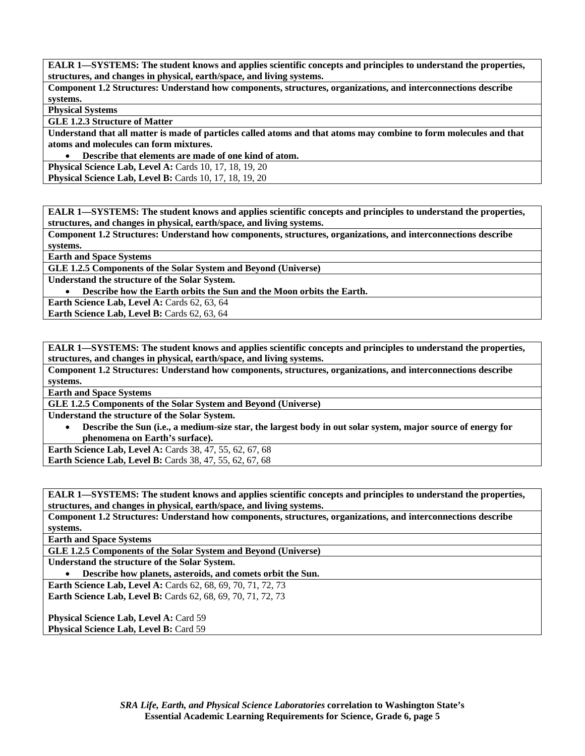**Component 1.2 Structures: Understand how components, structures, organizations, and interconnections describe systems.** 

**Physical Systems** 

**GLE 1.2.3 Structure of Matter** 

**Understand that all matter is made of particles called atoms and that atoms may combine to form molecules and that atoms and molecules can form mixtures.** 

• **Describe that elements are made of one kind of atom.** 

**Physical Science Lab, Level A: Cards 10, 17, 18, 19, 20 Physical Science Lab, Level B:** Cards 10, 17, 18, 19, 20

**EALR 1—SYSTEMS: The student knows and applies scientific concepts and principles to understand the properties, structures, and changes in physical, earth/space, and living systems.** 

**Component 1.2 Structures: Understand how components, structures, organizations, and interconnections describe systems.** 

**Earth and Space Systems** 

**GLE 1.2.5 Components of the Solar System and Beyond (Universe)** 

**Understand the structure of the Solar System.** 

• **Describe how the Earth orbits the Sun and the Moon orbits the Earth.** 

**Earth Science Lab, Level A: Cards 62, 63, 64** 

Earth Science Lab, Level B: Cards 62, 63, 64

**EALR 1—SYSTEMS: The student knows and applies scientific concepts and principles to understand the properties, structures, and changes in physical, earth/space, and living systems.** 

**Component 1.2 Structures: Understand how components, structures, organizations, and interconnections describe systems.** 

**Earth and Space Systems** 

**GLE 1.2.5 Components of the Solar System and Beyond (Universe)** 

**Understand the structure of the Solar System.** 

• **Describe the Sun (i.e., a medium-size star, the largest body in out solar system, major source of energy for phenomena on Earth's surface).** 

**Earth Science Lab, Level A:** Cards 38, 47, 55, 62, 67, 68 **Earth Science Lab, Level B:** Cards 38, 47, 55, 62, 67, 68

**EALR 1—SYSTEMS: The student knows and applies scientific concepts and principles to understand the properties, structures, and changes in physical, earth/space, and living systems.** 

**Component 1.2 Structures: Understand how components, structures, organizations, and interconnections describe systems.** 

**Earth and Space Systems** 

**GLE 1.2.5 Components of the Solar System and Beyond (Universe)** 

**Understand the structure of the Solar System.** 

• **Describe how planets, asteroids, and comets orbit the Sun.** 

**Earth Science Lab, Level A: Cards 62, 68, 69, 70, 71, 72, 73 Earth Science Lab, Level B:** Cards 62, 68, 69, 70, 71, 72, 73

**Physical Science Lab, Level A: Card 59** Physical Science Lab, Level B: Card 59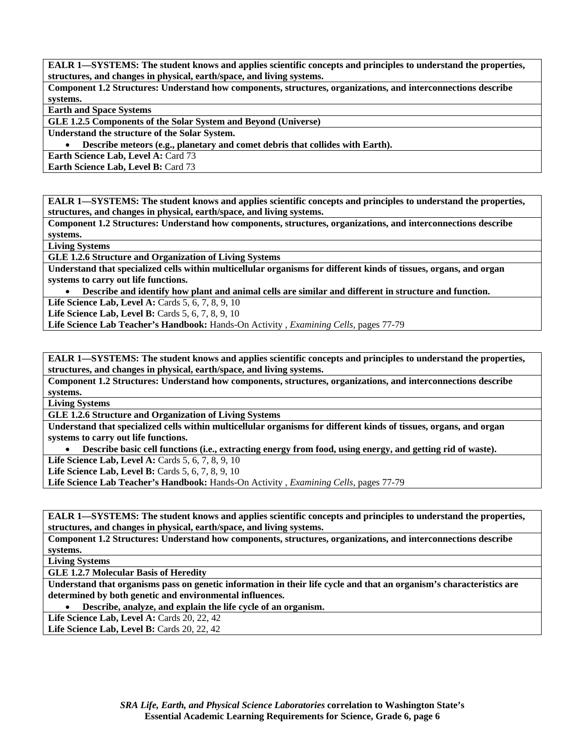**Component 1.2 Structures: Understand how components, structures, organizations, and interconnections describe systems.** 

**Earth and Space Systems** 

**GLE 1.2.5 Components of the Solar System and Beyond (Universe)** 

**Understand the structure of the Solar System.** 

• **Describe meteors (e.g., planetary and comet debris that collides with Earth).** 

**Earth Science Lab, Level A: Card 73** 

**Earth Science Lab, Level B: Card 73** 

**EALR 1—SYSTEMS: The student knows and applies scientific concepts and principles to understand the properties, structures, and changes in physical, earth/space, and living systems.** 

**Component 1.2 Structures: Understand how components, structures, organizations, and interconnections describe systems.** 

**Living Systems** 

**GLE 1.2.6 Structure and Organization of Living Systems** 

**Understand that specialized cells within multicellular organisms for different kinds of tissues, organs, and organ systems to carry out life functions.** 

• **Describe and identify how plant and animal cells are similar and different in structure and function.** 

**Life Science Lab, Level A: Cards 5, 6, 7, 8, 9, 10** 

**Life Science Lab, Level B:** Cards 5, 6, 7, 8, 9, 10

**Life Science Lab Teacher's Handbook:** Hands-On Activity , *Examining Cells,* pages 77-79

**EALR 1—SYSTEMS: The student knows and applies scientific concepts and principles to understand the properties, structures, and changes in physical, earth/space, and living systems.** 

**Component 1.2 Structures: Understand how components, structures, organizations, and interconnections describe systems.** 

**Living Systems** 

**GLE 1.2.6 Structure and Organization of Living Systems** 

**Understand that specialized cells within multicellular organisms for different kinds of tissues, organs, and organ systems to carry out life functions.** 

• **Describe basic cell functions (i.e., extracting energy from food, using energy, and getting rid of waste).** 

**Life Science Lab, Level A: Cards 5, 6, 7, 8, 9, 10** 

**Life Science Lab, Level B:** Cards 5, 6, 7, 8, 9, 10

**Life Science Lab Teacher's Handbook:** Hands-On Activity , *Examining Cells,* pages 77-79

**EALR 1—SYSTEMS: The student knows and applies scientific concepts and principles to understand the properties, structures, and changes in physical, earth/space, and living systems.** 

**Component 1.2 Structures: Understand how components, structures, organizations, and interconnections describe systems.** 

**Living Systems** 

**GLE 1.2.7 Molecular Basis of Heredity** 

**Understand that organisms pass on genetic information in their life cycle and that an organism's characteristics are determined by both genetic and environmental influences.** 

• **Describe, analyze, and explain the life cycle of an organism.** 

**Life Science Lab, Level A: Cards 20, 22, 42** 

**Life Science Lab, Level B: Cards 20, 22, 42**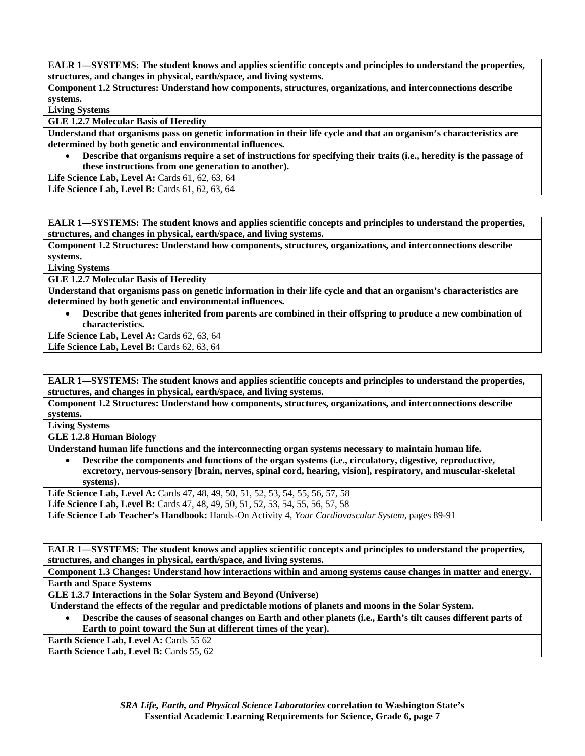**Component 1.2 Structures: Understand how components, structures, organizations, and interconnections describe systems.** 

**Living Systems** 

**GLE 1.2.7 Molecular Basis of Heredity** 

**Understand that organisms pass on genetic information in their life cycle and that an organism's characteristics are determined by both genetic and environmental influences.** 

• **Describe that organisms require a set of instructions for specifying their traits (i.e., heredity is the passage of these instructions from one generation to another).** 

Life Science Lab, Level A: Cards 61, 62, 63, 64

**Life Science Lab, Level B:** Cards 61, 62, 63, 64

**EALR 1—SYSTEMS: The student knows and applies scientific concepts and principles to understand the properties, structures, and changes in physical, earth/space, and living systems.** 

**Component 1.2 Structures: Understand how components, structures, organizations, and interconnections describe systems.** 

**Living Systems** 

**GLE 1.2.7 Molecular Basis of Heredity** 

**Understand that organisms pass on genetic information in their life cycle and that an organism's characteristics are determined by both genetic and environmental influences.** 

• **Describe that genes inherited from parents are combined in their offspring to produce a new combination of characteristics.** 

**Life Science Lab, Level A:** Cards 62, 63, 64

Life Science Lab, Level B: Cards 62, 63, 64

**EALR 1—SYSTEMS: The student knows and applies scientific concepts and principles to understand the properties, structures, and changes in physical, earth/space, and living systems.** 

**Component 1.2 Structures: Understand how components, structures, organizations, and interconnections describe systems.** 

**Living Systems** 

**GLE 1.2.8 Human Biology** 

**Understand human life functions and the interconnecting organ systems necessary to maintain human life.** 

• **Describe the components and functions of the organ systems (i.e., circulatory, digestive, reproductive, excretory, nervous-sensory [brain, nerves, spinal cord, hearing, vision], respiratory, and muscular-skeletal systems).** 

Life Science Lab, Level A: Cards 47, 48, 49, 50, 51, 52, 53, 54, 55, 56, 57, 58 Life Science Lab, Level B: Cards 47, 48, 49, 50, 51, 52, 53, 54, 55, 56, 57, 58 **Life Science Lab Teacher's Handbook:** Hands-On Activity 4, *Your Cardiovascular System,* pages 89-91

**EALR 1—SYSTEMS: The student knows and applies scientific concepts and principles to understand the properties, structures, and changes in physical, earth/space, and living systems.** 

**Component 1.3 Changes: Understand how interactions within and among systems cause changes in matter and energy. Earth and Space Systems** 

**GLE 1.3.7 Interactions in the Solar System and Beyond (Universe)** 

 **Understand the effects of the regular and predictable motions of planets and moons in the Solar System.** 

• **Describe the causes of seasonal changes on Earth and other planets (i.e., Earth's tilt causes different parts of Earth to point toward the Sun at different times of the year).** 

**Earth Science Lab, Level A: Cards 55 62** 

Earth Science Lab, Level B: Cards 55, 62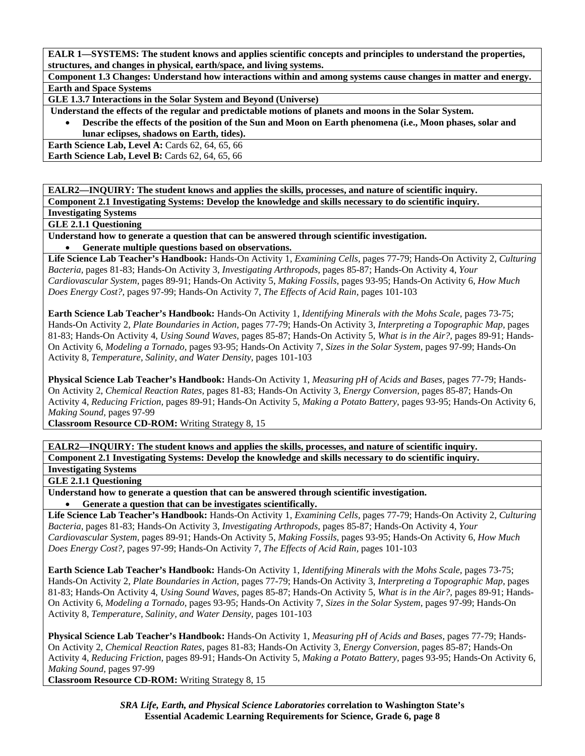**Component 1.3 Changes: Understand how interactions within and among systems cause changes in matter and energy. Earth and Space Systems** 

**GLE 1.3.7 Interactions in the Solar System and Beyond (Universe)** 

 **Understand the effects of the regular and predictable motions of planets and moons in the Solar System.** 

• **Describe the effects of the position of the Sun and Moon on Earth phenomena (i.e., Moon phases, solar and lunar eclipses, shadows on Earth, tides).** 

**Earth Science Lab, Level A: Cards 62, 64, 65, 66 Earth Science Lab, Level B: Cards 62, 64, 65, 66** 

**EALR2—INQUIRY: The student knows and applies the skills, processes, and nature of scientific inquiry.** 

**Component 2.1 Investigating Systems: Develop the knowledge and skills necessary to do scientific inquiry.** 

**Investigating Systems GLE 2.1.1 Questioning** 

**Understand how to generate a question that can be answered through scientific investigation.** 

• **Generate multiple questions based on observations.** 

**Life Science Lab Teacher's Handbook:** Hands-On Activity 1, *Examining Cells,* pages 77-79; Hands-On Activity 2, *Culturing Bacteria,* pages 81-83; Hands-On Activity 3, *Investigating Arthropods,* pages 85-87; Hands-On Activity 4, *Your Cardiovascular System,* pages 89-91; Hands-On Activity 5, *Making Fossils,* pages 93-95; Hands-On Activity 6, *How Much Does Energy Cost?,* pages 97-99; Hands-On Activity 7, *The Effects of Acid Rain,* pages 101-103

**Earth Science Lab Teacher's Handbook:** Hands-On Activity 1, *Identifying Minerals with the Mohs Scale,* pages 73-75; Hands-On Activity 2, *Plate Boundaries in Action,* pages 77-79; Hands-On Activity 3, *Interpreting a Topographic Map,* pages 81-83; Hands-On Activity 4, *Using Sound Waves,* pages 85-87; Hands-On Activity 5, *What is in the Air?,* pages 89-91; Hands-On Activity 6, *Modeling a Tornado,* pages 93-95; Hands-On Activity 7, *Sizes in the Solar System,* pages 97-99; Hands-On Activity 8, *Temperature, Salinity, and Water Density,* pages 101-103

**Physical Science Lab Teacher's Handbook:** Hands-On Activity 1, *Measuring pH of Acids and Bases,* pages 77-79; Hands-On Activity 2, *Chemical Reaction Rates,* pages 81-83; Hands-On Activity 3, *Energy Conversion,* pages 85-87; Hands-On Activity 4, *Reducing Friction,* pages 89-91; Hands-On Activity 5, *Making a Potato Battery,* pages 93-95; Hands-On Activity 6, *Making Sound,* pages 97-99

**Classroom Resource CD-ROM:** Writing Strategy 8, 15

**EALR2—INQUIRY: The student knows and applies the skills, processes, and nature of scientific inquiry. Component 2.1 Investigating Systems: Develop the knowledge and skills necessary to do scientific inquiry.** 

**Investigating Systems** 

#### **GLE 2.1.1 Questioning**

**Understand how to generate a question that can be answered through scientific investigation.**  • **Generate a question that can be investigates scientifically.** 

**Life Science Lab Teacher's Handbook:** Hands-On Activity 1, *Examining Cells,* pages 77-79; Hands-On Activity 2, *Culturing Bacteria,* pages 81-83; Hands-On Activity 3, *Investigating Arthropods,* pages 85-87; Hands-On Activity 4, *Your Cardiovascular System,* pages 89-91; Hands-On Activity 5, *Making Fossils,* pages 93-95; Hands-On Activity 6, *How Much Does Energy Cost?,* pages 97-99; Hands-On Activity 7, *The Effects of Acid Rain,* pages 101-103

**Earth Science Lab Teacher's Handbook:** Hands-On Activity 1, *Identifying Minerals with the Mohs Scale,* pages 73-75; Hands-On Activity 2, *Plate Boundaries in Action,* pages 77-79; Hands-On Activity 3, *Interpreting a Topographic Map,* pages 81-83; Hands-On Activity 4, *Using Sound Waves,* pages 85-87; Hands-On Activity 5, *What is in the Air?,* pages 89-91; Hands-On Activity 6, *Modeling a Tornado,* pages 93-95; Hands-On Activity 7, *Sizes in the Solar System,* pages 97-99; Hands-On Activity 8, *Temperature, Salinity, and Water Density,* pages 101-103

**Physical Science Lab Teacher's Handbook:** Hands-On Activity 1, *Measuring pH of Acids and Bases,* pages 77-79; Hands-On Activity 2, *Chemical Reaction Rates,* pages 81-83; Hands-On Activity 3, *Energy Conversion,* pages 85-87; Hands-On Activity 4, *Reducing Friction,* pages 89-91; Hands-On Activity 5, *Making a Potato Battery,* pages 93-95; Hands-On Activity 6, *Making Sound,* pages 97-99

**Classroom Resource CD-ROM:** Writing Strategy 8, 15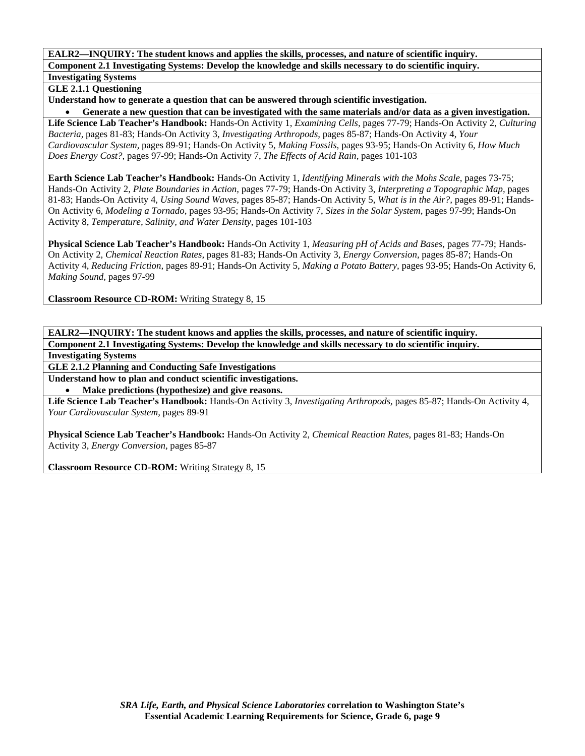**GLE 2.1.1 Questioning** 

**Understand how to generate a question that can be answered through scientific investigation.** 

• **Generate a new question that can be investigated with the same materials and/or data as a given investigation. Life Science Lab Teacher's Handbook:** Hands-On Activity 1, *Examining Cells,* pages 77-79; Hands-On Activity 2, *Culturing Bacteria,* pages 81-83; Hands-On Activity 3, *Investigating Arthropods,* pages 85-87; Hands-On Activity 4, *Your Cardiovascular System,* pages 89-91; Hands-On Activity 5, *Making Fossils,* pages 93-95; Hands-On Activity 6, *How Much Does Energy Cost?,* pages 97-99; Hands-On Activity 7, *The Effects of Acid Rain,* pages 101-103

**Earth Science Lab Teacher's Handbook:** Hands-On Activity 1, *Identifying Minerals with the Mohs Scale,* pages 73-75; Hands-On Activity 2, *Plate Boundaries in Action,* pages 77-79; Hands-On Activity 3, *Interpreting a Topographic Map,* pages 81-83; Hands-On Activity 4, *Using Sound Waves,* pages 85-87; Hands-On Activity 5, *What is in the Air?,* pages 89-91; Hands-On Activity 6, *Modeling a Tornado,* pages 93-95; Hands-On Activity 7, *Sizes in the Solar System,* pages 97-99; Hands-On Activity 8, *Temperature, Salinity, and Water Density,* pages 101-103

**Physical Science Lab Teacher's Handbook:** Hands-On Activity 1, *Measuring pH of Acids and Bases,* pages 77-79; Hands-On Activity 2, *Chemical Reaction Rates,* pages 81-83; Hands-On Activity 3, *Energy Conversion,* pages 85-87; Hands-On Activity 4, *Reducing Friction,* pages 89-91; Hands-On Activity 5, *Making a Potato Battery,* pages 93-95; Hands-On Activity 6, *Making Sound,* pages 97-99

**Classroom Resource CD-ROM:** Writing Strategy 8, 15

**EALR2—INQUIRY: The student knows and applies the skills, processes, and nature of scientific inquiry. Component 2.1 Investigating Systems: Develop the knowledge and skills necessary to do scientific inquiry.** 

**Investigating Systems** 

**GLE 2.1.2 Planning and Conducting Safe Investigations** 

**Understand how to plan and conduct scientific investigations.** 

• **Make predictions (hypothesize) and give reasons.** 

**Life Science Lab Teacher's Handbook:** Hands-On Activity 3, *Investigating Arthropods,* pages 85-87; Hands-On Activity 4, *Your Cardiovascular System,* pages 89-91

**Physical Science Lab Teacher's Handbook:** Hands-On Activity 2, *Chemical Reaction Rates,* pages 81-83; Hands-On Activity 3, *Energy Conversion,* pages 85-87

**Classroom Resource CD-ROM:** Writing Strategy 8, 15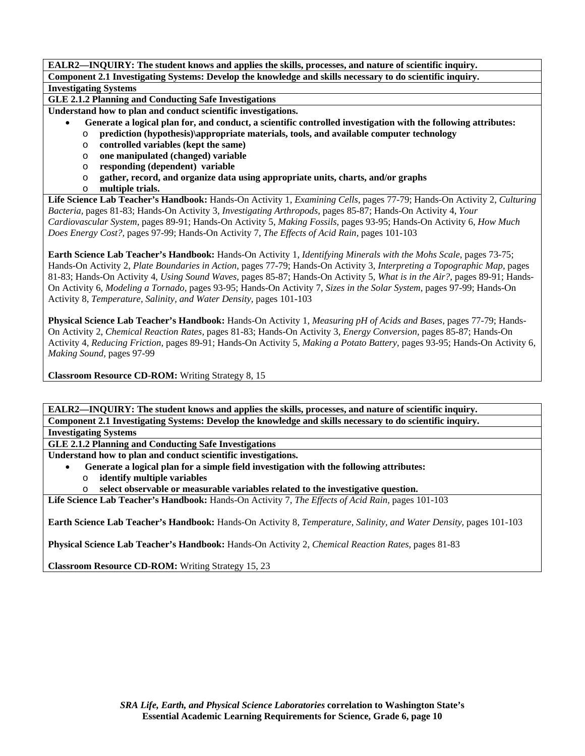**GLE 2.1.2 Planning and Conducting Safe Investigations** 

**Understand how to plan and conduct scientific investigations.** 

- • **Generate a logical plan for, and conduct, a scientific controlled investigation with the following attributes:**
- o **prediction (hypothesis)\appropriate materials, tools, and available computer technology**
- o **controlled variables (kept the same)**
- o **one manipulated (changed) variable**
- o **responding (dependent) variable**
- o **gather, record, and organize data using appropriate units, charts, and/or graphs**
- o **multiple trials.**

**Life Science Lab Teacher's Handbook:** Hands-On Activity 1, *Examining Cells,* pages 77-79; Hands-On Activity 2, *Culturing Bacteria,* pages 81-83; Hands-On Activity 3, *Investigating Arthropods,* pages 85-87; Hands-On Activity 4, *Your Cardiovascular System,* pages 89-91; Hands-On Activity 5, *Making Fossils,* pages 93-95; Hands-On Activity 6, *How Much Does Energy Cost?,* pages 97-99; Hands-On Activity 7, *The Effects of Acid Rain,* pages 101-103

**Earth Science Lab Teacher's Handbook:** Hands-On Activity 1, *Identifying Minerals with the Mohs Scale,* pages 73-75; Hands-On Activity 2, *Plate Boundaries in Action,* pages 77-79; Hands-On Activity 3, *Interpreting a Topographic Map,* pages 81-83; Hands-On Activity 4, *Using Sound Waves,* pages 85-87; Hands-On Activity 5, *What is in the Air?,* pages 89-91; Hands-On Activity 6, *Modeling a Tornado,* pages 93-95; Hands-On Activity 7, *Sizes in the Solar System,* pages 97-99; Hands-On Activity 8, *Temperature, Salinity, and Water Density,* pages 101-103

**Physical Science Lab Teacher's Handbook:** Hands-On Activity 1, *Measuring pH of Acids and Bases,* pages 77-79; Hands-On Activity 2, *Chemical Reaction Rates,* pages 81-83; Hands-On Activity 3, *Energy Conversion,* pages 85-87; Hands-On Activity 4, *Reducing Friction,* pages 89-91; Hands-On Activity 5, *Making a Potato Battery,* pages 93-95; Hands-On Activity 6, *Making Sound,* pages 97-99

**Classroom Resource CD-ROM:** Writing Strategy 8, 15

**EALR2—INQUIRY: The student knows and applies the skills, processes, and nature of scientific inquiry.** 

**Component 2.1 Investigating Systems: Develop the knowledge and skills necessary to do scientific inquiry. Investigating Systems** 

**GLE 2.1.2 Planning and Conducting Safe Investigations** 

**Understand how to plan and conduct scientific investigations.** 

- • **Generate a logical plan for a simple field investigation with the following attributes:** 
	- o **identify multiple variables**

o **select observable or measurable variables related to the investigative question.** 

**Life Science Lab Teacher's Handbook:** Hands-On Activity 7, *The Effects of Acid Rain,* pages 101-103

**Earth Science Lab Teacher's Handbook:** Hands-On Activity 8, *Temperature, Salinity, and Water Density,* pages 101-103

**Physical Science Lab Teacher's Handbook:** Hands-On Activity 2, *Chemical Reaction Rates,* pages 81-83

**Classroom Resource CD-ROM:** Writing Strategy 15, 23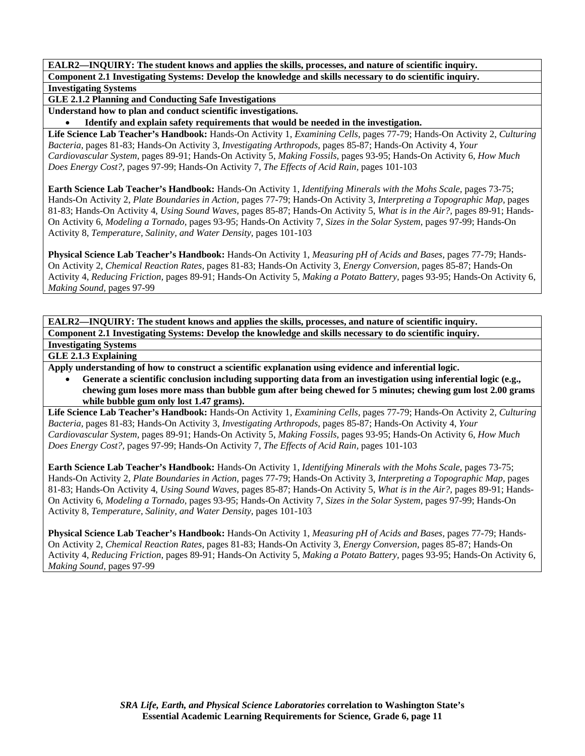**GLE 2.1.2 Planning and Conducting Safe Investigations** 

**Understand how to plan and conduct scientific investigations.** 

• **Identify and explain safety requirements that would be needed in the investigation.** 

**Life Science Lab Teacher's Handbook:** Hands-On Activity 1, *Examining Cells,* pages 77-79; Hands-On Activity 2, *Culturing Bacteria,* pages 81-83; Hands-On Activity 3, *Investigating Arthropods,* pages 85-87; Hands-On Activity 4, *Your Cardiovascular System,* pages 89-91; Hands-On Activity 5, *Making Fossils,* pages 93-95; Hands-On Activity 6, *How Much Does Energy Cost?,* pages 97-99; Hands-On Activity 7, *The Effects of Acid Rain,* pages 101-103

**Earth Science Lab Teacher's Handbook:** Hands-On Activity 1, *Identifying Minerals with the Mohs Scale,* pages 73-75; Hands-On Activity 2, *Plate Boundaries in Action,* pages 77-79; Hands-On Activity 3, *Interpreting a Topographic Map,* pages 81-83; Hands-On Activity 4, *Using Sound Waves,* pages 85-87; Hands-On Activity 5, *What is in the Air?,* pages 89-91; Hands-On Activity 6, *Modeling a Tornado,* pages 93-95; Hands-On Activity 7, *Sizes in the Solar System,* pages 97-99; Hands-On Activity 8, *Temperature, Salinity, and Water Density,* pages 101-103

**Physical Science Lab Teacher's Handbook:** Hands-On Activity 1, *Measuring pH of Acids and Bases,* pages 77-79; Hands-On Activity 2, *Chemical Reaction Rates,* pages 81-83; Hands-On Activity 3, *Energy Conversion,* pages 85-87; Hands-On Activity 4, *Reducing Friction,* pages 89-91; Hands-On Activity 5, *Making a Potato Battery,* pages 93-95; Hands-On Activity 6, *Making Sound,* pages 97-99

**EALR2—INQUIRY: The student knows and applies the skills, processes, and nature of scientific inquiry. Component 2.1 Investigating Systems: Develop the knowledge and skills necessary to do scientific inquiry. Investigating Systems** 

**GLE 2.1.3 Explaining** 

**Apply understanding of how to construct a scientific explanation using evidence and inferential logic.** 

• **Generate a scientific conclusion including supporting data from an investigation using inferential logic (e.g., chewing gum loses more mass than bubble gum after being chewed for 5 minutes; chewing gum lost 2.00 grams while bubble gum only lost 1.47 grams).** 

**Life Science Lab Teacher's Handbook:** Hands-On Activity 1, *Examining Cells,* pages 77-79; Hands-On Activity 2, *Culturing Bacteria,* pages 81-83; Hands-On Activity 3, *Investigating Arthropods,* pages 85-87; Hands-On Activity 4, *Your Cardiovascular System,* pages 89-91; Hands-On Activity 5, *Making Fossils,* pages 93-95; Hands-On Activity 6, *How Much Does Energy Cost?,* pages 97-99; Hands-On Activity 7, *The Effects of Acid Rain,* pages 101-103

**Earth Science Lab Teacher's Handbook:** Hands-On Activity 1, *Identifying Minerals with the Mohs Scale,* pages 73-75; Hands-On Activity 2, *Plate Boundaries in Action,* pages 77-79; Hands-On Activity 3, *Interpreting a Topographic Map,* pages 81-83; Hands-On Activity 4, *Using Sound Waves,* pages 85-87; Hands-On Activity 5, *What is in the Air?,* pages 89-91; Hands-On Activity 6, *Modeling a Tornado,* pages 93-95; Hands-On Activity 7, *Sizes in the Solar System,* pages 97-99; Hands-On Activity 8, *Temperature, Salinity, and Water Density,* pages 101-103

**Physical Science Lab Teacher's Handbook:** Hands-On Activity 1, *Measuring pH of Acids and Bases,* pages 77-79; Hands-On Activity 2, *Chemical Reaction Rates,* pages 81-83; Hands-On Activity 3, *Energy Conversion,* pages 85-87; Hands-On Activity 4, *Reducing Friction,* pages 89-91; Hands-On Activity 5, *Making a Potato Battery,* pages 93-95; Hands-On Activity 6, *Making Sound,* pages 97-99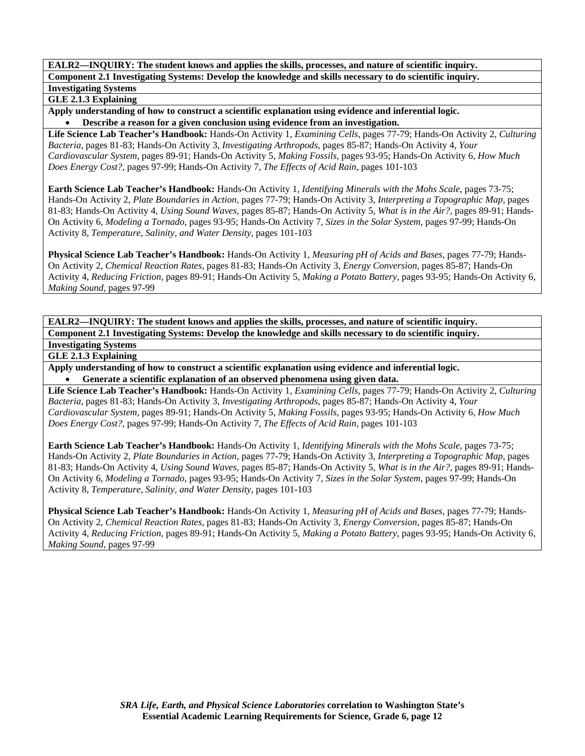### **GLE 2.1.3 Explaining**

**Apply understanding of how to construct a scientific explanation using evidence and inferential logic.**  • **Describe a reason for a given conclusion using evidence from an investigation.** 

**Life Science Lab Teacher's Handbook:** Hands-On Activity 1, *Examining Cells,* pages 77-79; Hands-On Activity 2, *Culturing Bacteria,* pages 81-83; Hands-On Activity 3, *Investigating Arthropods,* pages 85-87; Hands-On Activity 4, *Your Cardiovascular System,* pages 89-91; Hands-On Activity 5, *Making Fossils,* pages 93-95; Hands-On Activity 6, *How Much Does Energy Cost?,* pages 97-99; Hands-On Activity 7, *The Effects of Acid Rain,* pages 101-103

**Earth Science Lab Teacher's Handbook:** Hands-On Activity 1, *Identifying Minerals with the Mohs Scale,* pages 73-75; Hands-On Activity 2, *Plate Boundaries in Action,* pages 77-79; Hands-On Activity 3, *Interpreting a Topographic Map,* pages 81-83; Hands-On Activity 4, *Using Sound Waves,* pages 85-87; Hands-On Activity 5, *What is in the Air?,* pages 89-91; Hands-On Activity 6, *Modeling a Tornado,* pages 93-95; Hands-On Activity 7, *Sizes in the Solar System,* pages 97-99; Hands-On Activity 8, *Temperature, Salinity, and Water Density,* pages 101-103

**Physical Science Lab Teacher's Handbook:** Hands-On Activity 1, *Measuring pH of Acids and Bases,* pages 77-79; Hands-On Activity 2, *Chemical Reaction Rates,* pages 81-83; Hands-On Activity 3, *Energy Conversion,* pages 85-87; Hands-On Activity 4, *Reducing Friction,* pages 89-91; Hands-On Activity 5, *Making a Potato Battery,* pages 93-95; Hands-On Activity 6, *Making Sound,* pages 97-99

**EALR2—INQUIRY: The student knows and applies the skills, processes, and nature of scientific inquiry. Component 2.1 Investigating Systems: Develop the knowledge and skills necessary to do scientific inquiry. Investigating Systems** 

**GLE 2.1.3 Explaining** 

**Apply understanding of how to construct a scientific explanation using evidence and inferential logic.**  • **Generate a scientific explanation of an observed phenomena using given data.** 

**Life Science Lab Teacher's Handbook:** Hands-On Activity 1, *Examining Cells,* pages 77-79; Hands-On Activity 2, *Culturing Bacteria,* pages 81-83; Hands-On Activity 3, *Investigating Arthropods,* pages 85-87; Hands-On Activity 4, *Your Cardiovascular System,* pages 89-91; Hands-On Activity 5, *Making Fossils,* pages 93-95; Hands-On Activity 6, *How Much Does Energy Cost?,* pages 97-99; Hands-On Activity 7, *The Effects of Acid Rain,* pages 101-103

**Earth Science Lab Teacher's Handbook:** Hands-On Activity 1, *Identifying Minerals with the Mohs Scale,* pages 73-75; Hands-On Activity 2, *Plate Boundaries in Action,* pages 77-79; Hands-On Activity 3, *Interpreting a Topographic Map,* pages 81-83; Hands-On Activity 4, *Using Sound Waves,* pages 85-87; Hands-On Activity 5, *What is in the Air?,* pages 89-91; Hands-On Activity 6, *Modeling a Tornado,* pages 93-95; Hands-On Activity 7, *Sizes in the Solar System,* pages 97-99; Hands-On Activity 8, *Temperature, Salinity, and Water Density,* pages 101-103

**Physical Science Lab Teacher's Handbook:** Hands-On Activity 1, *Measuring pH of Acids and Bases,* pages 77-79; Hands-On Activity 2, *Chemical Reaction Rates,* pages 81-83; Hands-On Activity 3, *Energy Conversion,* pages 85-87; Hands-On Activity 4, *Reducing Friction,* pages 89-91; Hands-On Activity 5, *Making a Potato Battery,* pages 93-95; Hands-On Activity 6, *Making Sound,* pages 97-99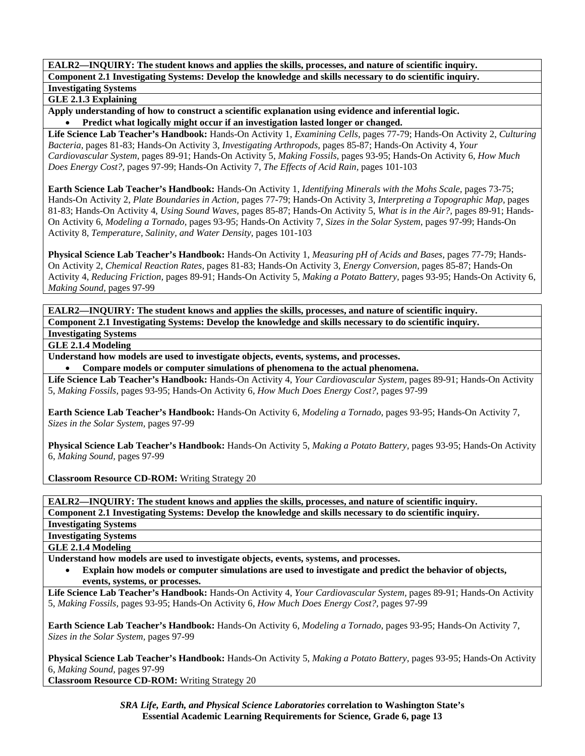## **GLE 2.1.3 Explaining**

**Apply understanding of how to construct a scientific explanation using evidence and inferential logic.**  • **Predict what logically might occur if an investigation lasted longer or changed.** 

**Life Science Lab Teacher's Handbook:** Hands-On Activity 1, *Examining Cells,* pages 77-79; Hands-On Activity 2, *Culturing Bacteria,* pages 81-83; Hands-On Activity 3, *Investigating Arthropods,* pages 85-87; Hands-On Activity 4, *Your Cardiovascular System,* pages 89-91; Hands-On Activity 5, *Making Fossils,* pages 93-95; Hands-On Activity 6, *How Much Does Energy Cost?,* pages 97-99; Hands-On Activity 7, *The Effects of Acid Rain,* pages 101-103

**Earth Science Lab Teacher's Handbook:** Hands-On Activity 1, *Identifying Minerals with the Mohs Scale,* pages 73-75; Hands-On Activity 2, *Plate Boundaries in Action,* pages 77-79; Hands-On Activity 3, *Interpreting a Topographic Map,* pages 81-83; Hands-On Activity 4, *Using Sound Waves,* pages 85-87; Hands-On Activity 5, *What is in the Air?,* pages 89-91; Hands-On Activity 6, *Modeling a Tornado,* pages 93-95; Hands-On Activity 7, *Sizes in the Solar System,* pages 97-99; Hands-On Activity 8, *Temperature, Salinity, and Water Density,* pages 101-103

**Physical Science Lab Teacher's Handbook:** Hands-On Activity 1, *Measuring pH of Acids and Bases,* pages 77-79; Hands-On Activity 2, *Chemical Reaction Rates,* pages 81-83; Hands-On Activity 3, *Energy Conversion,* pages 85-87; Hands-On Activity 4, *Reducing Friction,* pages 89-91; Hands-On Activity 5, *Making a Potato Battery,* pages 93-95; Hands-On Activity 6, *Making Sound,* pages 97-99

**EALR2—INQUIRY: The student knows and applies the skills, processes, and nature of scientific inquiry. Component 2.1 Investigating Systems: Develop the knowledge and skills necessary to do scientific inquiry.** 

# **Investigating Systems**

**GLE 2.1.4 Modeling** 

**Understand how models are used to investigate objects, events, systems, and processes.** 

• **Compare models or computer simulations of phenomena to the actual phenomena.** 

**Life Science Lab Teacher's Handbook:** Hands-On Activity 4, *Your Cardiovascular System,* pages 89-91; Hands-On Activity 5, *Making Fossils,* pages 93-95; Hands-On Activity 6, *How Much Does Energy Cost?,* pages 97-99

**Earth Science Lab Teacher's Handbook:** Hands-On Activity 6, *Modeling a Tornado,* pages 93-95; Hands-On Activity 7, *Sizes in the Solar System,* pages 97-99

**Physical Science Lab Teacher's Handbook:** Hands-On Activity 5, *Making a Potato Battery,* pages 93-95; Hands-On Activity 6, *Making Sound,* pages 97-99

**Classroom Resource CD-ROM:** Writing Strategy 20

**EALR2—INQUIRY: The student knows and applies the skills, processes, and nature of scientific inquiry.** 

**Component 2.1 Investigating Systems: Develop the knowledge and skills necessary to do scientific inquiry.** 

**Investigating Systems** 

**Investigating Systems** 

**GLE 2.1.4 Modeling** 

**Understand how models are used to investigate objects, events, systems, and processes.** 

• **Explain how models or computer simulations are used to investigate and predict the behavior of objects, events, systems, or processes.** 

**Life Science Lab Teacher's Handbook:** Hands-On Activity 4, *Your Cardiovascular System,* pages 89-91; Hands-On Activity 5, *Making Fossils,* pages 93-95; Hands-On Activity 6, *How Much Does Energy Cost?,* pages 97-99

**Earth Science Lab Teacher's Handbook:** Hands-On Activity 6, *Modeling a Tornado,* pages 93-95; Hands-On Activity 7, *Sizes in the Solar System,* pages 97-99

**Physical Science Lab Teacher's Handbook:** Hands-On Activity 5, *Making a Potato Battery,* pages 93-95; Hands-On Activity 6, *Making Sound,* pages 97-99 **Classroom Resource CD-ROM:** Writing Strategy 20

> *SRA Life, Earth, and Physical Science Laboratories* **correlation to Washington State's Essential Academic Learning Requirements for Science, Grade 6, page 13**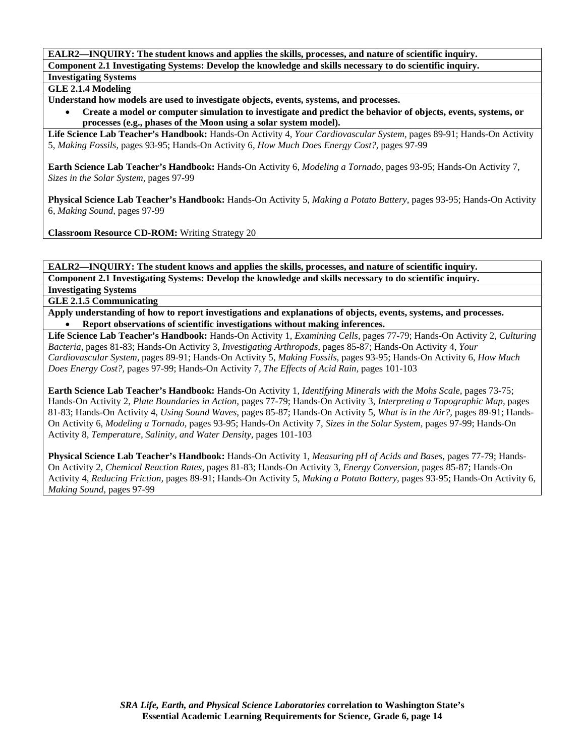**EALR2—INQUIRY: The student knows and applies the skills, processes, and nature of scientific inquiry.** 

**Component 2.1 Investigating Systems: Develop the knowledge and skills necessary to do scientific inquiry.** 

**Investigating Systems GLE 2.1.4 Modeling** 

**Understand how models are used to investigate objects, events, systems, and processes.** 

• **Create a model or computer simulation to investigate and predict the behavior of objects, events, systems, or processes (e.g., phases of the Moon using a solar system model).** 

**Life Science Lab Teacher's Handbook:** Hands-On Activity 4, *Your Cardiovascular System,* pages 89-91; Hands-On Activity 5, *Making Fossils,* pages 93-95; Hands-On Activity 6, *How Much Does Energy Cost?,* pages 97-99

**Earth Science Lab Teacher's Handbook:** Hands-On Activity 6, *Modeling a Tornado,* pages 93-95; Hands-On Activity 7, *Sizes in the Solar System,* pages 97-99

**Physical Science Lab Teacher's Handbook:** Hands-On Activity 5, *Making a Potato Battery,* pages 93-95; Hands-On Activity 6, *Making Sound,* pages 97-99

**Classroom Resource CD-ROM:** Writing Strategy 20

**EALR2—INQUIRY: The student knows and applies the skills, processes, and nature of scientific inquiry. Component 2.1 Investigating Systems: Develop the knowledge and skills necessary to do scientific inquiry.** 

**Investigating Systems** 

**GLE 2.1.5 Communicating** 

**Apply understanding of how to report investigations and explanations of objects, events, systems, and processes.**  • **Report observations of scientific investigations without making inferences.** 

**Life Science Lab Teacher's Handbook:** Hands-On Activity 1, *Examining Cells,* pages 77-79; Hands-On Activity 2, *Culturing Bacteria,* pages 81-83; Hands-On Activity 3, *Investigating Arthropods,* pages 85-87; Hands-On Activity 4, *Your Cardiovascular System,* pages 89-91; Hands-On Activity 5, *Making Fossils,* pages 93-95; Hands-On Activity 6, *How Much Does Energy Cost?,* pages 97-99; Hands-On Activity 7, *The Effects of Acid Rain,* pages 101-103

**Earth Science Lab Teacher's Handbook:** Hands-On Activity 1, *Identifying Minerals with the Mohs Scale,* pages 73-75; Hands-On Activity 2, *Plate Boundaries in Action,* pages 77-79; Hands-On Activity 3, *Interpreting a Topographic Map,* pages 81-83; Hands-On Activity 4, *Using Sound Waves,* pages 85-87; Hands-On Activity 5, *What is in the Air?,* pages 89-91; Hands-On Activity 6, *Modeling a Tornado,* pages 93-95; Hands-On Activity 7, *Sizes in the Solar System,* pages 97-99; Hands-On Activity 8, *Temperature, Salinity, and Water Density,* pages 101-103

**Physical Science Lab Teacher's Handbook:** Hands-On Activity 1, *Measuring pH of Acids and Bases,* pages 77-79; Hands-On Activity 2, *Chemical Reaction Rates,* pages 81-83; Hands-On Activity 3, *Energy Conversion,* pages 85-87; Hands-On Activity 4, *Reducing Friction,* pages 89-91; Hands-On Activity 5, *Making a Potato Battery,* pages 93-95; Hands-On Activity 6, *Making Sound,* pages 97-99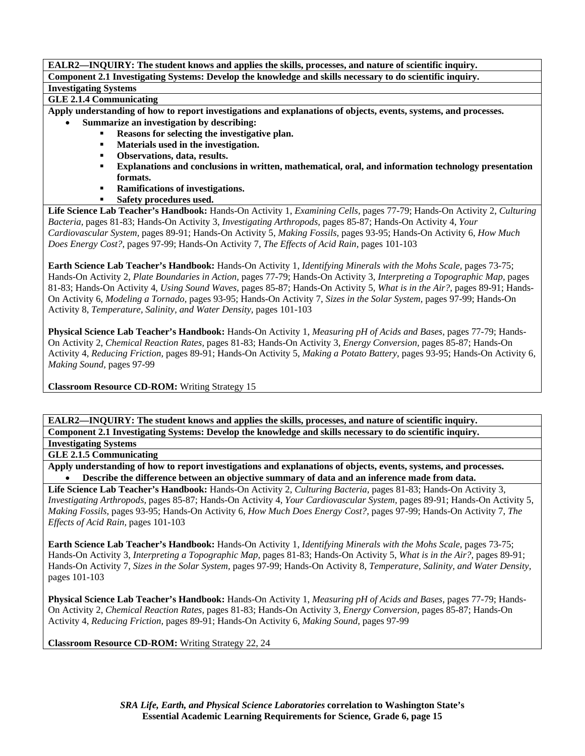**GLE 2.1.4 Communicating** 

**Apply understanding of how to report investigations and explanations of objects, events, systems, and processes.** 

- **Summarize an investigation by describing:** 
	- **Reasons for selecting the investigative plan.**
	- **Materials used in the investigation.**
	- **Observations, data, results.**
	- **Explanations and conclusions in written, mathematical, oral, and information technology presentation formats.**
	- **Ramifications of investigations.**
	- **Safety procedures used.**

**Life Science Lab Teacher's Handbook:** Hands-On Activity 1, *Examining Cells,* pages 77-79; Hands-On Activity 2, *Culturing Bacteria,* pages 81-83; Hands-On Activity 3, *Investigating Arthropods,* pages 85-87; Hands-On Activity 4, *Your Cardiovascular System,* pages 89-91; Hands-On Activity 5, *Making Fossils,* pages 93-95; Hands-On Activity 6, *How Much Does Energy Cost?,* pages 97-99; Hands-On Activity 7, *The Effects of Acid Rain,* pages 101-103

**Earth Science Lab Teacher's Handbook:** Hands-On Activity 1, *Identifying Minerals with the Mohs Scale,* pages 73-75; Hands-On Activity 2, *Plate Boundaries in Action,* pages 77-79; Hands-On Activity 3, *Interpreting a Topographic Map,* pages 81-83; Hands-On Activity 4, *Using Sound Waves,* pages 85-87; Hands-On Activity 5, *What is in the Air?,* pages 89-91; Hands-On Activity 6, *Modeling a Tornado,* pages 93-95; Hands-On Activity 7, *Sizes in the Solar System,* pages 97-99; Hands-On Activity 8, *Temperature, Salinity, and Water Density,* pages 101-103

**Physical Science Lab Teacher's Handbook:** Hands-On Activity 1, *Measuring pH of Acids and Bases,* pages 77-79; Hands-On Activity 2, *Chemical Reaction Rates,* pages 81-83; Hands-On Activity 3, *Energy Conversion,* pages 85-87; Hands-On Activity 4, *Reducing Friction,* pages 89-91; Hands-On Activity 5, *Making a Potato Battery,* pages 93-95; Hands-On Activity 6, *Making Sound,* pages 97-99

**Classroom Resource CD-ROM:** Writing Strategy 15

**EALR2—INQUIRY: The student knows and applies the skills, processes, and nature of scientific inquiry. Component 2.1 Investigating Systems: Develop the knowledge and skills necessary to do scientific inquiry. Investigating Systems** 

**GLE 2.1.5 Communicating** 

**Apply understanding of how to report investigations and explanations of objects, events, systems, and processes.**  • **Describe the difference between an objective summary of data and an inference made from data.** 

**Life Science Lab Teacher's Handbook:** Hands-On Activity 2, *Culturing Bacteria,* pages 81-83; Hands-On Activity 3, *Investigating Arthropods,* pages 85-87; Hands-On Activity 4, *Your Cardiovascular System,* pages 89-91; Hands-On Activity 5, *Making Fossils,* pages 93-95; Hands-On Activity 6, *How Much Does Energy Cost?,* pages 97-99; Hands-On Activity 7, *The Effects of Acid Rain,* pages 101-103

**Earth Science Lab Teacher's Handbook:** Hands-On Activity 1, *Identifying Minerals with the Mohs Scale,* pages 73-75; Hands-On Activity 3, *Interpreting a Topographic Map,* pages 81-83; Hands-On Activity 5, *What is in the Air?,* pages 89-91; Hands-On Activity 7, *Sizes in the Solar System,* pages 97-99; Hands-On Activity 8, *Temperature, Salinity, and Water Density,* pages 101-103

**Physical Science Lab Teacher's Handbook:** Hands-On Activity 1, *Measuring pH of Acids and Bases,* pages 77-79; Hands-On Activity 2, *Chemical Reaction Rates,* pages 81-83; Hands-On Activity 3, *Energy Conversion,* pages 85-87; Hands-On Activity 4, *Reducing Friction,* pages 89-91; Hands-On Activity 6, *Making Sound,* pages 97-99

**Classroom Resource CD-ROM:** Writing Strategy 22, 24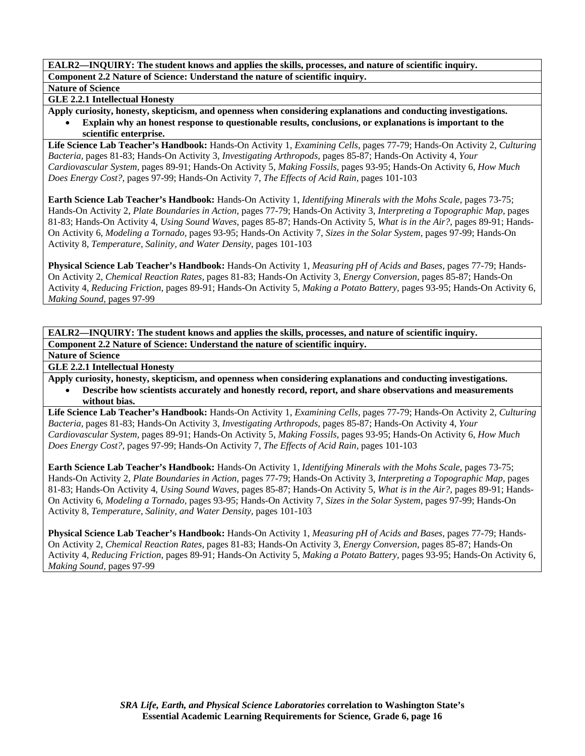#### **Nature of Science**

#### **GLE 2.2.1 Intellectual Honesty**

**Apply curiosity, honesty, skepticism, and openness when considering explanations and conducting investigations.**  • **Explain why an honest response to questionable results, conclusions, or explanations is important to the scientific enterprise.** 

**Life Science Lab Teacher's Handbook:** Hands-On Activity 1, *Examining Cells,* pages 77-79; Hands-On Activity 2, *Culturing Bacteria,* pages 81-83; Hands-On Activity 3, *Investigating Arthropods,* pages 85-87; Hands-On Activity 4, *Your Cardiovascular System,* pages 89-91; Hands-On Activity 5, *Making Fossils,* pages 93-95; Hands-On Activity 6, *How Much Does Energy Cost?,* pages 97-99; Hands-On Activity 7, *The Effects of Acid Rain,* pages 101-103

**Earth Science Lab Teacher's Handbook:** Hands-On Activity 1, *Identifying Minerals with the Mohs Scale,* pages 73-75; Hands-On Activity 2, *Plate Boundaries in Action,* pages 77-79; Hands-On Activity 3, *Interpreting a Topographic Map,* pages 81-83; Hands-On Activity 4, *Using Sound Waves,* pages 85-87; Hands-On Activity 5, *What is in the Air?,* pages 89-91; Hands-On Activity 6, *Modeling a Tornado,* pages 93-95; Hands-On Activity 7, *Sizes in the Solar System,* pages 97-99; Hands-On Activity 8, *Temperature, Salinity, and Water Density,* pages 101-103

**Physical Science Lab Teacher's Handbook:** Hands-On Activity 1, *Measuring pH of Acids and Bases,* pages 77-79; Hands-On Activity 2, *Chemical Reaction Rates,* pages 81-83; Hands-On Activity 3, *Energy Conversion,* pages 85-87; Hands-On Activity 4, *Reducing Friction,* pages 89-91; Hands-On Activity 5, *Making a Potato Battery,* pages 93-95; Hands-On Activity 6, *Making Sound,* pages 97-99

**EALR2—INQUIRY: The student knows and applies the skills, processes, and nature of scientific inquiry. Component 2.2 Nature of Science: Understand the nature of scientific inquiry.** 

**Nature of Science** 

**GLE 2.2.1 Intellectual Honesty** 

**Apply curiosity, honesty, skepticism, and openness when considering explanations and conducting investigations.** 

• **Describe how scientists accurately and honestly record, report, and share observations and measurements without bias.** 

**Life Science Lab Teacher's Handbook:** Hands-On Activity 1, *Examining Cells,* pages 77-79; Hands-On Activity 2, *Culturing Bacteria,* pages 81-83; Hands-On Activity 3, *Investigating Arthropods,* pages 85-87; Hands-On Activity 4, *Your Cardiovascular System,* pages 89-91; Hands-On Activity 5, *Making Fossils,* pages 93-95; Hands-On Activity 6, *How Much Does Energy Cost?,* pages 97-99; Hands-On Activity 7, *The Effects of Acid Rain,* pages 101-103

**Earth Science Lab Teacher's Handbook:** Hands-On Activity 1, *Identifying Minerals with the Mohs Scale,* pages 73-75; Hands-On Activity 2, *Plate Boundaries in Action,* pages 77-79; Hands-On Activity 3, *Interpreting a Topographic Map,* pages 81-83; Hands-On Activity 4, *Using Sound Waves,* pages 85-87; Hands-On Activity 5, *What is in the Air?,* pages 89-91; Hands-On Activity 6, *Modeling a Tornado,* pages 93-95; Hands-On Activity 7, *Sizes in the Solar System,* pages 97-99; Hands-On Activity 8, *Temperature, Salinity, and Water Density,* pages 101-103

**Physical Science Lab Teacher's Handbook:** Hands-On Activity 1, *Measuring pH of Acids and Bases,* pages 77-79; Hands-On Activity 2, *Chemical Reaction Rates,* pages 81-83; Hands-On Activity 3, *Energy Conversion,* pages 85-87; Hands-On Activity 4, *Reducing Friction,* pages 89-91; Hands-On Activity 5, *Making a Potato Battery,* pages 93-95; Hands-On Activity 6, *Making Sound,* pages 97-99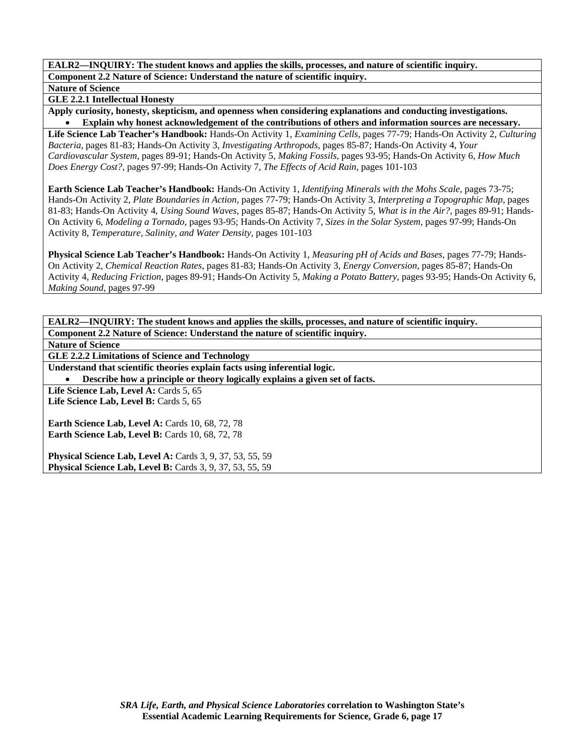**Nature of Science** 

**GLE 2.2.1 Intellectual Honesty** 

**Apply curiosity, honesty, skepticism, and openness when considering explanations and conducting investigations.**  • **Explain why honest acknowledgement of the contributions of others and information sources are necessary.** 

**Life Science Lab Teacher's Handbook:** Hands-On Activity 1, *Examining Cells,* pages 77-79; Hands-On Activity 2, *Culturing Bacteria,* pages 81-83; Hands-On Activity 3, *Investigating Arthropods,* pages 85-87; Hands-On Activity 4, *Your Cardiovascular System,* pages 89-91; Hands-On Activity 5, *Making Fossils,* pages 93-95; Hands-On Activity 6, *How Much Does Energy Cost?,* pages 97-99; Hands-On Activity 7, *The Effects of Acid Rain,* pages 101-103

**Earth Science Lab Teacher's Handbook:** Hands-On Activity 1, *Identifying Minerals with the Mohs Scale,* pages 73-75; Hands-On Activity 2, *Plate Boundaries in Action,* pages 77-79; Hands-On Activity 3, *Interpreting a Topographic Map,* pages 81-83; Hands-On Activity 4, *Using Sound Waves,* pages 85-87; Hands-On Activity 5, *What is in the Air?,* pages 89-91; Hands-On Activity 6, *Modeling a Tornado,* pages 93-95; Hands-On Activity 7, *Sizes in the Solar System,* pages 97-99; Hands-On Activity 8, *Temperature, Salinity, and Water Density,* pages 101-103

**Physical Science Lab Teacher's Handbook:** Hands-On Activity 1, *Measuring pH of Acids and Bases,* pages 77-79; Hands-On Activity 2, *Chemical Reaction Rates,* pages 81-83; Hands-On Activity 3, *Energy Conversion,* pages 85-87; Hands-On Activity 4, *Reducing Friction,* pages 89-91; Hands-On Activity 5, *Making a Potato Battery,* pages 93-95; Hands-On Activity 6, *Making Sound,* pages 97-99

**EALR2—INQUIRY: The student knows and applies the skills, processes, and nature of scientific inquiry. Component 2.2 Nature of Science: Understand the nature of scientific inquiry. Nature of Science GLE 2.2.2 Limitations of Science and Technology Understand that scientific theories explain facts using inferential logic.**  • **Describe how a principle or theory logically explains a given set of facts.**  Life Science Lab, Level A: Cards 5, 65 Life Science Lab, Level B: Cards 5, 65 **Earth Science Lab, Level A: Cards 10, 68, 72, 78 Earth Science Lab, Level B: Cards 10, 68, 72, 78 Physical Science Lab, Level A:** Cards 3, 9, 37, 53, 55, 59

**Physical Science Lab, Level B:** Cards 3, 9, 37, 53, 55, 59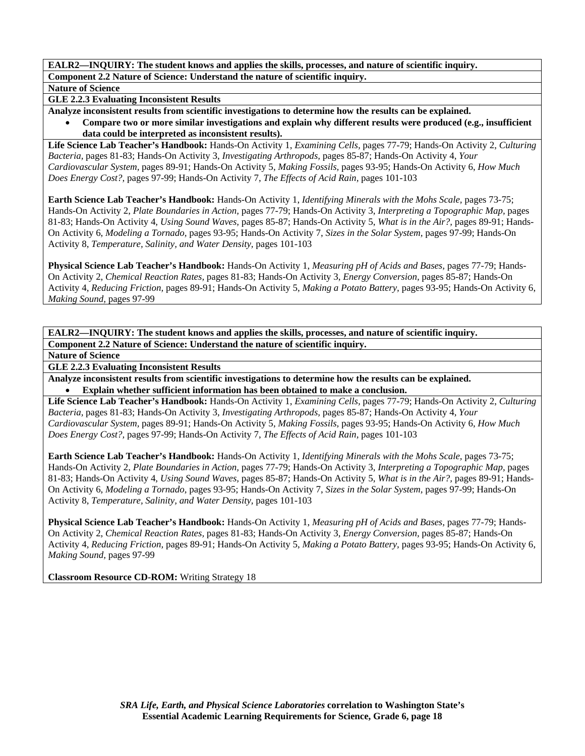**Nature of Science** 

**GLE 2.2.3 Evaluating Inconsistent Results** 

**Analyze inconsistent results from scientific investigations to determine how the results can be explained.** 

• **Compare two or more similar investigations and explain why different results were produced (e.g., insufficient data could be interpreted as inconsistent results).** 

**Life Science Lab Teacher's Handbook:** Hands-On Activity 1, *Examining Cells,* pages 77-79; Hands-On Activity 2, *Culturing Bacteria,* pages 81-83; Hands-On Activity 3, *Investigating Arthropods,* pages 85-87; Hands-On Activity 4, *Your Cardiovascular System,* pages 89-91; Hands-On Activity 5, *Making Fossils,* pages 93-95; Hands-On Activity 6, *How Much Does Energy Cost?,* pages 97-99; Hands-On Activity 7, *The Effects of Acid Rain,* pages 101-103

**Earth Science Lab Teacher's Handbook:** Hands-On Activity 1, *Identifying Minerals with the Mohs Scale,* pages 73-75; Hands-On Activity 2, *Plate Boundaries in Action,* pages 77-79; Hands-On Activity 3, *Interpreting a Topographic Map,* pages 81-83; Hands-On Activity 4, *Using Sound Waves,* pages 85-87; Hands-On Activity 5, *What is in the Air?,* pages 89-91; Hands-On Activity 6, *Modeling a Tornado,* pages 93-95; Hands-On Activity 7, *Sizes in the Solar System,* pages 97-99; Hands-On Activity 8, *Temperature, Salinity, and Water Density,* pages 101-103

**Physical Science Lab Teacher's Handbook:** Hands-On Activity 1, *Measuring pH of Acids and Bases,* pages 77-79; Hands-On Activity 2, *Chemical Reaction Rates,* pages 81-83; Hands-On Activity 3, *Energy Conversion,* pages 85-87; Hands-On Activity 4, *Reducing Friction,* pages 89-91; Hands-On Activity 5, *Making a Potato Battery,* pages 93-95; Hands-On Activity 6, *Making Sound,* pages 97-99

**EALR2—INQUIRY: The student knows and applies the skills, processes, and nature of scientific inquiry. Component 2.2 Nature of Science: Understand the nature of scientific inquiry.** 

**Nature of Science** 

**GLE 2.2.3 Evaluating Inconsistent Results** 

**Analyze inconsistent results from scientific investigations to determine how the results can be explained.**  • **Explain whether sufficient information has been obtained to make a conclusion.** 

**Life Science Lab Teacher's Handbook:** Hands-On Activity 1, *Examining Cells,* pages 77-79; Hands-On Activity 2, *Culturing Bacteria,* pages 81-83; Hands-On Activity 3, *Investigating Arthropods,* pages 85-87; Hands-On Activity 4, *Your Cardiovascular System,* pages 89-91; Hands-On Activity 5, *Making Fossils,* pages 93-95; Hands-On Activity 6, *How Much Does Energy Cost?,* pages 97-99; Hands-On Activity 7, *The Effects of Acid Rain,* pages 101-103

**Earth Science Lab Teacher's Handbook:** Hands-On Activity 1, *Identifying Minerals with the Mohs Scale,* pages 73-75; Hands-On Activity 2, *Plate Boundaries in Action,* pages 77-79; Hands-On Activity 3, *Interpreting a Topographic Map,* pages 81-83; Hands-On Activity 4, *Using Sound Waves,* pages 85-87; Hands-On Activity 5, *What is in the Air?,* pages 89-91; Hands-On Activity 6, *Modeling a Tornado,* pages 93-95; Hands-On Activity 7, *Sizes in the Solar System,* pages 97-99; Hands-On Activity 8, *Temperature, Salinity, and Water Density,* pages 101-103

**Physical Science Lab Teacher's Handbook:** Hands-On Activity 1, *Measuring pH of Acids and Bases,* pages 77-79; Hands-On Activity 2, *Chemical Reaction Rates,* pages 81-83; Hands-On Activity 3, *Energy Conversion,* pages 85-87; Hands-On Activity 4, *Reducing Friction,* pages 89-91; Hands-On Activity 5, *Making a Potato Battery,* pages 93-95; Hands-On Activity 6, *Making Sound,* pages 97-99

**Classroom Resource CD-ROM:** Writing Strategy 18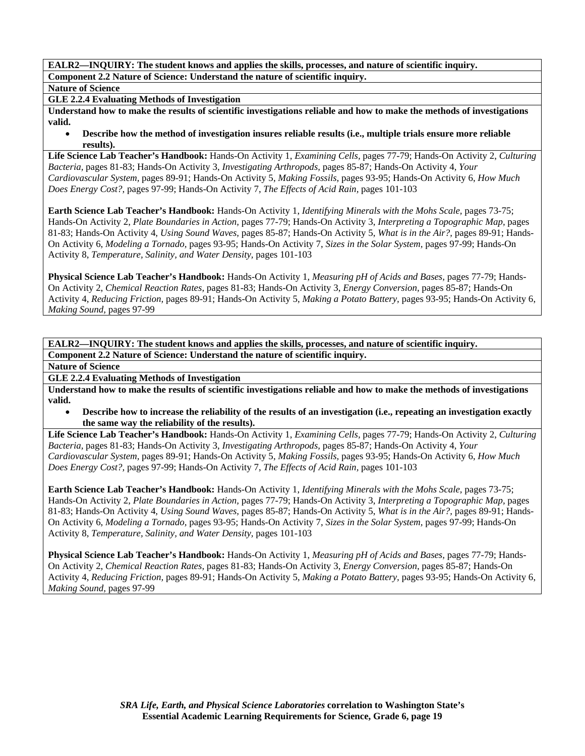**Nature of Science** 

**GLE 2.2.4 Evaluating Methods of Investigation** 

**Understand how to make the results of scientific investigations reliable and how to make the methods of investigations valid.** 

• **Describe how the method of investigation insures reliable results (i.e., multiple trials ensure more reliable results).** 

**Life Science Lab Teacher's Handbook:** Hands-On Activity 1, *Examining Cells,* pages 77-79; Hands-On Activity 2, *Culturing Bacteria,* pages 81-83; Hands-On Activity 3, *Investigating Arthropods,* pages 85-87; Hands-On Activity 4, *Your Cardiovascular System,* pages 89-91; Hands-On Activity 5, *Making Fossils,* pages 93-95; Hands-On Activity 6, *How Much Does Energy Cost?,* pages 97-99; Hands-On Activity 7, *The Effects of Acid Rain,* pages 101-103

**Earth Science Lab Teacher's Handbook:** Hands-On Activity 1, *Identifying Minerals with the Mohs Scale,* pages 73-75; Hands-On Activity 2, *Plate Boundaries in Action,* pages 77-79; Hands-On Activity 3, *Interpreting a Topographic Map,* pages 81-83; Hands-On Activity 4, *Using Sound Waves,* pages 85-87; Hands-On Activity 5, *What is in the Air?,* pages 89-91; Hands-On Activity 6, *Modeling a Tornado,* pages 93-95; Hands-On Activity 7, *Sizes in the Solar System,* pages 97-99; Hands-On Activity 8, *Temperature, Salinity, and Water Density,* pages 101-103

**Physical Science Lab Teacher's Handbook:** Hands-On Activity 1, *Measuring pH of Acids and Bases,* pages 77-79; Hands-On Activity 2, *Chemical Reaction Rates,* pages 81-83; Hands-On Activity 3, *Energy Conversion,* pages 85-87; Hands-On Activity 4, *Reducing Friction,* pages 89-91; Hands-On Activity 5, *Making a Potato Battery,* pages 93-95; Hands-On Activity 6, *Making Sound,* pages 97-99

**EALR2—INQUIRY: The student knows and applies the skills, processes, and nature of scientific inquiry. Component 2.2 Nature of Science: Understand the nature of scientific inquiry.** 

**Nature of Science** 

**GLE 2.2.4 Evaluating Methods of Investigation** 

**Understand how to make the results of scientific investigations reliable and how to make the methods of investigations valid.** 

• **Describe how to increase the reliability of the results of an investigation (i.e., repeating an investigation exactly the same way the reliability of the results).** 

**Life Science Lab Teacher's Handbook:** Hands-On Activity 1, *Examining Cells,* pages 77-79; Hands-On Activity 2, *Culturing Bacteria,* pages 81-83; Hands-On Activity 3, *Investigating Arthropods,* pages 85-87; Hands-On Activity 4, *Your Cardiovascular System,* pages 89-91; Hands-On Activity 5, *Making Fossils,* pages 93-95; Hands-On Activity 6, *How Much Does Energy Cost?,* pages 97-99; Hands-On Activity 7, *The Effects of Acid Rain,* pages 101-103

**Earth Science Lab Teacher's Handbook:** Hands-On Activity 1, *Identifying Minerals with the Mohs Scale,* pages 73-75; Hands-On Activity 2, *Plate Boundaries in Action,* pages 77-79; Hands-On Activity 3, *Interpreting a Topographic Map,* pages 81-83; Hands-On Activity 4, *Using Sound Waves,* pages 85-87; Hands-On Activity 5, *What is in the Air?,* pages 89-91; Hands-On Activity 6, *Modeling a Tornado,* pages 93-95; Hands-On Activity 7, *Sizes in the Solar System,* pages 97-99; Hands-On Activity 8, *Temperature, Salinity, and Water Density,* pages 101-103

**Physical Science Lab Teacher's Handbook:** Hands-On Activity 1, *Measuring pH of Acids and Bases,* pages 77-79; Hands-On Activity 2, *Chemical Reaction Rates,* pages 81-83; Hands-On Activity 3, *Energy Conversion,* pages 85-87; Hands-On Activity 4, *Reducing Friction,* pages 89-91; Hands-On Activity 5, *Making a Potato Battery,* pages 93-95; Hands-On Activity 6, *Making Sound,* pages 97-99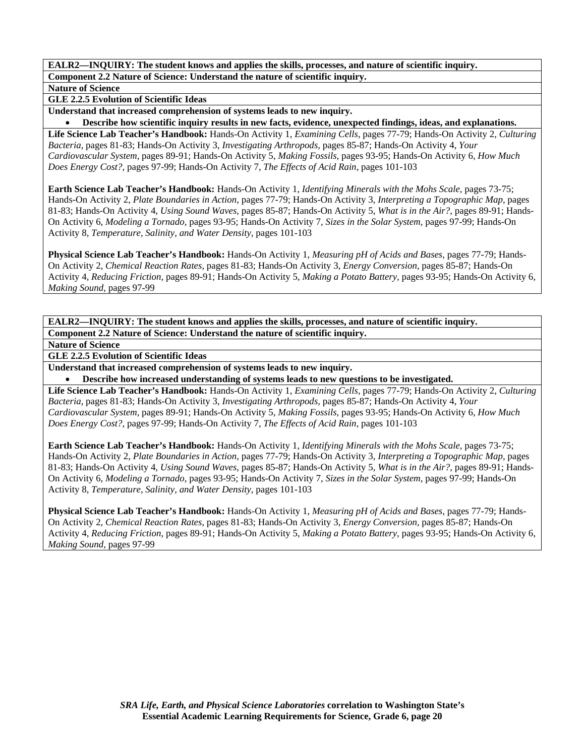**Nature of Science** 

**GLE 2.2.5 Evolution of Scientific Ideas** 

**Understand that increased comprehension of systems leads to new inquiry.** 

• **Describe how scientific inquiry results in new facts, evidence, unexpected findings, ideas, and explanations.** 

**Life Science Lab Teacher's Handbook:** Hands-On Activity 1, *Examining Cells,* pages 77-79; Hands-On Activity 2, *Culturing Bacteria,* pages 81-83; Hands-On Activity 3, *Investigating Arthropods,* pages 85-87; Hands-On Activity 4, *Your Cardiovascular System,* pages 89-91; Hands-On Activity 5, *Making Fossils,* pages 93-95; Hands-On Activity 6, *How Much Does Energy Cost?,* pages 97-99; Hands-On Activity 7, *The Effects of Acid Rain,* pages 101-103

**Earth Science Lab Teacher's Handbook:** Hands-On Activity 1, *Identifying Minerals with the Mohs Scale,* pages 73-75; Hands-On Activity 2, *Plate Boundaries in Action,* pages 77-79; Hands-On Activity 3, *Interpreting a Topographic Map,* pages 81-83; Hands-On Activity 4, *Using Sound Waves,* pages 85-87; Hands-On Activity 5, *What is in the Air?,* pages 89-91; Hands-On Activity 6, *Modeling a Tornado,* pages 93-95; Hands-On Activity 7, *Sizes in the Solar System,* pages 97-99; Hands-On Activity 8, *Temperature, Salinity, and Water Density,* pages 101-103

**Physical Science Lab Teacher's Handbook:** Hands-On Activity 1, *Measuring pH of Acids and Bases,* pages 77-79; Hands-On Activity 2, *Chemical Reaction Rates,* pages 81-83; Hands-On Activity 3, *Energy Conversion,* pages 85-87; Hands-On Activity 4, *Reducing Friction,* pages 89-91; Hands-On Activity 5, *Making a Potato Battery,* pages 93-95; Hands-On Activity 6, *Making Sound,* pages 97-99

**EALR2—INQUIRY: The student knows and applies the skills, processes, and nature of scientific inquiry. Component 2.2 Nature of Science: Understand the nature of scientific inquiry.** 

**Nature of Science** 

**GLE 2.2.5 Evolution of Scientific Ideas** 

**Understand that increased comprehension of systems leads to new inquiry.** 

• **Describe how increased understanding of systems leads to new questions to be investigated.** 

**Life Science Lab Teacher's Handbook:** Hands-On Activity 1, *Examining Cells,* pages 77-79; Hands-On Activity 2, *Culturing Bacteria,* pages 81-83; Hands-On Activity 3, *Investigating Arthropods,* pages 85-87; Hands-On Activity 4, *Your Cardiovascular System,* pages 89-91; Hands-On Activity 5, *Making Fossils,* pages 93-95; Hands-On Activity 6, *How Much Does Energy Cost?,* pages 97-99; Hands-On Activity 7, *The Effects of Acid Rain,* pages 101-103

**Earth Science Lab Teacher's Handbook:** Hands-On Activity 1, *Identifying Minerals with the Mohs Scale,* pages 73-75; Hands-On Activity 2, *Plate Boundaries in Action,* pages 77-79; Hands-On Activity 3, *Interpreting a Topographic Map,* pages 81-83; Hands-On Activity 4, *Using Sound Waves,* pages 85-87; Hands-On Activity 5, *What is in the Air?,* pages 89-91; Hands-On Activity 6, *Modeling a Tornado,* pages 93-95; Hands-On Activity 7, *Sizes in the Solar System,* pages 97-99; Hands-On Activity 8, *Temperature, Salinity, and Water Density,* pages 101-103

**Physical Science Lab Teacher's Handbook:** Hands-On Activity 1, *Measuring pH of Acids and Bases,* pages 77-79; Hands-On Activity 2, *Chemical Reaction Rates,* pages 81-83; Hands-On Activity 3, *Energy Conversion,* pages 85-87; Hands-On Activity 4, *Reducing Friction,* pages 89-91; Hands-On Activity 5, *Making a Potato Battery,* pages 93-95; Hands-On Activity 6, *Making Sound,* pages 97-99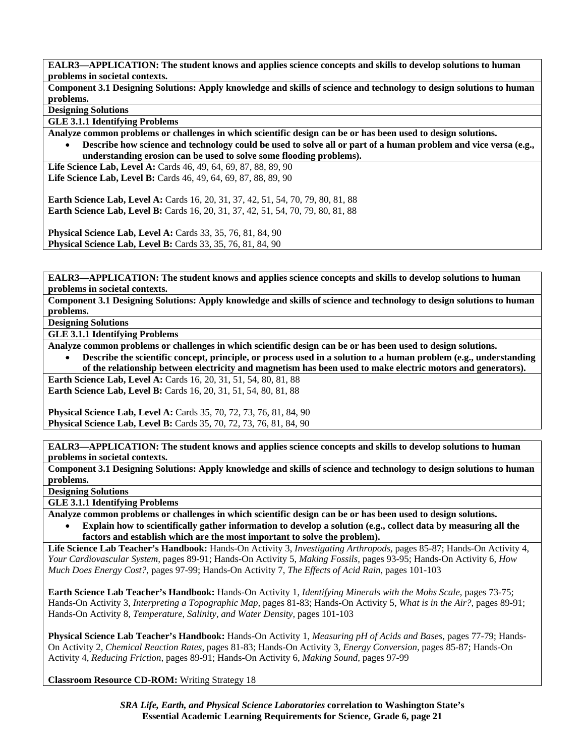**EALR3—APPLICATION: The student knows and applies science concepts and skills to develop solutions to human problems in societal contexts.** 

**Component 3.1 Designing Solutions: Apply knowledge and skills of science and technology to design solutions to human problems.** 

**Designing Solutions** 

**GLE 3.1.1 Identifying Problems** 

**Analyze common problems or challenges in which scientific design can be or has been used to design solutions.** 

• **Describe how science and technology could be used to solve all or part of a human problem and vice versa (e.g., understanding erosion can be used to solve some flooding problems).** 

**Life Science Lab, Level A:** Cards 46, 49, 64, 69, 87, 88, 89, 90 **Life Science Lab, Level B:** Cards 46, 49, 64, 69, 87, 88, 89, 90

**Earth Science Lab, Level A:** Cards 16, 20, 31, 37, 42, 51, 54, 70, 79, 80, 81, 88 **Earth Science Lab, Level B:** Cards 16, 20, 31, 37, 42, 51, 54, 70, 79, 80, 81, 88

**Physical Science Lab, Level A: Cards 33, 35, 76, 81, 84, 90 Physical Science Lab, Level B:** Cards 33, 35, 76, 81, 84, 90

**EALR3—APPLICATION: The student knows and applies science concepts and skills to develop solutions to human problems in societal contexts.** 

**Component 3.1 Designing Solutions: Apply knowledge and skills of science and technology to design solutions to human problems.** 

**Designing Solutions** 

**GLE 3.1.1 Identifying Problems** 

**Analyze common problems or challenges in which scientific design can be or has been used to design solutions.** 

• **Describe the scientific concept, principle, or process used in a solution to a human problem (e.g., understanding of the relationship between electricity and magnetism has been used to make electric motors and generators).** 

**Earth Science Lab, Level A: Cards 16, 20, 31, 51, 54, 80, 81, 88 Earth Science Lab, Level B:** Cards 16, 20, 31, 51, 54, 80, 81, 88

**Physical Science Lab, Level A: Cards 35, 70, 72, 73, 76, 81, 84, 90 Physical Science Lab, Level B:** Cards 35, 70, 72, 73, 76, 81, 84, 90

**EALR3—APPLICATION: The student knows and applies science concepts and skills to develop solutions to human problems in societal contexts.** 

**Component 3.1 Designing Solutions: Apply knowledge and skills of science and technology to design solutions to human problems.** 

**Designing Solutions** 

**GLE 3.1.1 Identifying Problems** 

**Analyze common problems or challenges in which scientific design can be or has been used to design solutions.** 

• **Explain how to scientifically gather information to develop a solution (e.g., collect data by measuring all the factors and establish which are the most important to solve the problem).** 

**Life Science Lab Teacher's Handbook:** Hands-On Activity 3, *Investigating Arthropods,* pages 85-87; Hands-On Activity 4, *Your Cardiovascular System,* pages 89-91; Hands-On Activity 5, *Making Fossils,* pages 93-95; Hands-On Activity 6, *How Much Does Energy Cost?,* pages 97-99; Hands-On Activity 7, *The Effects of Acid Rain,* pages 101-103

**Earth Science Lab Teacher's Handbook:** Hands-On Activity 1, *Identifying Minerals with the Mohs Scale,* pages 73-75; Hands-On Activity 3, *Interpreting a Topographic Map,* pages 81-83; Hands-On Activity 5, *What is in the Air?,* pages 89-91; Hands-On Activity 8, *Temperature, Salinity, and Water Density,* pages 101-103

**Physical Science Lab Teacher's Handbook:** Hands-On Activity 1, *Measuring pH of Acids and Bases,* pages 77-79; Hands-On Activity 2, *Chemical Reaction Rates,* pages 81-83; Hands-On Activity 3, *Energy Conversion,* pages 85-87; Hands-On Activity 4, *Reducing Friction,* pages 89-91; Hands-On Activity 6, *Making Sound,* pages 97-99

**Classroom Resource CD-ROM:** Writing Strategy 18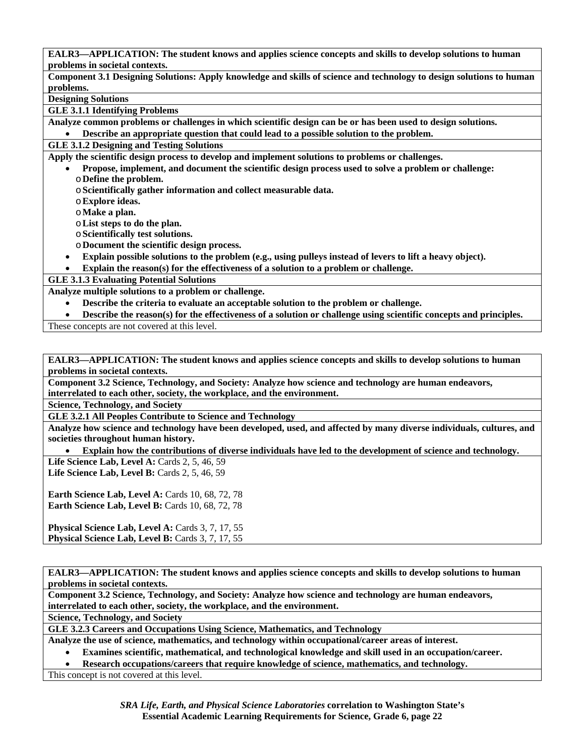**EALR3—APPLICATION: The student knows and applies science concepts and skills to develop solutions to human problems in societal contexts.** 

**Component 3.1 Designing Solutions: Apply knowledge and skills of science and technology to design solutions to human problems.** 

**Designing Solutions** 

**GLE 3.1.1 Identifying Problems** 

**Analyze common problems or challenges in which scientific design can be or has been used to design solutions.** 

• **Describe an appropriate question that could lead to a possible solution to the problem.** 

**GLE 3.1.2 Designing and Testing Solutions** 

**Apply the scientific design process to develop and implement solutions to problems or challenges.** 

- **Propose, implement, and document the scientific design process used to solve a problem or challenge:**  o**Define the problem.** 
	- o**Scientifically gather information and collect measurable data.**
	- o**Explore ideas.**
	- o**Make a plan.**
	- o**List steps to do the plan.**
	- o**Scientifically test solutions.**
	- o**Document the scientific design process.**
- **Explain possible solutions to the problem (e.g., using pulleys instead of levers to lift a heavy object).**

• **Explain the reason(s) for the effectiveness of a solution to a problem or challenge.** 

**GLE 3.1.3 Evaluating Potential Solutions** 

**Analyze multiple solutions to a problem or challenge.** 

- **Describe the criteria to evaluate an acceptable solution to the problem or challenge.**
- **Describe the reason(s) for the effectiveness of a solution or challenge using scientific concepts and principles.**

These concepts are not covered at this level.

**EALR3—APPLICATION: The student knows and applies science concepts and skills to develop solutions to human problems in societal contexts.** 

**Component 3.2 Science, Technology, and Society: Analyze how science and technology are human endeavors, interrelated to each other, society, the workplace, and the environment.** 

**Science, Technology, and Society** 

**GLE 3.2.1 All Peoples Contribute to Science and Technology** 

**Analyze how science and technology have been developed, used, and affected by many diverse individuals, cultures, and societies throughout human history.** 

• **Explain how the contributions of diverse individuals have led to the development of science and technology.** 

**Life Science Lab, Level A: Cards 2, 5, 46, 59 Life Science Lab, Level B:** Cards 2, 5, 46, 59

**Earth Science Lab, Level A: Cards 10, 68, 72, 78 Earth Science Lab, Level B: Cards 10, 68, 72, 78** 

Physical Science Lab, Level A: Cards 3, 7, 17, 55 **Physical Science Lab, Level B:** Cards 3, 7, 17, 55

**EALR3—APPLICATION: The student knows and applies science concepts and skills to develop solutions to human problems in societal contexts.** 

**Component 3.2 Science, Technology, and Society: Analyze how science and technology are human endeavors, interrelated to each other, society, the workplace, and the environment.** 

**Science, Technology, and Society** 

**GLE 3.2.3 Careers and Occupations Using Science, Mathematics, and Technology** 

**Analyze the use of science, mathematics, and technology within occupational/career areas of interest.** 

• **Examines scientific, mathematical, and technological knowledge and skill used in an occupation/career.** 

• **Research occupations/careers that require knowledge of science, mathematics, and technology.** 

This concept is not covered at this level.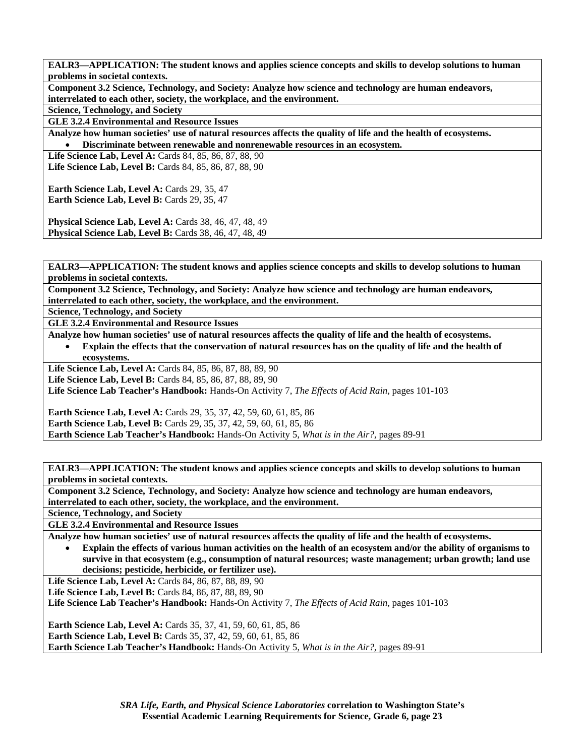**EALR3—APPLICATION: The student knows and applies science concepts and skills to develop solutions to human problems in societal contexts.** 

**Component 3.2 Science, Technology, and Society: Analyze how science and technology are human endeavors, interrelated to each other, society, the workplace, and the environment.** 

**Science, Technology, and Society** 

**GLE 3.2.4 Environmental and Resource Issues** 

**Analyze how human societies' use of natural resources affects the quality of life and the health of ecosystems.**  • **Discriminate between renewable and nonrenewable resources in an ecosystem.** 

**Life Science Lab, Level A: Cards 84, 85, 86, 87, 88, 90 Life Science Lab, Level B:** Cards 84, 85, 86, 87, 88, 90

**Earth Science Lab, Level A: Cards 29, 35, 47** Earth Science Lab, Level B: Cards 29, 35, 47

**Physical Science Lab, Level A: Cards 38, 46, 47, 48, 49 Physical Science Lab, Level B:** Cards 38, 46, 47, 48, 49

**EALR3—APPLICATION: The student knows and applies science concepts and skills to develop solutions to human problems in societal contexts.** 

**Component 3.2 Science, Technology, and Society: Analyze how science and technology are human endeavors, interrelated to each other, society, the workplace, and the environment.** 

**Science, Technology, and Society** 

**GLE 3.2.4 Environmental and Resource Issues** 

**Analyze how human societies' use of natural resources affects the quality of life and the health of ecosystems.** 

• **Explain the effects that the conservation of natural resources has on the quality of life and the health of ecosystems.** 

**Life Science Lab, Level A:** Cards 84, 85, 86, 87, 88, 89, 90

**Life Science Lab, Level B:** Cards 84, 85, 86, 87, 88, 89, 90

**Life Science Lab Teacher's Handbook:** Hands-On Activity 7, *The Effects of Acid Rain,* pages 101-103

**Earth Science Lab, Level A:** Cards 29, 35, 37, 42, 59, 60, 61, 85, 86 **Earth Science Lab, Level B:** Cards 29, 35, 37, 42, 59, 60, 61, 85, 86 **Earth Science Lab Teacher's Handbook:** Hands-On Activity 5, *What is in the Air?,* pages 89-91

**EALR3—APPLICATION: The student knows and applies science concepts and skills to develop solutions to human problems in societal contexts.** 

**Component 3.2 Science, Technology, and Society: Analyze how science and technology are human endeavors, interrelated to each other, society, the workplace, and the environment.** 

**Science, Technology, and Society** 

**GLE 3.2.4 Environmental and Resource Issues** 

**Analyze how human societies' use of natural resources affects the quality of life and the health of ecosystems.** 

• **Explain the effects of various human activities on the health of an ecosystem and/or the ability of organisms to survive in that ecosystem (e.g., consumption of natural resources; waste management; urban growth; land use decisions; pesticide, herbicide, or fertilizer use).** 

Life Science Lab, Level A: Cards 84, 86, 87, 88, 89, 90

**Life Science Lab, Level B: Cards 84, 86, 87, 88, 89, 90** 

**Life Science Lab Teacher's Handbook:** Hands-On Activity 7, *The Effects of Acid Rain,* pages 101-103

**Earth Science Lab, Level A:** Cards 35, 37, 41, 59, 60, 61, 85, 86 **Earth Science Lab, Level B:** Cards 35, 37, 42, 59, 60, 61, 85, 86 **Earth Science Lab Teacher's Handbook:** Hands-On Activity 5, *What is in the Air?,* pages 89-91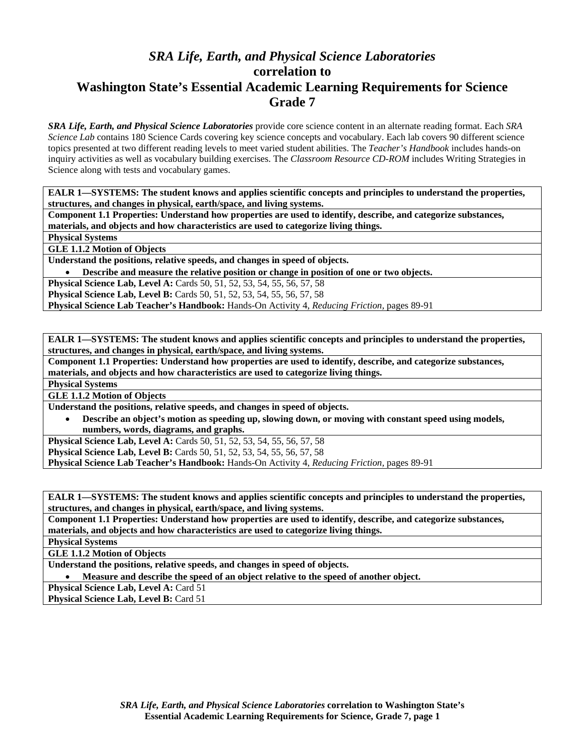# *SRA Life, Earth, and Physical Science Laboratories*  **correlation to Washington State's Essential Academic Learning Requirements for Science Grade 7**

*SRA Life, Earth, and Physical Science Laboratories* provide core science content in an alternate reading format. Each *SRA Science Lab* contains 180 Science Cards covering key science concepts and vocabulary. Each lab covers 90 different science topics presented at two different reading levels to meet varied student abilities. The *Teacher's Handbook* includes hands-on inquiry activities as well as vocabulary building exercises. The *Classroom Resource CD-ROM* includes Writing Strategies in Science along with tests and vocabulary games.

**EALR 1—SYSTEMS: The student knows and applies scientific concepts and principles to understand the properties, structures, and changes in physical, earth/space, and living systems.** 

**Component 1.1 Properties: Understand how properties are used to identify, describe, and categorize substances, materials, and objects and how characteristics are used to categorize living things.** 

**Physical Systems** 

**GLE 1.1.2 Motion of Objects** 

**Understand the positions, relative speeds, and changes in speed of objects.** 

• **Describe and measure the relative position or change in position of one or two objects.** 

**Physical Science Lab, Level A:** Cards 50, 51, 52, 53, 54, 55, 56, 57, 58

**Physical Science Lab, Level B:** Cards 50, 51, 52, 53, 54, 55, 56, 57, 58

**Physical Science Lab Teacher's Handbook:** Hands-On Activity 4, *Reducing Friction,* pages 89-91

**EALR 1—SYSTEMS: The student knows and applies scientific concepts and principles to understand the properties, structures, and changes in physical, earth/space, and living systems.** 

**Component 1.1 Properties: Understand how properties are used to identify, describe, and categorize substances, materials, and objects and how characteristics are used to categorize living things.** 

**Physical Systems** 

**GLE 1.1.2 Motion of Objects** 

**Understand the positions, relative speeds, and changes in speed of objects.** 

• **Describe an object's motion as speeding up, slowing down, or moving with constant speed using models, numbers, words, diagrams, and graphs.** 

**Physical Science Lab, Level A: Cards 50, 51, 52, 53, 54, 55, 56, 57, 58** 

**Physical Science Lab, Level B:** Cards 50, 51, 52, 53, 54, 55, 56, 57, 58

**Physical Science Lab Teacher's Handbook:** Hands-On Activity 4, *Reducing Friction,* pages 89-91

**EALR 1—SYSTEMS: The student knows and applies scientific concepts and principles to understand the properties, structures, and changes in physical, earth/space, and living systems.** 

**Component 1.1 Properties: Understand how properties are used to identify, describe, and categorize substances, materials, and objects and how characteristics are used to categorize living things.** 

**Physical Systems** 

**GLE 1.1.2 Motion of Objects** 

**Understand the positions, relative speeds, and changes in speed of objects.** 

• **Measure and describe the speed of an object relative to the speed of another object.** 

**Physical Science Lab, Level A: Card 51** 

**Physical Science Lab, Level B: Card 51**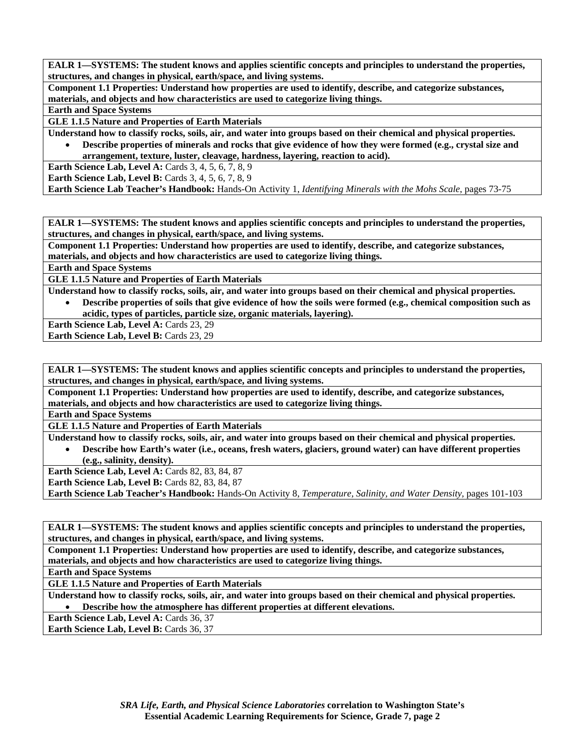**Component 1.1 Properties: Understand how properties are used to identify, describe, and categorize substances, materials, and objects and how characteristics are used to categorize living things.** 

#### **Earth and Space Systems**

**GLE 1.1.5 Nature and Properties of Earth Materials** 

**Understand how to classify rocks, soils, air, and water into groups based on their chemical and physical properties.** 

• **Describe properties of minerals and rocks that give evidence of how they were formed (e.g., crystal size and arrangement, texture, luster, cleavage, hardness, layering, reaction to acid).** 

**Earth Science Lab, Level A: Cards 3, 4, 5, 6, 7, 8, 9** 

**Earth Science Lab, Level B:** Cards 3, 4, 5, 6, 7, 8, 9

**Earth Science Lab Teacher's Handbook:** Hands-On Activity 1, *Identifying Minerals with the Mohs Scale,* pages 73-75

**EALR 1—SYSTEMS: The student knows and applies scientific concepts and principles to understand the properties, structures, and changes in physical, earth/space, and living systems.** 

**Component 1.1 Properties: Understand how properties are used to identify, describe, and categorize substances, materials, and objects and how characteristics are used to categorize living things.** 

**Earth and Space Systems** 

**GLE 1.1.5 Nature and Properties of Earth Materials** 

**Understand how to classify rocks, soils, air, and water into groups based on their chemical and physical properties.** 

- **Describe properties of soils that give evidence of how the soils were formed (e.g., chemical composition such as acidic, types of particles, particle size, organic materials, layering).**
- Earth Science Lab, Level A: Cards 23, 29

**Earth Science Lab, Level B: Cards 23, 29** 

**EALR 1—SYSTEMS: The student knows and applies scientific concepts and principles to understand the properties, structures, and changes in physical, earth/space, and living systems.** 

**Component 1.1 Properties: Understand how properties are used to identify, describe, and categorize substances, materials, and objects and how characteristics are used to categorize living things.** 

**Earth and Space Systems** 

**GLE 1.1.5 Nature and Properties of Earth Materials** 

**Understand how to classify rocks, soils, air, and water into groups based on their chemical and physical properties.**  • **Describe how Earth's water (i.e., oceans, fresh waters, glaciers, ground water) can have different properties** 

**(e.g., salinity, density).** 

**Earth Science Lab, Level A: Cards 82, 83, 84, 87 Earth Science Lab, Level B: Cards 82, 83, 84, 87** 

**Earth Science Lab Teacher's Handbook:** Hands-On Activity 8, *Temperature, Salinity, and Water Density,* pages 101-103

**EALR 1—SYSTEMS: The student knows and applies scientific concepts and principles to understand the properties, structures, and changes in physical, earth/space, and living systems.** 

**Component 1.1 Properties: Understand how properties are used to identify, describe, and categorize substances, materials, and objects and how characteristics are used to categorize living things.** 

**Earth and Space Systems** 

**GLE 1.1.5 Nature and Properties of Earth Materials** 

**Understand how to classify rocks, soils, air, and water into groups based on their chemical and physical properties.**  • **Describe how the atmosphere has different properties at different elevations.** 

**Earth Science Lab, Level A: Cards 36, 37** 

Earth Science Lab, Level B: Cards 36, 37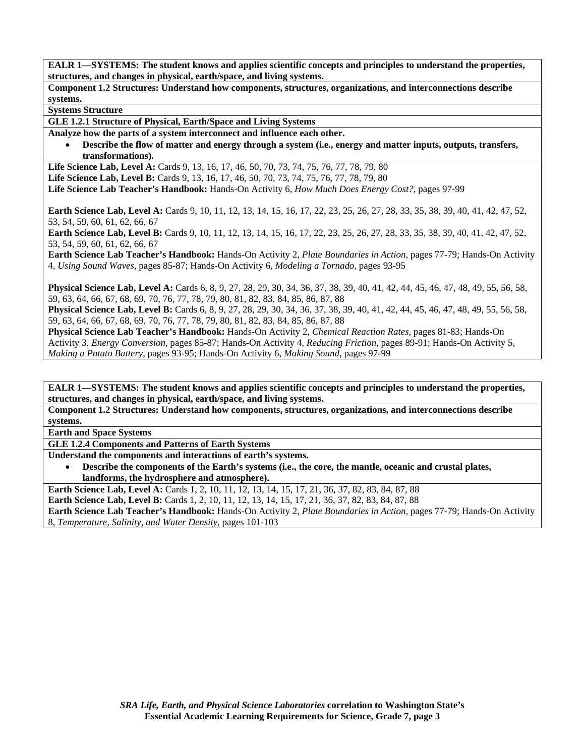**Component 1.2 Structures: Understand how components, structures, organizations, and interconnections describe systems.** 

**Systems Structure** 

**GLE 1.2.1 Structure of Physical, Earth/Space and Living Systems** 

**Analyze how the parts of a system interconnect and influence each other.** 

• **Describe the flow of matter and energy through a system (i.e., energy and matter inputs, outputs, transfers, transformations).** 

Life Science Lab, Level A: Cards 9, 13, 16, 17, 46, 50, 70, 73, 74, 75, 76, 77, 78, 79, 80 Life Science Lab, Level B: Cards 9, 13, 16, 17, 46, 50, 70, 73, 74, 75, 76, 77, 78, 79, 80 **Life Science Lab Teacher's Handbook:** Hands-On Activity 6, *How Much Does Energy Cost?,* pages 97-99

**Earth Science Lab, Level A:** Cards 9, 10, 11, 12, 13, 14, 15, 16, 17, 22, 23, 25, 26, 27, 28, 33, 35, 38, 39, 40, 41, 42, 47, 52, 53, 54, 59, 60, 61, 62, 66, 67

Earth Science Lab, Level B: Cards 9, 10, 11, 12, 13, 14, 15, 16, 17, 22, 23, 25, 26, 27, 28, 33, 35, 38, 39, 40, 41, 42, 47, 52, 53, 54, 59, 60, 61, 62, 66, 67

**Earth Science Lab Teacher's Handbook:** Hands-On Activity 2, *Plate Boundaries in Action,* pages 77-79; Hands-On Activity 4, *Using Sound Waves,* pages 85-87; Hands-On Activity 6, *Modeling a Tornado,* pages 93-95

**Physical Science Lab, Level A:** Cards 6, 8, 9, 27, 28, 29, 30, 34, 36, 37, 38, 39, 40, 41, 42, 44, 45, 46, 47, 48, 49, 55, 56, 58, 59, 63, 64, 66, 67, 68, 69, 70, 76, 77, 78, 79, 80, 81, 82, 83, 84, 85, 86, 87, 88

**Physical Science Lab, Level B:** Cards 6, 8, 9, 27, 28, 29, 30, 34, 36, 37, 38, 39, 40, 41, 42, 44, 45, 46, 47, 48, 49, 55, 56, 58, 59, 63, 64, 66, 67, 68, 69, 70, 76, 77, 78, 79, 80, 81, 82, 83, 84, 85, 86, 87, 88

**Physical Science Lab Teacher's Handbook:** Hands-On Activity 2, *Chemical Reaction Rates,* pages 81-83; Hands-On Activity 3, *Energy Conversion,* pages 85-87; Hands-On Activity 4, *Reducing Friction,* pages 89-91; Hands-On Activity 5, *Making a Potato Battery,* pages 93-95; Hands-On Activity 6, *Making Sound,* pages 97-99

**EALR 1—SYSTEMS: The student knows and applies scientific concepts and principles to understand the properties, structures, and changes in physical, earth/space, and living systems.** 

**Component 1.2 Structures: Understand how components, structures, organizations, and interconnections describe systems.** 

**Earth and Space Systems** 

**GLE 1.2.4 Components and Patterns of Earth Systems** 

**Understand the components and interactions of earth's systems.** 

• **Describe the components of the Earth's systems (i.e., the core, the mantle, oceanic and crustal plates, landforms, the hydrosphere and atmosphere).** 

**Earth Science Lab, Level A:** Cards 1, 2, 10, 11, 12, 13, 14, 15, 17, 21, 36, 37, 82, 83, 84, 87, 88 **Earth Science Lab, Level B:** Cards 1, 2, 10, 11, 12, 13, 14, 15, 17, 21, 36, 37, 82, 83, 84, 87, 88 **Earth Science Lab Teacher's Handbook:** Hands-On Activity 2, *Plate Boundaries in Action,* pages 77-79; Hands-On Activity 8, *Temperature, Salinity, and Water Density,* pages 101-103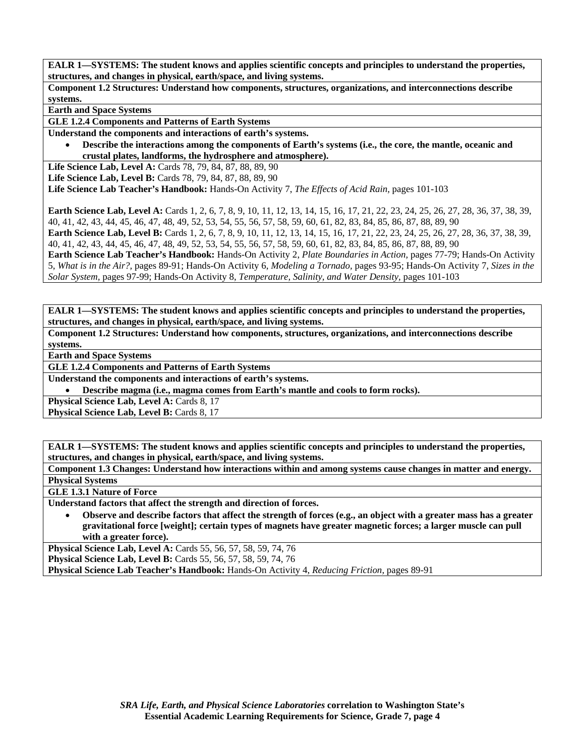**Component 1.2 Structures: Understand how components, structures, organizations, and interconnections describe systems.** 

**Earth and Space Systems** 

**GLE 1.2.4 Components and Patterns of Earth Systems** 

**Understand the components and interactions of earth's systems.** 

• **Describe the interactions among the components of Earth's systems (i.e., the core, the mantle, oceanic and crustal plates, landforms, the hydrosphere and atmosphere).** 

**Life Science Lab, Level A:** Cards 78, 79, 84, 87, 88, 89, 90

**Life Science Lab, Level B:** Cards 78, 79, 84, 87, 88, 89, 90

**Life Science Lab Teacher's Handbook:** Hands-On Activity 7, *The Effects of Acid Rain,* pages 101-103

**Earth Science Lab, Level A:** Cards 1, 2, 6, 7, 8, 9, 10, 11, 12, 13, 14, 15, 16, 17, 21, 22, 23, 24, 25, 26, 27, 28, 36, 37, 38, 39, 40, 41, 42, 43, 44, 45, 46, 47, 48, 49, 52, 53, 54, 55, 56, 57, 58, 59, 60, 61, 82, 83, 84, 85, 86, 87, 88, 89, 90

**Earth Science Lab, Level B:** Cards 1, 2, 6, 7, 8, 9, 10, 11, 12, 13, 14, 15, 16, 17, 21, 22, 23, 24, 25, 26, 27, 28, 36, 37, 38, 39, 40, 41, 42, 43, 44, 45, 46, 47, 48, 49, 52, 53, 54, 55, 56, 57, 58, 59, 60, 61, 82, 83, 84, 85, 86, 87, 88, 89, 90

**Earth Science Lab Teacher's Handbook:** Hands-On Activity 2, *Plate Boundaries in Action,* pages 77-79; Hands-On Activity 5, *What is in the Air?,* pages 89-91; Hands-On Activity 6, *Modeling a Tornado,* pages 93-95; Hands-On Activity 7, *Sizes in the Solar System,* pages 97-99; Hands-On Activity 8, *Temperature, Salinity, and Water Density,* pages 101-103

**EALR 1—SYSTEMS: The student knows and applies scientific concepts and principles to understand the properties, structures, and changes in physical, earth/space, and living systems.** 

**Component 1.2 Structures: Understand how components, structures, organizations, and interconnections describe systems.** 

**Earth and Space Systems** 

**GLE 1.2.4 Components and Patterns of Earth Systems** 

**Understand the components and interactions of earth's systems.** 

• **Describe magma (i.e., magma comes from Earth's mantle and cools to form rocks).** 

**Physical Science Lab, Level A: Cards 8, 17** 

Physical Science Lab, Level B: Cards 8, 17

**EALR 1—SYSTEMS: The student knows and applies scientific concepts and principles to understand the properties, structures, and changes in physical, earth/space, and living systems.** 

**Component 1.3 Changes: Understand how interactions within and among systems cause changes in matter and energy. Physical Systems** 

**GLE 1.3.1 Nature of Force** 

**Understand factors that affect the strength and direction of forces.** 

• **Observe and describe factors that affect the strength of forces (e.g., an object with a greater mass has a greater gravitational force [weight]; certain types of magnets have greater magnetic forces; a larger muscle can pull with a greater force).** 

**Physical Science Lab, Level A:** Cards 55, 56, 57, 58, 59, 74, 76 **Physical Science Lab, Level B:** Cards 55, 56, 57, 58, 59, 74, 76 **Physical Science Lab Teacher's Handbook:** Hands-On Activity 4, *Reducing Friction,* pages 89-91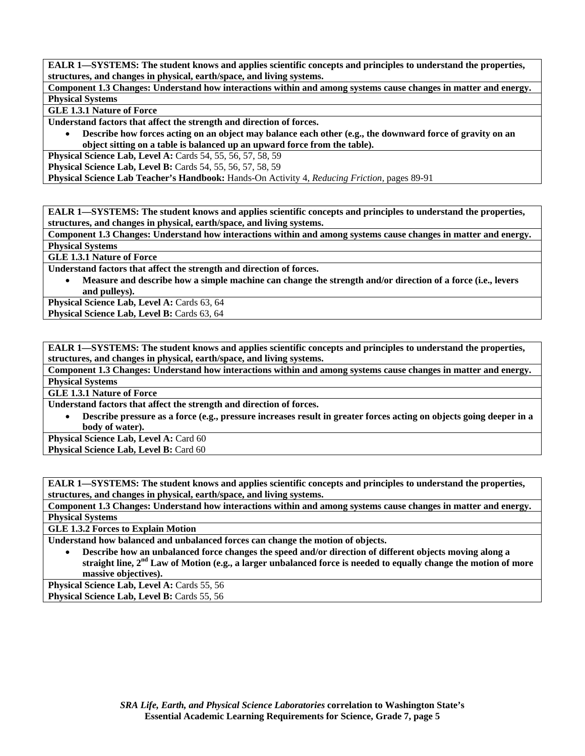**Component 1.3 Changes: Understand how interactions within and among systems cause changes in matter and energy. Physical Systems** 

**GLE 1.3.1 Nature of Force** 

**Understand factors that affect the strength and direction of forces.** 

• **Describe how forces acting on an object may balance each other (e.g., the downward force of gravity on an object sitting on a table is balanced up an upward force from the table).** 

**Physical Science Lab, Level A: Cards 54, 55, 56, 57, 58, 59** 

**Physical Science Lab, Level B:** Cards 54, 55, 56, 57, 58, 59

**Physical Science Lab Teacher's Handbook:** Hands-On Activity 4, *Reducing Friction,* pages 89-91

**EALR 1—SYSTEMS: The student knows and applies scientific concepts and principles to understand the properties, structures, and changes in physical, earth/space, and living systems.** 

**Component 1.3 Changes: Understand how interactions within and among systems cause changes in matter and energy. Physical Systems** 

**GLE 1.3.1 Nature of Force** 

**Understand factors that affect the strength and direction of forces.** 

• **Measure and describe how a simple machine can change the strength and/or direction of a force (i.e., levers and pulleys).** 

Physical Science Lab, Level A: Cards 63, 64

Physical Science Lab, Level B: Cards 63, 64

**EALR 1—SYSTEMS: The student knows and applies scientific concepts and principles to understand the properties, structures, and changes in physical, earth/space, and living systems.** 

**Component 1.3 Changes: Understand how interactions within and among systems cause changes in matter and energy. Physical Systems** 

**GLE 1.3.1 Nature of Force** 

**Understand factors that affect the strength and direction of forces.** 

• **Describe pressure as a force (e.g., pressure increases result in greater forces acting on objects going deeper in a body of water).** 

**Physical Science Lab, Level A: Card 60 Physical Science Lab, Level B: Card 60** 

**EALR 1—SYSTEMS: The student knows and applies scientific concepts and principles to understand the properties, structures, and changes in physical, earth/space, and living systems.** 

**Component 1.3 Changes: Understand how interactions within and among systems cause changes in matter and energy. Physical Systems** 

**GLE 1.3.2 Forces to Explain Motion** 

**Understand how balanced and unbalanced forces can change the motion of objects.** 

• **Describe how an unbalanced force changes the speed and/or direction of different objects moving along a straight line, 2nd Law of Motion (e.g., a larger unbalanced force is needed to equally change the motion of more massive objectives).** 

**Physical Science Lab, Level A: Cards 55, 56** Physical Science Lab, Level B: Cards 55, 56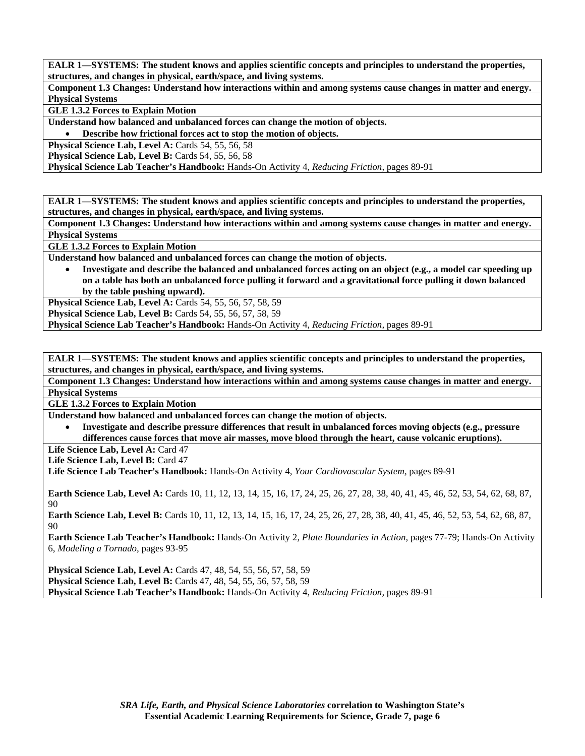**Component 1.3 Changes: Understand how interactions within and among systems cause changes in matter and energy. Physical Systems** 

**GLE 1.3.2 Forces to Explain Motion** 

**Understand how balanced and unbalanced forces can change the motion of objects.** 

• **Describe how frictional forces act to stop the motion of objects.** 

**Physical Science Lab, Level A: Cards 54, 55, 56, 58** 

**Physical Science Lab, Level B: Cards 54, 55, 56, 58** 

**Physical Science Lab Teacher's Handbook:** Hands-On Activity 4, *Reducing Friction,* pages 89-91

**EALR 1—SYSTEMS: The student knows and applies scientific concepts and principles to understand the properties, structures, and changes in physical, earth/space, and living systems.** 

**Component 1.3 Changes: Understand how interactions within and among systems cause changes in matter and energy. Physical Systems** 

**GLE 1.3.2 Forces to Explain Motion** 

**Understand how balanced and unbalanced forces can change the motion of objects.** 

• **Investigate and describe the balanced and unbalanced forces acting on an object (e.g., a model car speeding up on a table has both an unbalanced force pulling it forward and a gravitational force pulling it down balanced by the table pushing upward).** 

**Physical Science Lab, Level A:** Cards 54, 55, 56, 57, 58, 59

**Physical Science Lab, Level B:** Cards 54, 55, 56, 57, 58, 59

**Physical Science Lab Teacher's Handbook:** Hands-On Activity 4, *Reducing Friction,* pages 89-91

**EALR 1—SYSTEMS: The student knows and applies scientific concepts and principles to understand the properties, structures, and changes in physical, earth/space, and living systems.** 

**Component 1.3 Changes: Understand how interactions within and among systems cause changes in matter and energy. Physical Systems** 

**GLE 1.3.2 Forces to Explain Motion** 

**Understand how balanced and unbalanced forces can change the motion of objects.** 

• **Investigate and describe pressure differences that result in unbalanced forces moving objects (e.g., pressure differences cause forces that move air masses, move blood through the heart, cause volcanic eruptions).** 

Life Science Lab, Level A: Card 47

Life Science Lab, Level B: Card 47

**Life Science Lab Teacher's Handbook:** Hands-On Activity 4, *Your Cardiovascular System,* pages 89-91

**Earth Science Lab, Level A:** Cards 10, 11, 12, 13, 14, 15, 16, 17, 24, 25, 26, 27, 28, 38, 40, 41, 45, 46, 52, 53, 54, 62, 68, 87, 90

**Earth Science Lab, Level B:** Cards 10, 11, 12, 13, 14, 15, 16, 17, 24, 25, 26, 27, 28, 38, 40, 41, 45, 46, 52, 53, 54, 62, 68, 87, 90

**Earth Science Lab Teacher's Handbook:** Hands-On Activity 2, *Plate Boundaries in Action,* pages 77-79; Hands-On Activity 6, *Modeling a Tornado,* pages 93-95

**Physical Science Lab, Level A:** Cards 47, 48, 54, 55, 56, 57, 58, 59 **Physical Science Lab, Level B:** Cards 47, 48, 54, 55, 56, 57, 58, 59 **Physical Science Lab Teacher's Handbook:** Hands-On Activity 4, *Reducing Friction,* pages 89-91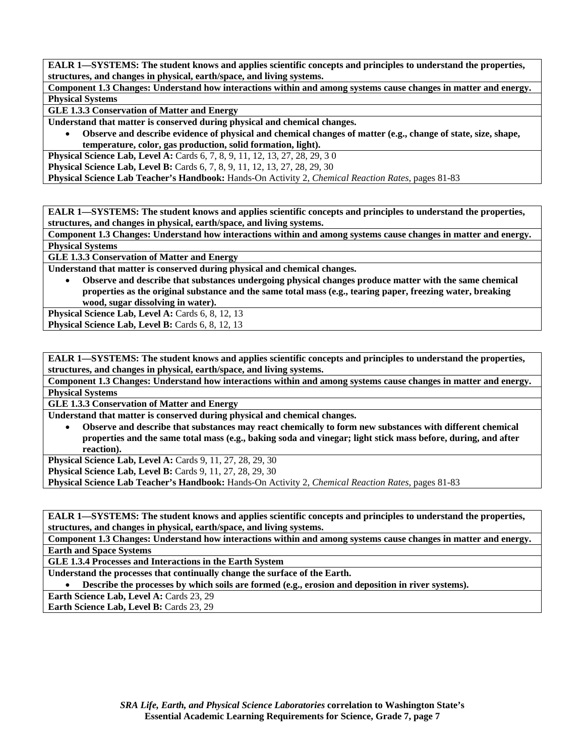**Component 1.3 Changes: Understand how interactions within and among systems cause changes in matter and energy. Physical Systems** 

**GLE 1.3.3 Conservation of Matter and Energy** 

**Understand that matter is conserved during physical and chemical changes.** 

• **Observe and describe evidence of physical and chemical changes of matter (e.g., change of state, size, shape, temperature, color, gas production, solid formation, light).** 

**Physical Science Lab, Level A:** Cards 6, 7, 8, 9, 11, 12, 13, 27, 28, 29, 30

**Physical Science Lab, Level B:** Cards 6, 7, 8, 9, 11, 12, 13, 27, 28, 29, 30

**Physical Science Lab Teacher's Handbook:** Hands-On Activity 2, *Chemical Reaction Rates,* pages 81-83

**EALR 1—SYSTEMS: The student knows and applies scientific concepts and principles to understand the properties, structures, and changes in physical, earth/space, and living systems.** 

**Component 1.3 Changes: Understand how interactions within and among systems cause changes in matter and energy. Physical Systems** 

**GLE 1.3.3 Conservation of Matter and Energy** 

**Understand that matter is conserved during physical and chemical changes.** 

• **Observe and describe that substances undergoing physical changes produce matter with the same chemical properties as the original substance and the same total mass (e.g., tearing paper, freezing water, breaking wood, sugar dissolving in water).** 

Physical Science Lab, Level A: Cards 6, 8, 12, 13 **Physical Science Lab, Level B: Cards 6, 8, 12, 13** 

**EALR 1—SYSTEMS: The student knows and applies scientific concepts and principles to understand the properties, structures, and changes in physical, earth/space, and living systems.** 

**Component 1.3 Changes: Understand how interactions within and among systems cause changes in matter and energy. Physical Systems** 

**GLE 1.3.3 Conservation of Matter and Energy** 

**Understand that matter is conserved during physical and chemical changes.** 

• **Observe and describe that substances may react chemically to form new substances with different chemical properties and the same total mass (e.g., baking soda and vinegar; light stick mass before, during, and after reaction).** 

**Physical Science Lab, Level A: Cards 9, 11, 27, 28, 29, 30** 

**Physical Science Lab, Level B:** Cards 9, 11, 27, 28, 29, 30

**Physical Science Lab Teacher's Handbook:** Hands-On Activity 2, *Chemical Reaction Rates,* pages 81-83

**EALR 1—SYSTEMS: The student knows and applies scientific concepts and principles to understand the properties, structures, and changes in physical, earth/space, and living systems.** 

**Component 1.3 Changes: Understand how interactions within and among systems cause changes in matter and energy. Earth and Space Systems** 

**GLE 1.3.4 Processes and Interactions in the Earth System** 

**Understand the processes that continually change the surface of the Earth.** 

• **Describe the processes by which soils are formed (e.g., erosion and deposition in river systems).** 

**Earth Science Lab, Level A: Cards 23, 29** 

**Earth Science Lab, Level B: Cards 23, 29**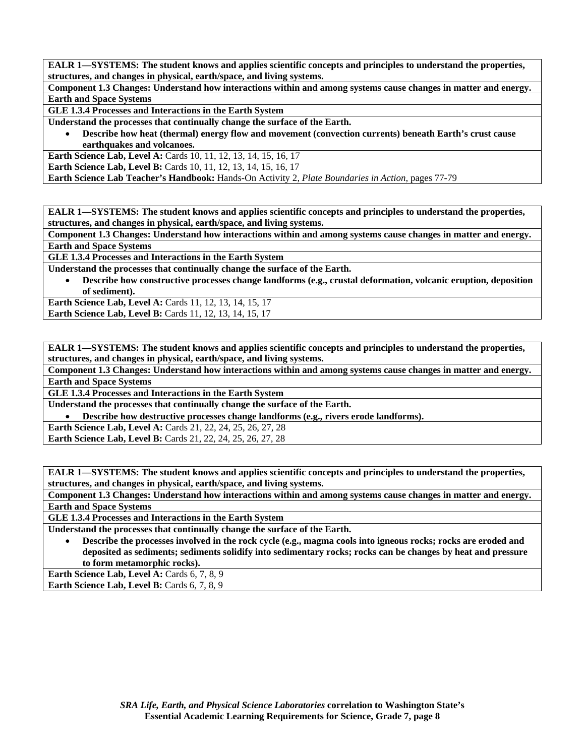**Component 1.3 Changes: Understand how interactions within and among systems cause changes in matter and energy. Earth and Space Systems** 

**GLE 1.3.4 Processes and Interactions in the Earth System** 

**Understand the processes that continually change the surface of the Earth.** 

• **Describe how heat (thermal) energy flow and movement (convection currents) beneath Earth's crust cause earthquakes and volcanoes.** 

**Earth Science Lab, Level A: Cards 10, 11, 12, 13, 14, 15, 16, 17 Earth Science Lab, Level B:** Cards 10, 11, 12, 13, 14, 15, 16, 17

**Earth Science Lab Teacher's Handbook:** Hands-On Activity 2, *Plate Boundaries in Action,* pages 77-79

**EALR 1—SYSTEMS: The student knows and applies scientific concepts and principles to understand the properties, structures, and changes in physical, earth/space, and living systems.** 

**Component 1.3 Changes: Understand how interactions within and among systems cause changes in matter and energy. Earth and Space Systems** 

**GLE 1.3.4 Processes and Interactions in the Earth System** 

**Understand the processes that continually change the surface of the Earth.** 

• **Describe how constructive processes change landforms (e.g., crustal deformation, volcanic eruption, deposition of sediment).** 

**Earth Science Lab, Level A: Cards 11, 12, 13, 14, 15, 17** 

**Earth Science Lab, Level B:** Cards 11, 12, 13, 14, 15, 17

**EALR 1—SYSTEMS: The student knows and applies scientific concepts and principles to understand the properties, structures, and changes in physical, earth/space, and living systems.** 

**Component 1.3 Changes: Understand how interactions within and among systems cause changes in matter and energy. Earth and Space Systems** 

**GLE 1.3.4 Processes and Interactions in the Earth System** 

**Understand the processes that continually change the surface of the Earth.** 

• **Describe how destructive processes change landforms (e.g., rivers erode landforms).** 

**Earth Science Lab, Level A:** Cards 21, 22, 24, 25, 26, 27, 28

**Earth Science Lab, Level B:** Cards 21, 22, 24, 25, 26, 27, 28

**EALR 1—SYSTEMS: The student knows and applies scientific concepts and principles to understand the properties, structures, and changes in physical, earth/space, and living systems.** 

**Component 1.3 Changes: Understand how interactions within and among systems cause changes in matter and energy. Earth and Space Systems** 

**GLE 1.3.4 Processes and Interactions in the Earth System** 

**Understand the processes that continually change the surface of the Earth.** 

• **Describe the processes involved in the rock cycle (e.g., magma cools into igneous rocks; rocks are eroded and deposited as sediments; sediments solidify into sedimentary rocks; rocks can be changes by heat and pressure to form metamorphic rocks).** 

**Earth Science Lab, Level A: Cards 6, 7, 8, 9** Earth Science Lab, Level B: Cards 6, 7, 8, 9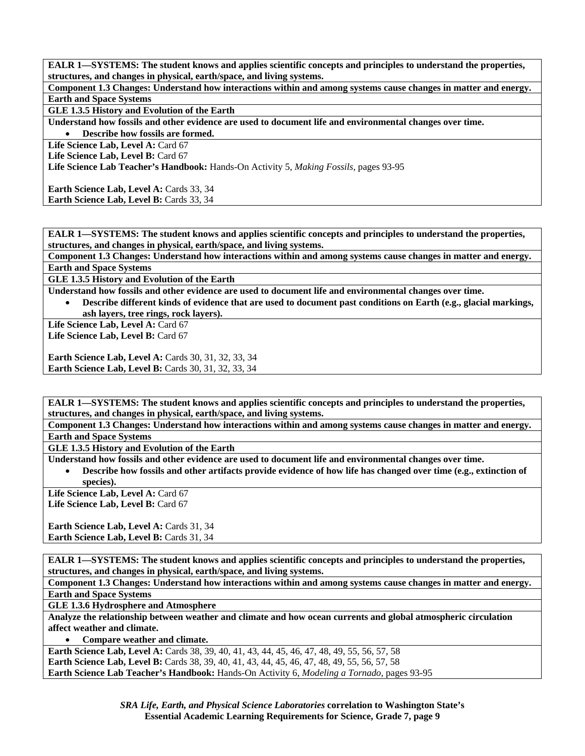**Component 1.3 Changes: Understand how interactions within and among systems cause changes in matter and energy. Earth and Space Systems** 

**GLE 1.3.5 History and Evolution of the Earth** 

**Understand how fossils and other evidence are used to document life and environmental changes over time.** 

• **Describe how fossils are formed.** 

Life Science Lab, Level A: Card 67

Life Science Lab, Level B: Card 67

**Life Science Lab Teacher's Handbook:** Hands-On Activity 5, *Making Fossils,* pages 93-95

Earth Science Lab, Level A: Cards 33, 34 Earth Science Lab, Level B: Cards 33, 34

**EALR 1—SYSTEMS: The student knows and applies scientific concepts and principles to understand the properties, structures, and changes in physical, earth/space, and living systems.** 

**Component 1.3 Changes: Understand how interactions within and among systems cause changes in matter and energy. Earth and Space Systems** 

**GLE 1.3.5 History and Evolution of the Earth** 

**Understand how fossils and other evidence are used to document life and environmental changes over time.** 

• **Describe different kinds of evidence that are used to document past conditions on Earth (e.g., glacial markings, ash layers, tree rings, rock layers).** 

Life Science Lab, Level A: Card 67

Life Science Lab, Level B: Card 67

**Earth Science Lab, Level A: Cards 30, 31, 32, 33, 34 Earth Science Lab, Level B: Cards 30, 31, 32, 33, 34** 

**EALR 1—SYSTEMS: The student knows and applies scientific concepts and principles to understand the properties, structures, and changes in physical, earth/space, and living systems.** 

**Component 1.3 Changes: Understand how interactions within and among systems cause changes in matter and energy. Earth and Space Systems** 

**GLE 1.3.5 History and Evolution of the Earth** 

**Understand how fossils and other evidence are used to document life and environmental changes over time.** 

• **Describe how fossils and other artifacts provide evidence of how life has changed over time (e.g., extinction of species).** 

Life Science Lab, Level A: Card 67

Life Science Lab, Level B: Card 67

**Earth Science Lab, Level A: Cards 31, 34 Earth Science Lab, Level B: Cards 31, 34** 

**EALR 1—SYSTEMS: The student knows and applies scientific concepts and principles to understand the properties, structures, and changes in physical, earth/space, and living systems.** 

**Component 1.3 Changes: Understand how interactions within and among systems cause changes in matter and energy. Earth and Space Systems** 

**GLE 1.3.6 Hydrosphere and Atmosphere** 

**Analyze the relationship between weather and climate and how ocean currents and global atmospheric circulation affect weather and climate.** 

• **Compare weather and climate.** 

Earth Science Lab, Level A: Cards 38, 39, 40, 41, 43, 44, 45, 46, 47, 48, 49, 55, 56, 57, 58 **Earth Science Lab, Level B:** Cards 38, 39, 40, 41, 43, 44, 45, 46, 47, 48, 49, 55, 56, 57, 58 **Earth Science Lab Teacher's Handbook:** Hands-On Activity 6, *Modeling a Tornado,* pages 93-95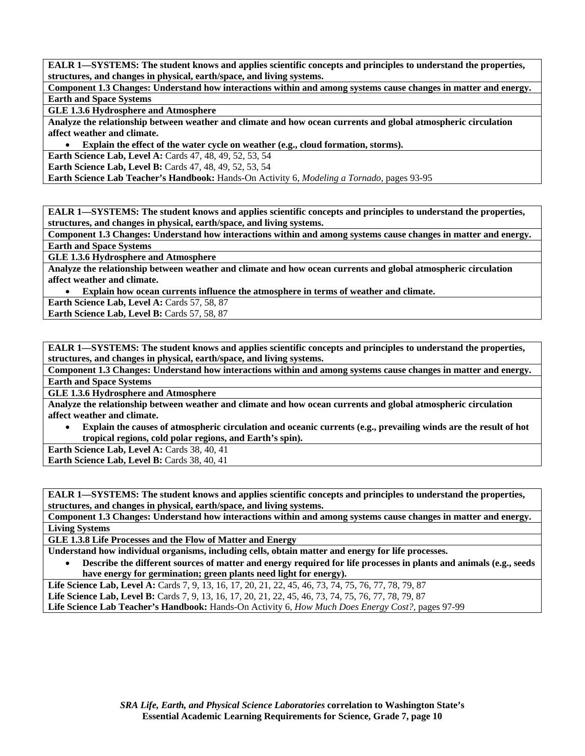**Component 1.3 Changes: Understand how interactions within and among systems cause changes in matter and energy. Earth and Space Systems** 

**GLE 1.3.6 Hydrosphere and Atmosphere** 

**Analyze the relationship between weather and climate and how ocean currents and global atmospheric circulation affect weather and climate.** 

• **Explain the effect of the water cycle on weather (e.g., cloud formation, storms).** 

**Earth Science Lab, Level A: Cards 47, 48, 49, 52, 53, 54** 

**Earth Science Lab, Level B:** Cards 47, 48, 49, 52, 53, 54

**Earth Science Lab Teacher's Handbook:** Hands-On Activity 6, *Modeling a Tornado,* pages 93-95

**EALR 1—SYSTEMS: The student knows and applies scientific concepts and principles to understand the properties, structures, and changes in physical, earth/space, and living systems.** 

**Component 1.3 Changes: Understand how interactions within and among systems cause changes in matter and energy. Earth and Space Systems** 

**GLE 1.3.6 Hydrosphere and Atmosphere** 

**Analyze the relationship between weather and climate and how ocean currents and global atmospheric circulation affect weather and climate.** 

• **Explain how ocean currents influence the atmosphere in terms of weather and climate.** 

**Earth Science Lab, Level A: Cards 57, 58, 87** 

Earth Science Lab, Level B: Cards 57, 58, 87

**EALR 1—SYSTEMS: The student knows and applies scientific concepts and principles to understand the properties, structures, and changes in physical, earth/space, and living systems.** 

**Component 1.3 Changes: Understand how interactions within and among systems cause changes in matter and energy. Earth and Space Systems** 

**GLE 1.3.6 Hydrosphere and Atmosphere** 

**Analyze the relationship between weather and climate and how ocean currents and global atmospheric circulation affect weather and climate.** 

• **Explain the causes of atmospheric circulation and oceanic currents (e.g., prevailing winds are the result of hot tropical regions, cold polar regions, and Earth's spin).** 

**Earth Science Lab, Level A: Cards 38, 40, 41** 

Earth Science Lab, Level B: Cards 38, 40, 41

**EALR 1—SYSTEMS: The student knows and applies scientific concepts and principles to understand the properties, structures, and changes in physical, earth/space, and living systems.** 

**Component 1.3 Changes: Understand how interactions within and among systems cause changes in matter and energy. Living Systems** 

**GLE 1.3.8 Life Processes and the Flow of Matter and Energy** 

**Understand how individual organisms, including cells, obtain matter and energy for life processes.** 

- **Describe the different sources of matter and energy required for life processes in plants and animals (e.g., seeds have energy for germination; green plants need light for energy).**
- **Life Science Lab, Level A:** Cards 7, 9, 13, 16, 17, 20, 21, 22, 45, 46, 73, 74, 75, 76, 77, 78, 79, 87 **Life Science Lab, Level B:** Cards 7, 9, 13, 16, 17, 20, 21, 22, 45, 46, 73, 74, 75, 76, 77, 78, 79, 87 **Life Science Lab Teacher's Handbook:** Hands-On Activity 6, *How Much Does Energy Cost?,* pages 97-99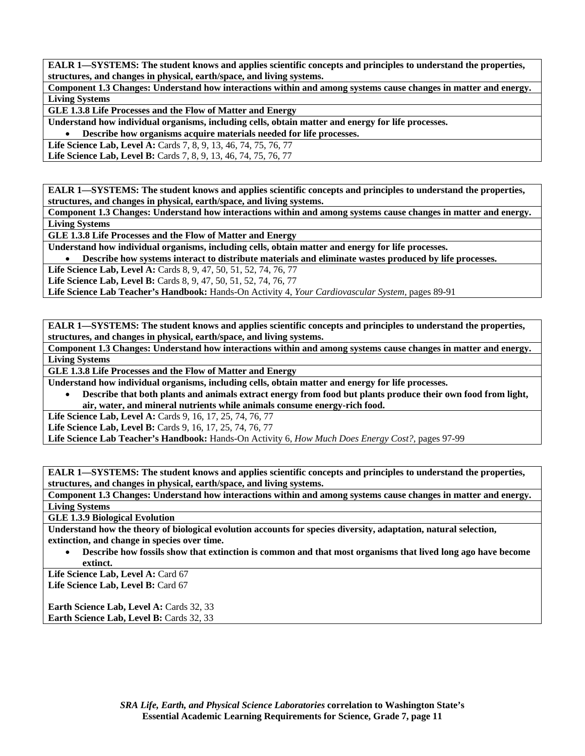**Component 1.3 Changes: Understand how interactions within and among systems cause changes in matter and energy. Living Systems** 

**GLE 1.3.8 Life Processes and the Flow of Matter and Energy** 

**Understand how individual organisms, including cells, obtain matter and energy for life processes.** 

• **Describe how organisms acquire materials needed for life processes.** 

**Life Science Lab, Level A:** Cards 7, 8, 9, 13, 46, 74, 75, 76, 77

**Life Science Lab, Level B:** Cards 7, 8, 9, 13, 46, 74, 75, 76, 77

**EALR 1—SYSTEMS: The student knows and applies scientific concepts and principles to understand the properties, structures, and changes in physical, earth/space, and living systems.** 

**Component 1.3 Changes: Understand how interactions within and among systems cause changes in matter and energy. Living Systems** 

**GLE 1.3.8 Life Processes and the Flow of Matter and Energy** 

**Understand how individual organisms, including cells, obtain matter and energy for life processes.** 

• **Describe how systems interact to distribute materials and eliminate wastes produced by life processes.** 

**Life Science Lab, Level A:** Cards 8, 9, 47, 50, 51, 52, 74, 76, 77

Life Science Lab, Level B: Cards 8, 9, 47, 50, 51, 52, 74, 76, 77

**Life Science Lab Teacher's Handbook:** Hands-On Activity 4, *Your Cardiovascular System,* pages 89-91

**EALR 1—SYSTEMS: The student knows and applies scientific concepts and principles to understand the properties, structures, and changes in physical, earth/space, and living systems.** 

**Component 1.3 Changes: Understand how interactions within and among systems cause changes in matter and energy. Living Systems** 

**GLE 1.3.8 Life Processes and the Flow of Matter and Energy** 

**Understand how individual organisms, including cells, obtain matter and energy for life processes.** 

• **Describe that both plants and animals extract energy from food but plants produce their own food from light, air, water, and mineral nutrients while animals consume energy-rich food.** 

Life Science Lab, Level A: Cards 9, 16, 17, 25, 74, 76, 77

Life Science Lab, Level B: Cards 9, 16, 17, 25, 74, 76, 77

**Life Science Lab Teacher's Handbook:** Hands-On Activity 6, *How Much Does Energy Cost?,* pages 97-99

**EALR 1—SYSTEMS: The student knows and applies scientific concepts and principles to understand the properties, structures, and changes in physical, earth/space, and living systems.** 

**Component 1.3 Changes: Understand how interactions within and among systems cause changes in matter and energy. Living Systems** 

**GLE 1.3.9 Biological Evolution** 

**Understand how the theory of biological evolution accounts for species diversity, adaptation, natural selection, extinction, and change in species over time.** 

• **Describe how fossils show that extinction is common and that most organisms that lived long ago have become extinct.** 

Life Science Lab, Level A: Card 67

Life Science Lab, Level B: Card 67

Earth Science Lab, Level A: Cards 32, 33 **Earth Science Lab, Level B: Cards 32, 33**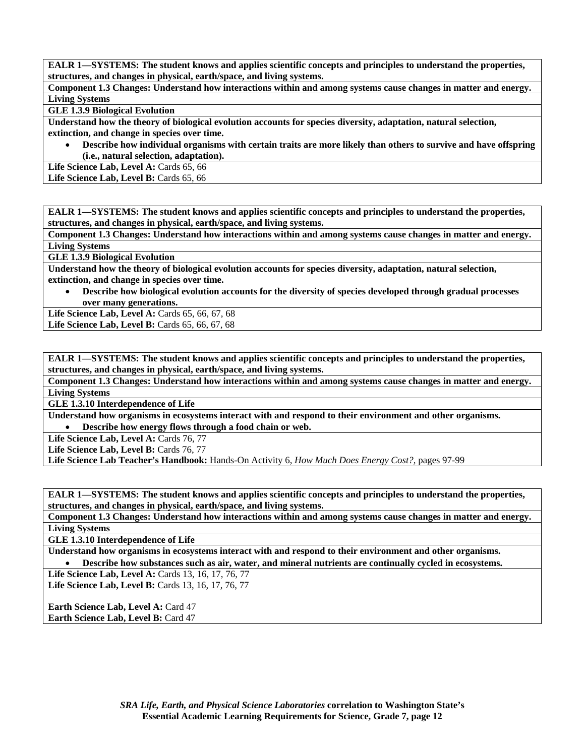**Component 1.3 Changes: Understand how interactions within and among systems cause changes in matter and energy. Living Systems** 

#### **GLE 1.3.9 Biological Evolution**

**Understand how the theory of biological evolution accounts for species diversity, adaptation, natural selection, extinction, and change in species over time.** 

• **Describe how individual organisms with certain traits are more likely than others to survive and have offspring (i.e., natural selection, adaptation).** 

Life Science Lab, Level A: Cards 65, 66

Life Science Lab, Level B: Cards 65, 66

**EALR 1—SYSTEMS: The student knows and applies scientific concepts and principles to understand the properties, structures, and changes in physical, earth/space, and living systems.** 

**Component 1.3 Changes: Understand how interactions within and among systems cause changes in matter and energy. Living Systems** 

**GLE 1.3.9 Biological Evolution** 

**Understand how the theory of biological evolution accounts for species diversity, adaptation, natural selection, extinction, and change in species over time.** 

• **Describe how biological evolution accounts for the diversity of species developed through gradual processes over many generations.** 

Life Science Lab, Level A: Cards 65, 66, 67, 68 Life Science Lab, Level B: Cards 65, 66, 67, 68

**EALR 1—SYSTEMS: The student knows and applies scientific concepts and principles to understand the properties, structures, and changes in physical, earth/space, and living systems.** 

**Component 1.3 Changes: Understand how interactions within and among systems cause changes in matter and energy. Living Systems** 

**GLE 1.3.10 Interdependence of Life** 

**Understand how organisms in ecosystems interact with and respond to their environment and other organisms.**  • **Describe how energy flows through a food chain or web.** 

Life Science Lab, Level A: Cards 76, 77

Life Science Lab, Level B: Cards 76, 77

**Life Science Lab Teacher's Handbook:** Hands-On Activity 6, *How Much Does Energy Cost?,* pages 97-99

**EALR 1—SYSTEMS: The student knows and applies scientific concepts and principles to understand the properties, structures, and changes in physical, earth/space, and living systems.** 

**Component 1.3 Changes: Understand how interactions within and among systems cause changes in matter and energy. Living Systems** 

**GLE 1.3.10 Interdependence of Life** 

**Understand how organisms in ecosystems interact with and respond to their environment and other organisms.**  • **Describe how substances such as air, water, and mineral nutrients are continually cycled in ecosystems.** 

Life Science Lab, Level A: Cards 13, 16, 17, 76, 77

Life Science Lab, Level B: Cards 13, 16, 17, 76, 77

**Earth Science Lab, Level A: Card 47 Earth Science Lab, Level B: Card 47**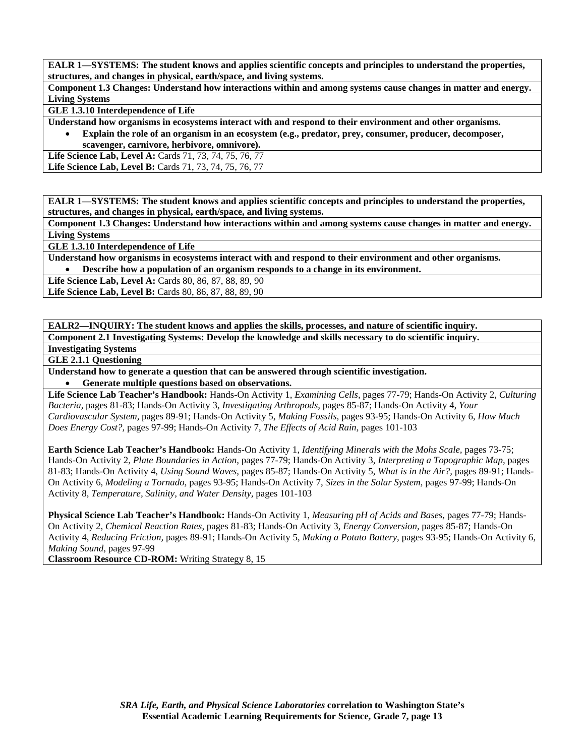**Component 1.3 Changes: Understand how interactions within and among systems cause changes in matter and energy. Living Systems** 

**GLE 1.3.10 Interdependence of Life** 

**Understand how organisms in ecosystems interact with and respond to their environment and other organisms.** 

• **Explain the role of an organism in an ecosystem (e.g., predator, prey, consumer, producer, decomposer, scavenger, carnivore, herbivore, omnivore).** 

**Life Science Lab, Level A:** Cards 71, 73, 74, 75, 76, 77 **Life Science Lab, Level B:** Cards 71, 73, 74, 75, 76, 77

**EALR 1—SYSTEMS: The student knows and applies scientific concepts and principles to understand the properties, structures, and changes in physical, earth/space, and living systems.** 

**Component 1.3 Changes: Understand how interactions within and among systems cause changes in matter and energy. Living Systems** 

**GLE 1.3.10 Interdependence of Life** 

**Understand how organisms in ecosystems interact with and respond to their environment and other organisms.** 

• **Describe how a population of an organism responds to a change in its environment.** 

**Life Science Lab, Level A: Cards 80, 86, 87, 88, 89, 90** 

Life Science Lab, Level B: Cards 80, 86, 87, 88, 89, 90

**EALR2—INQUIRY: The student knows and applies the skills, processes, and nature of scientific inquiry.** 

**Component 2.1 Investigating Systems: Develop the knowledge and skills necessary to do scientific inquiry.** 

**Investigating Systems** 

**GLE 2.1.1 Questioning** 

**Understand how to generate a question that can be answered through scientific investigation.** 

• **Generate multiple questions based on observations.** 

**Life Science Lab Teacher's Handbook:** Hands-On Activity 1, *Examining Cells,* pages 77-79; Hands-On Activity 2, *Culturing Bacteria,* pages 81-83; Hands-On Activity 3, *Investigating Arthropods,* pages 85-87; Hands-On Activity 4, *Your Cardiovascular System,* pages 89-91; Hands-On Activity 5, *Making Fossils,* pages 93-95; Hands-On Activity 6, *How Much Does Energy Cost?,* pages 97-99; Hands-On Activity 7, *The Effects of Acid Rain,* pages 101-103

**Earth Science Lab Teacher's Handbook:** Hands-On Activity 1, *Identifying Minerals with the Mohs Scale,* pages 73-75; Hands-On Activity 2, *Plate Boundaries in Action,* pages 77-79; Hands-On Activity 3, *Interpreting a Topographic Map,* pages 81-83; Hands-On Activity 4, *Using Sound Waves,* pages 85-87; Hands-On Activity 5, *What is in the Air?,* pages 89-91; Hands-On Activity 6, *Modeling a Tornado,* pages 93-95; Hands-On Activity 7, *Sizes in the Solar System,* pages 97-99; Hands-On Activity 8, *Temperature, Salinity, and Water Density,* pages 101-103

**Physical Science Lab Teacher's Handbook:** Hands-On Activity 1, *Measuring pH of Acids and Bases,* pages 77-79; Hands-On Activity 2, *Chemical Reaction Rates,* pages 81-83; Hands-On Activity 3, *Energy Conversion,* pages 85-87; Hands-On Activity 4, *Reducing Friction,* pages 89-91; Hands-On Activity 5, *Making a Potato Battery,* pages 93-95; Hands-On Activity 6, *Making Sound,* pages 97-99

**Classroom Resource CD-ROM:** Writing Strategy 8, 15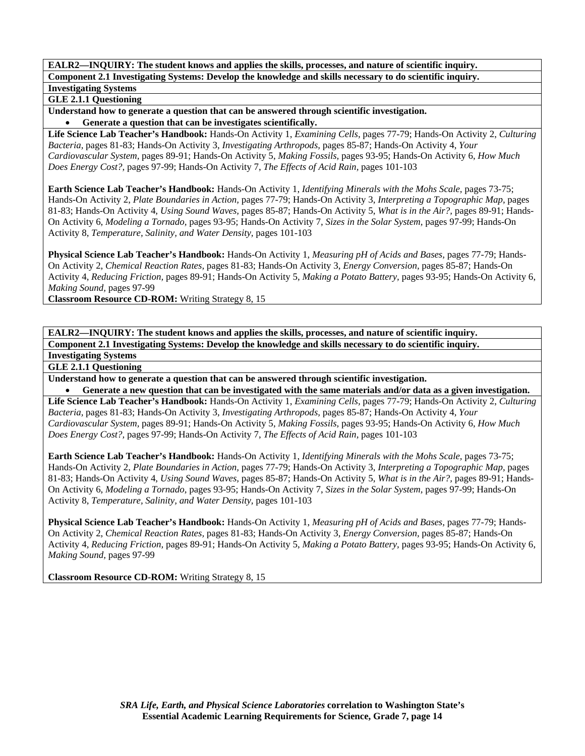### **GLE 2.1.1 Questioning**

**Understand how to generate a question that can be answered through scientific investigation.**  • **Generate a question that can be investigates scientifically.** 

**Life Science Lab Teacher's Handbook:** Hands-On Activity 1, *Examining Cells,* pages 77-79; Hands-On Activity 2, *Culturing Bacteria,* pages 81-83; Hands-On Activity 3, *Investigating Arthropods,* pages 85-87; Hands-On Activity 4, *Your Cardiovascular System,* pages 89-91; Hands-On Activity 5, *Making Fossils,* pages 93-95; Hands-On Activity 6, *How Much Does Energy Cost?,* pages 97-99; Hands-On Activity 7, *The Effects of Acid Rain,* pages 101-103

**Earth Science Lab Teacher's Handbook:** Hands-On Activity 1, *Identifying Minerals with the Mohs Scale,* pages 73-75; Hands-On Activity 2, *Plate Boundaries in Action,* pages 77-79; Hands-On Activity 3, *Interpreting a Topographic Map,* pages 81-83; Hands-On Activity 4, *Using Sound Waves,* pages 85-87; Hands-On Activity 5, *What is in the Air?,* pages 89-91; Hands-On Activity 6, *Modeling a Tornado,* pages 93-95; Hands-On Activity 7, *Sizes in the Solar System,* pages 97-99; Hands-On Activity 8, *Temperature, Salinity, and Water Density,* pages 101-103

**Physical Science Lab Teacher's Handbook:** Hands-On Activity 1, *Measuring pH of Acids and Bases,* pages 77-79; Hands-On Activity 2, *Chemical Reaction Rates,* pages 81-83; Hands-On Activity 3, *Energy Conversion,* pages 85-87; Hands-On Activity 4, *Reducing Friction,* pages 89-91; Hands-On Activity 5, *Making a Potato Battery,* pages 93-95; Hands-On Activity 6, *Making Sound,* pages 97-99

**Classroom Resource CD-ROM:** Writing Strategy 8, 15

**EALR2—INQUIRY: The student knows and applies the skills, processes, and nature of scientific inquiry. Component 2.1 Investigating Systems: Develop the knowledge and skills necessary to do scientific inquiry. Investigating Systems** 

**GLE 2.1.1 Questioning** 

**Understand how to generate a question that can be answered through scientific investigation.** 

• **Generate a new question that can be investigated with the same materials and/or data as a given investigation. Life Science Lab Teacher's Handbook:** Hands-On Activity 1, *Examining Cells,* pages 77-79; Hands-On Activity 2, *Culturing Bacteria,* pages 81-83; Hands-On Activity 3, *Investigating Arthropods,* pages 85-87; Hands-On Activity 4, *Your Cardiovascular System,* pages 89-91; Hands-On Activity 5, *Making Fossils,* pages 93-95; Hands-On Activity 6, *How Much Does Energy Cost?,* pages 97-99; Hands-On Activity 7, *The Effects of Acid Rain,* pages 101-103

**Earth Science Lab Teacher's Handbook:** Hands-On Activity 1, *Identifying Minerals with the Mohs Scale,* pages 73-75; Hands-On Activity 2, *Plate Boundaries in Action,* pages 77-79; Hands-On Activity 3, *Interpreting a Topographic Map,* pages 81-83; Hands-On Activity 4, *Using Sound Waves,* pages 85-87; Hands-On Activity 5, *What is in the Air?,* pages 89-91; Hands-On Activity 6, *Modeling a Tornado,* pages 93-95; Hands-On Activity 7, *Sizes in the Solar System,* pages 97-99; Hands-On Activity 8, *Temperature, Salinity, and Water Density,* pages 101-103

**Physical Science Lab Teacher's Handbook:** Hands-On Activity 1, *Measuring pH of Acids and Bases,* pages 77-79; Hands-On Activity 2, *Chemical Reaction Rates,* pages 81-83; Hands-On Activity 3, *Energy Conversion,* pages 85-87; Hands-On Activity 4, *Reducing Friction,* pages 89-91; Hands-On Activity 5, *Making a Potato Battery,* pages 93-95; Hands-On Activity 6, *Making Sound,* pages 97-99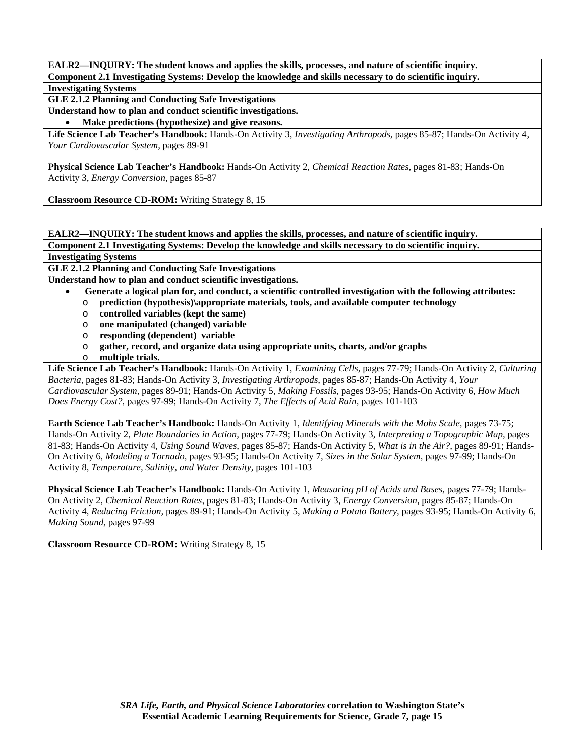**GLE 2.1.2 Planning and Conducting Safe Investigations** 

**Understand how to plan and conduct scientific investigations.** 

• **Make predictions (hypothesize) and give reasons.** 

**Life Science Lab Teacher's Handbook:** Hands-On Activity 3, *Investigating Arthropods,* pages 85-87; Hands-On Activity 4, *Your Cardiovascular System,* pages 89-91

**Physical Science Lab Teacher's Handbook:** Hands-On Activity 2, *Chemical Reaction Rates,* pages 81-83; Hands-On Activity 3, *Energy Conversion,* pages 85-87

**Classroom Resource CD-ROM:** Writing Strategy 8, 15

**EALR2—INQUIRY: The student knows and applies the skills, processes, and nature of scientific inquiry. Component 2.1 Investigating Systems: Develop the knowledge and skills necessary to do scientific inquiry.** 

# **Investigating Systems**

**GLE 2.1.2 Planning and Conducting Safe Investigations** 

**Understand how to plan and conduct scientific investigations.** 

- • **Generate a logical plan for, and conduct, a scientific controlled investigation with the following attributes:**
- o **prediction (hypothesis)\appropriate materials, tools, and available computer technology**
- o **controlled variables (kept the same)**
- o **one manipulated (changed) variable**
- o **responding (dependent) variable**
- o **gather, record, and organize data using appropriate units, charts, and/or graphs**
- o **multiple trials.**

**Life Science Lab Teacher's Handbook:** Hands-On Activity 1, *Examining Cells,* pages 77-79; Hands-On Activity 2, *Culturing Bacteria,* pages 81-83; Hands-On Activity 3, *Investigating Arthropods,* pages 85-87; Hands-On Activity 4, *Your Cardiovascular System,* pages 89-91; Hands-On Activity 5, *Making Fossils,* pages 93-95; Hands-On Activity 6, *How Much Does Energy Cost?,* pages 97-99; Hands-On Activity 7, *The Effects of Acid Rain,* pages 101-103

**Earth Science Lab Teacher's Handbook:** Hands-On Activity 1, *Identifying Minerals with the Mohs Scale,* pages 73-75; Hands-On Activity 2, *Plate Boundaries in Action,* pages 77-79; Hands-On Activity 3, *Interpreting a Topographic Map,* pages 81-83; Hands-On Activity 4, *Using Sound Waves,* pages 85-87; Hands-On Activity 5, *What is in the Air?,* pages 89-91; Hands-On Activity 6, *Modeling a Tornado,* pages 93-95; Hands-On Activity 7, *Sizes in the Solar System,* pages 97-99; Hands-On Activity 8, *Temperature, Salinity, and Water Density,* pages 101-103

**Physical Science Lab Teacher's Handbook:** Hands-On Activity 1, *Measuring pH of Acids and Bases,* pages 77-79; Hands-On Activity 2, *Chemical Reaction Rates,* pages 81-83; Hands-On Activity 3, *Energy Conversion,* pages 85-87; Hands-On Activity 4, *Reducing Friction,* pages 89-91; Hands-On Activity 5, *Making a Potato Battery,* pages 93-95; Hands-On Activity 6, *Making Sound,* pages 97-99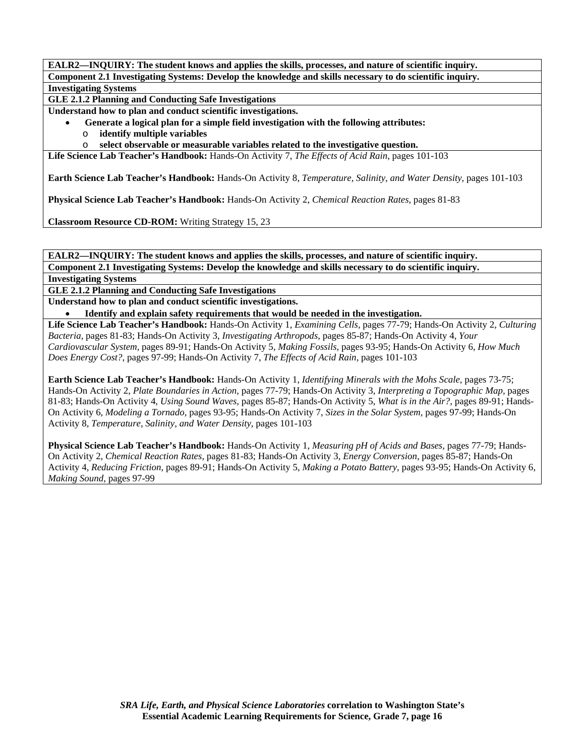**GLE 2.1.2 Planning and Conducting Safe Investigations** 

**Understand how to plan and conduct scientific investigations.** 

- • **Generate a logical plan for a simple field investigation with the following attributes:**
- o **identify multiple variables**
- o **select observable or measurable variables related to the investigative question.**

**Life Science Lab Teacher's Handbook:** Hands-On Activity 7, *The Effects of Acid Rain,* pages 101-103

**Earth Science Lab Teacher's Handbook:** Hands-On Activity 8, *Temperature, Salinity, and Water Density,* pages 101-103

**Physical Science Lab Teacher's Handbook:** Hands-On Activity 2, *Chemical Reaction Rates,* pages 81-83

**Classroom Resource CD-ROM:** Writing Strategy 15, 23

**EALR2—INQUIRY: The student knows and applies the skills, processes, and nature of scientific inquiry. Component 2.1 Investigating Systems: Develop the knowledge and skills necessary to do scientific inquiry.** 

**Investigating Systems** 

**GLE 2.1.2 Planning and Conducting Safe Investigations** 

**Understand how to plan and conduct scientific investigations.** 

• **Identify and explain safety requirements that would be needed in the investigation.** 

**Life Science Lab Teacher's Handbook:** Hands-On Activity 1, *Examining Cells,* pages 77-79; Hands-On Activity 2, *Culturing Bacteria,* pages 81-83; Hands-On Activity 3, *Investigating Arthropods,* pages 85-87; Hands-On Activity 4, *Your Cardiovascular System,* pages 89-91; Hands-On Activity 5, *Making Fossils,* pages 93-95; Hands-On Activity 6, *How Much Does Energy Cost?,* pages 97-99; Hands-On Activity 7, *The Effects of Acid Rain,* pages 101-103

**Earth Science Lab Teacher's Handbook:** Hands-On Activity 1, *Identifying Minerals with the Mohs Scale,* pages 73-75; Hands-On Activity 2, *Plate Boundaries in Action,* pages 77-79; Hands-On Activity 3, *Interpreting a Topographic Map,* pages 81-83; Hands-On Activity 4, *Using Sound Waves,* pages 85-87; Hands-On Activity 5, *What is in the Air?,* pages 89-91; Hands-On Activity 6, *Modeling a Tornado,* pages 93-95; Hands-On Activity 7, *Sizes in the Solar System,* pages 97-99; Hands-On Activity 8, *Temperature, Salinity, and Water Density,* pages 101-103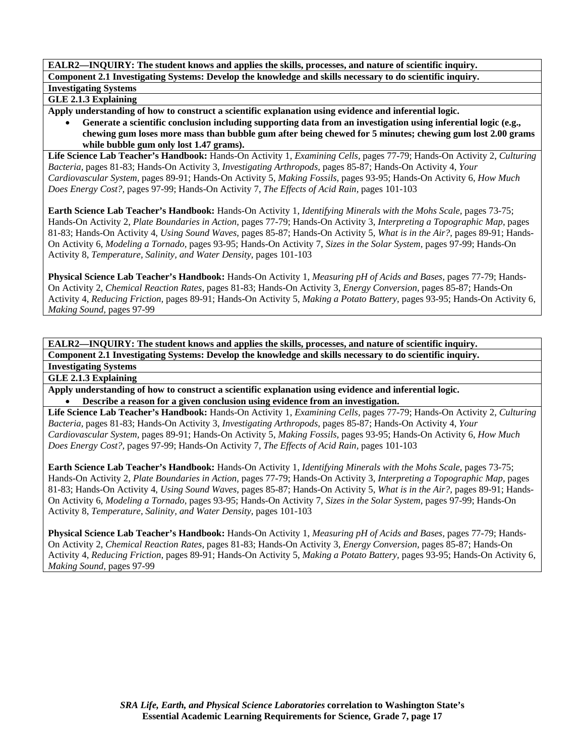# **GLE 2.1.3 Explaining**

**Apply understanding of how to construct a scientific explanation using evidence and inferential logic.** 

• **Generate a scientific conclusion including supporting data from an investigation using inferential logic (e.g., chewing gum loses more mass than bubble gum after being chewed for 5 minutes; chewing gum lost 2.00 grams while bubble gum only lost 1.47 grams).** 

**Life Science Lab Teacher's Handbook:** Hands-On Activity 1, *Examining Cells,* pages 77-79; Hands-On Activity 2, *Culturing Bacteria,* pages 81-83; Hands-On Activity 3, *Investigating Arthropods,* pages 85-87; Hands-On Activity 4, *Your Cardiovascular System,* pages 89-91; Hands-On Activity 5, *Making Fossils,* pages 93-95; Hands-On Activity 6, *How Much Does Energy Cost?,* pages 97-99; Hands-On Activity 7, *The Effects of Acid Rain,* pages 101-103

**Earth Science Lab Teacher's Handbook:** Hands-On Activity 1, *Identifying Minerals with the Mohs Scale,* pages 73-75; Hands-On Activity 2, *Plate Boundaries in Action,* pages 77-79; Hands-On Activity 3, *Interpreting a Topographic Map,* pages 81-83; Hands-On Activity 4, *Using Sound Waves,* pages 85-87; Hands-On Activity 5, *What is in the Air?,* pages 89-91; Hands-On Activity 6, *Modeling a Tornado,* pages 93-95; Hands-On Activity 7, *Sizes in the Solar System,* pages 97-99; Hands-On Activity 8, *Temperature, Salinity, and Water Density,* pages 101-103

**Physical Science Lab Teacher's Handbook:** Hands-On Activity 1, *Measuring pH of Acids and Bases,* pages 77-79; Hands-On Activity 2, *Chemical Reaction Rates,* pages 81-83; Hands-On Activity 3, *Energy Conversion,* pages 85-87; Hands-On Activity 4, *Reducing Friction,* pages 89-91; Hands-On Activity 5, *Making a Potato Battery,* pages 93-95; Hands-On Activity 6, *Making Sound,* pages 97-99

**EALR2—INQUIRY: The student knows and applies the skills, processes, and nature of scientific inquiry. Component 2.1 Investigating Systems: Develop the knowledge and skills necessary to do scientific inquiry.** 

**Investigating Systems** 

**GLE 2.1.3 Explaining** 

**Apply understanding of how to construct a scientific explanation using evidence and inferential logic.**  • **Describe a reason for a given conclusion using evidence from an investigation.** 

**Life Science Lab Teacher's Handbook:** Hands-On Activity 1, *Examining Cells,* pages 77-79; Hands-On Activity 2, *Culturing Bacteria,* pages 81-83; Hands-On Activity 3, *Investigating Arthropods,* pages 85-87; Hands-On Activity 4, *Your Cardiovascular System,* pages 89-91; Hands-On Activity 5, *Making Fossils,* pages 93-95; Hands-On Activity 6, *How Much Does Energy Cost?,* pages 97-99; Hands-On Activity 7, *The Effects of Acid Rain,* pages 101-103

**Earth Science Lab Teacher's Handbook:** Hands-On Activity 1, *Identifying Minerals with the Mohs Scale,* pages 73-75; Hands-On Activity 2, *Plate Boundaries in Action,* pages 77-79; Hands-On Activity 3, *Interpreting a Topographic Map,* pages 81-83; Hands-On Activity 4, *Using Sound Waves,* pages 85-87; Hands-On Activity 5, *What is in the Air?,* pages 89-91; Hands-On Activity 6, *Modeling a Tornado,* pages 93-95; Hands-On Activity 7, *Sizes in the Solar System,* pages 97-99; Hands-On Activity 8, *Temperature, Salinity, and Water Density,* pages 101-103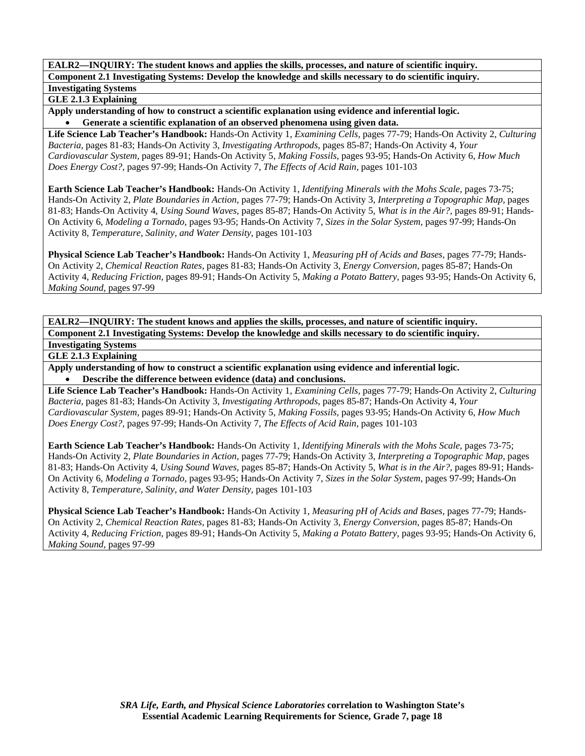# **GLE 2.1.3 Explaining**

**Apply understanding of how to construct a scientific explanation using evidence and inferential logic.**  • **Generate a scientific explanation of an observed phenomena using given data.** 

**Life Science Lab Teacher's Handbook:** Hands-On Activity 1, *Examining Cells,* pages 77-79; Hands-On Activity 2, *Culturing Bacteria,* pages 81-83; Hands-On Activity 3, *Investigating Arthropods,* pages 85-87; Hands-On Activity 4, *Your Cardiovascular System,* pages 89-91; Hands-On Activity 5, *Making Fossils,* pages 93-95; Hands-On Activity 6, *How Much Does Energy Cost?,* pages 97-99; Hands-On Activity 7, *The Effects of Acid Rain,* pages 101-103

**Earth Science Lab Teacher's Handbook:** Hands-On Activity 1, *Identifying Minerals with the Mohs Scale,* pages 73-75; Hands-On Activity 2, *Plate Boundaries in Action,* pages 77-79; Hands-On Activity 3, *Interpreting a Topographic Map,* pages 81-83; Hands-On Activity 4, *Using Sound Waves,* pages 85-87; Hands-On Activity 5, *What is in the Air?,* pages 89-91; Hands-On Activity 6, *Modeling a Tornado,* pages 93-95; Hands-On Activity 7, *Sizes in the Solar System,* pages 97-99; Hands-On Activity 8, *Temperature, Salinity, and Water Density,* pages 101-103

**Physical Science Lab Teacher's Handbook:** Hands-On Activity 1, *Measuring pH of Acids and Bases,* pages 77-79; Hands-On Activity 2, *Chemical Reaction Rates,* pages 81-83; Hands-On Activity 3, *Energy Conversion,* pages 85-87; Hands-On Activity 4, *Reducing Friction,* pages 89-91; Hands-On Activity 5, *Making a Potato Battery,* pages 93-95; Hands-On Activity 6, *Making Sound,* pages 97-99

**EALR2—INQUIRY: The student knows and applies the skills, processes, and nature of scientific inquiry. Component 2.1 Investigating Systems: Develop the knowledge and skills necessary to do scientific inquiry. Investigating Systems** 

**GLE 2.1.3 Explaining** 

**Apply understanding of how to construct a scientific explanation using evidence and inferential logic.**  • **Describe the difference between evidence (data) and conclusions.** 

**Life Science Lab Teacher's Handbook:** Hands-On Activity 1, *Examining Cells,* pages 77-79; Hands-On Activity 2, *Culturing Bacteria,* pages 81-83; Hands-On Activity 3, *Investigating Arthropods,* pages 85-87; Hands-On Activity 4, *Your Cardiovascular System,* pages 89-91; Hands-On Activity 5, *Making Fossils,* pages 93-95; Hands-On Activity 6, *How Much Does Energy Cost?,* pages 97-99; Hands-On Activity 7, *The Effects of Acid Rain,* pages 101-103

**Earth Science Lab Teacher's Handbook:** Hands-On Activity 1, *Identifying Minerals with the Mohs Scale,* pages 73-75; Hands-On Activity 2, *Plate Boundaries in Action,* pages 77-79; Hands-On Activity 3, *Interpreting a Topographic Map,* pages 81-83; Hands-On Activity 4, *Using Sound Waves,* pages 85-87; Hands-On Activity 5, *What is in the Air?,* pages 89-91; Hands-On Activity 6, *Modeling a Tornado,* pages 93-95; Hands-On Activity 7, *Sizes in the Solar System,* pages 97-99; Hands-On Activity 8, *Temperature, Salinity, and Water Density,* pages 101-103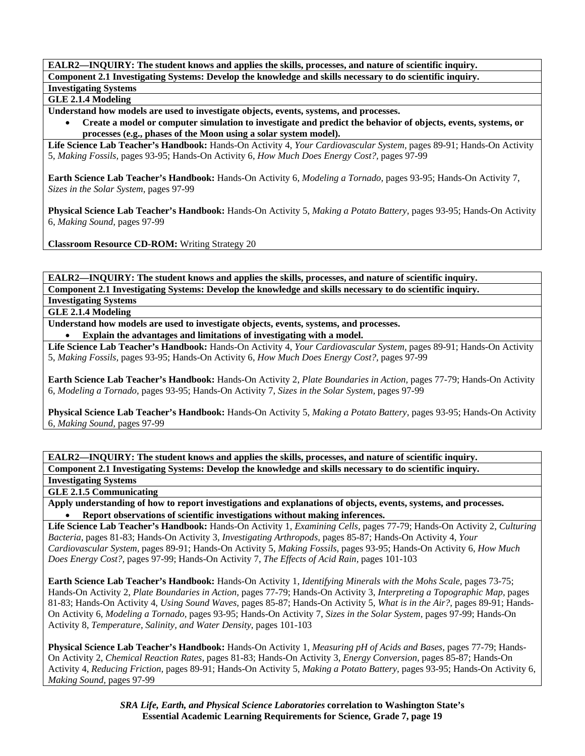**GLE 2.1.4 Modeling** 

**Understand how models are used to investigate objects, events, systems, and processes.** 

• **Create a model or computer simulation to investigate and predict the behavior of objects, events, systems, or processes (e.g., phases of the Moon using a solar system model).** 

**Life Science Lab Teacher's Handbook:** Hands-On Activity 4, *Your Cardiovascular System,* pages 89-91; Hands-On Activity 5, *Making Fossils,* pages 93-95; Hands-On Activity 6, *How Much Does Energy Cost?,* pages 97-99

**Earth Science Lab Teacher's Handbook:** Hands-On Activity 6, *Modeling a Tornado,* pages 93-95; Hands-On Activity 7, *Sizes in the Solar System,* pages 97-99

**Physical Science Lab Teacher's Handbook:** Hands-On Activity 5, *Making a Potato Battery,* pages 93-95; Hands-On Activity 6, *Making Sound,* pages 97-99

**Classroom Resource CD-ROM:** Writing Strategy 20

**EALR2—INQUIRY: The student knows and applies the skills, processes, and nature of scientific inquiry. Component 2.1 Investigating Systems: Develop the knowledge and skills necessary to do scientific inquiry.** 

**Investigating Systems GLE 2.1.4 Modeling** 

**Understand how models are used to investigate objects, events, systems, and processes.** 

• **Explain the advantages and limitations of investigating with a model.** 

**Life Science Lab Teacher's Handbook:** Hands-On Activity 4, *Your Cardiovascular System,* pages 89-91; Hands-On Activity 5, *Making Fossils,* pages 93-95; Hands-On Activity 6, *How Much Does Energy Cost?,* pages 97-99

**Earth Science Lab Teacher's Handbook:** Hands-On Activity 2, *Plate Boundaries in Action,* pages 77-79; Hands-On Activity 6, *Modeling a Tornado,* pages 93-95; Hands-On Activity 7, *Sizes in the Solar System,* pages 97-99

**Physical Science Lab Teacher's Handbook:** Hands-On Activity 5, *Making a Potato Battery,* pages 93-95; Hands-On Activity 6, *Making Sound,* pages 97-99

**EALR2—INQUIRY: The student knows and applies the skills, processes, and nature of scientific inquiry.** 

**Component 2.1 Investigating Systems: Develop the knowledge and skills necessary to do scientific inquiry. Investigating Systems** 

**GLE 2.1.5 Communicating** 

**Apply understanding of how to report investigations and explanations of objects, events, systems, and processes.**  • **Report observations of scientific investigations without making inferences.** 

**Life Science Lab Teacher's Handbook:** Hands-On Activity 1, *Examining Cells,* pages 77-79; Hands-On Activity 2, *Culturing Bacteria,* pages 81-83; Hands-On Activity 3, *Investigating Arthropods,* pages 85-87; Hands-On Activity 4, *Your Cardiovascular System,* pages 89-91; Hands-On Activity 5, *Making Fossils,* pages 93-95; Hands-On Activity 6, *How Much Does Energy Cost?,* pages 97-99; Hands-On Activity 7, *The Effects of Acid Rain,* pages 101-103

**Earth Science Lab Teacher's Handbook:** Hands-On Activity 1, *Identifying Minerals with the Mohs Scale,* pages 73-75; Hands-On Activity 2, *Plate Boundaries in Action,* pages 77-79; Hands-On Activity 3, *Interpreting a Topographic Map,* pages 81-83; Hands-On Activity 4, *Using Sound Waves,* pages 85-87; Hands-On Activity 5, *What is in the Air?,* pages 89-91; Hands-On Activity 6, *Modeling a Tornado,* pages 93-95; Hands-On Activity 7, *Sizes in the Solar System,* pages 97-99; Hands-On Activity 8, *Temperature, Salinity, and Water Density,* pages 101-103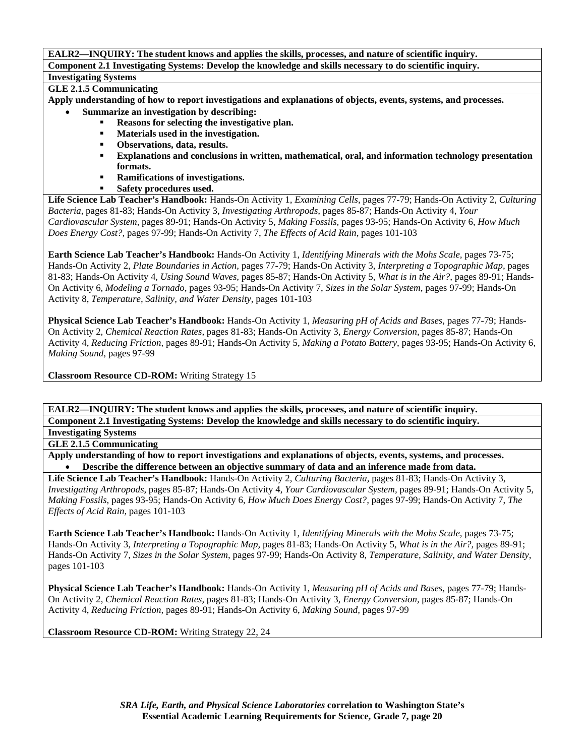# **GLE 2.1.5 Communicating**

**Apply understanding of how to report investigations and explanations of objects, events, systems, and processes.** 

- **Summarize an investigation by describing:** 
	- **Reasons for selecting the investigative plan.**
	- **Materials used in the investigation.**
	- **Observations, data, results.**
	- **Explanations and conclusions in written, mathematical, oral, and information technology presentation formats.**
	- **Ramifications of investigations.** 
		- **Safety procedures used.**

**Life Science Lab Teacher's Handbook:** Hands-On Activity 1, *Examining Cells,* pages 77-79; Hands-On Activity 2, *Culturing Bacteria,* pages 81-83; Hands-On Activity 3, *Investigating Arthropods,* pages 85-87; Hands-On Activity 4, *Your Cardiovascular System,* pages 89-91; Hands-On Activity 5, *Making Fossils,* pages 93-95; Hands-On Activity 6, *How Much Does Energy Cost?,* pages 97-99; Hands-On Activity 7, *The Effects of Acid Rain,* pages 101-103

**Earth Science Lab Teacher's Handbook:** Hands-On Activity 1, *Identifying Minerals with the Mohs Scale,* pages 73-75; Hands-On Activity 2, *Plate Boundaries in Action,* pages 77-79; Hands-On Activity 3, *Interpreting a Topographic Map,* pages 81-83; Hands-On Activity 4, *Using Sound Waves,* pages 85-87; Hands-On Activity 5, *What is in the Air?,* pages 89-91; Hands-On Activity 6, *Modeling a Tornado,* pages 93-95; Hands-On Activity 7, *Sizes in the Solar System,* pages 97-99; Hands-On Activity 8, *Temperature, Salinity, and Water Density,* pages 101-103

**Physical Science Lab Teacher's Handbook:** Hands-On Activity 1, *Measuring pH of Acids and Bases,* pages 77-79; Hands-On Activity 2, *Chemical Reaction Rates,* pages 81-83; Hands-On Activity 3, *Energy Conversion,* pages 85-87; Hands-On Activity 4, *Reducing Friction,* pages 89-91; Hands-On Activity 5, *Making a Potato Battery,* pages 93-95; Hands-On Activity 6, *Making Sound,* pages 97-99

**Classroom Resource CD-ROM:** Writing Strategy 15

**EALR2—INQUIRY: The student knows and applies the skills, processes, and nature of scientific inquiry.** 

**Component 2.1 Investigating Systems: Develop the knowledge and skills necessary to do scientific inquiry. Investigating Systems** 

**GLE 2.1.5 Communicating** 

**Apply understanding of how to report investigations and explanations of objects, events, systems, and processes.**  • **Describe the difference between an objective summary of data and an inference made from data.** 

**Life Science Lab Teacher's Handbook:** Hands-On Activity 2, *Culturing Bacteria,* pages 81-83; Hands-On Activity 3, *Investigating Arthropods,* pages 85-87; Hands-On Activity 4, *Your Cardiovascular System,* pages 89-91; Hands-On Activity 5, *Making Fossils,* pages 93-95; Hands-On Activity 6, *How Much Does Energy Cost?,* pages 97-99; Hands-On Activity 7, *The Effects of Acid Rain,* pages 101-103

**Earth Science Lab Teacher's Handbook:** Hands-On Activity 1, *Identifying Minerals with the Mohs Scale,* pages 73-75; Hands-On Activity 3, *Interpreting a Topographic Map,* pages 81-83; Hands-On Activity 5, *What is in the Air?,* pages 89-91; Hands-On Activity 7, *Sizes in the Solar System,* pages 97-99; Hands-On Activity 8, *Temperature, Salinity, and Water Density,* pages 101-103

**Physical Science Lab Teacher's Handbook:** Hands-On Activity 1, *Measuring pH of Acids and Bases,* pages 77-79; Hands-On Activity 2, *Chemical Reaction Rates,* pages 81-83; Hands-On Activity 3, *Energy Conversion,* pages 85-87; Hands-On Activity 4, *Reducing Friction,* pages 89-91; Hands-On Activity 6, *Making Sound,* pages 97-99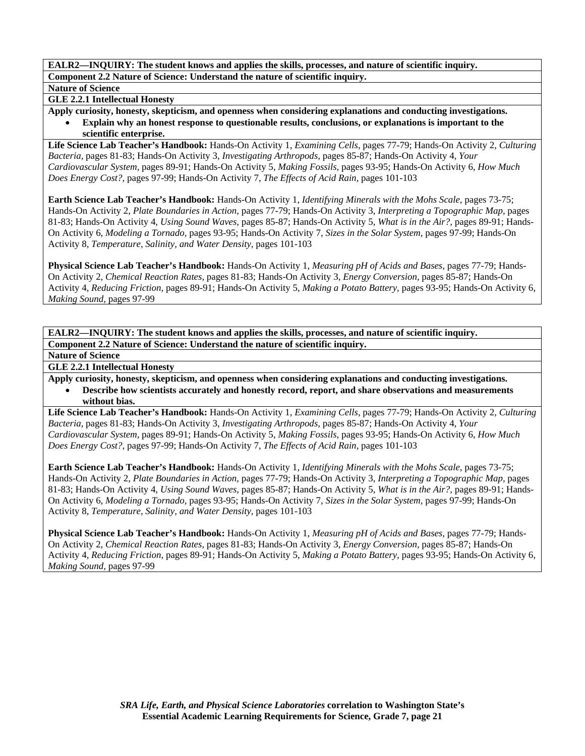### **Nature of Science**

## **GLE 2.2.1 Intellectual Honesty**

**Apply curiosity, honesty, skepticism, and openness when considering explanations and conducting investigations.**  • **Explain why an honest response to questionable results, conclusions, or explanations is important to the scientific enterprise.** 

**Life Science Lab Teacher's Handbook:** Hands-On Activity 1, *Examining Cells,* pages 77-79; Hands-On Activity 2, *Culturing Bacteria,* pages 81-83; Hands-On Activity 3, *Investigating Arthropods,* pages 85-87; Hands-On Activity 4, *Your Cardiovascular System,* pages 89-91; Hands-On Activity 5, *Making Fossils,* pages 93-95; Hands-On Activity 6, *How Much Does Energy Cost?,* pages 97-99; Hands-On Activity 7, *The Effects of Acid Rain,* pages 101-103

**Earth Science Lab Teacher's Handbook:** Hands-On Activity 1, *Identifying Minerals with the Mohs Scale,* pages 73-75; Hands-On Activity 2, *Plate Boundaries in Action,* pages 77-79; Hands-On Activity 3, *Interpreting a Topographic Map,* pages 81-83; Hands-On Activity 4, *Using Sound Waves,* pages 85-87; Hands-On Activity 5, *What is in the Air?,* pages 89-91; Hands-On Activity 6, *Modeling a Tornado,* pages 93-95; Hands-On Activity 7, *Sizes in the Solar System,* pages 97-99; Hands-On Activity 8, *Temperature, Salinity, and Water Density,* pages 101-103

**Physical Science Lab Teacher's Handbook:** Hands-On Activity 1, *Measuring pH of Acids and Bases,* pages 77-79; Hands-On Activity 2, *Chemical Reaction Rates,* pages 81-83; Hands-On Activity 3, *Energy Conversion,* pages 85-87; Hands-On Activity 4, *Reducing Friction,* pages 89-91; Hands-On Activity 5, *Making a Potato Battery,* pages 93-95; Hands-On Activity 6, *Making Sound,* pages 97-99

**EALR2—INQUIRY: The student knows and applies the skills, processes, and nature of scientific inquiry. Component 2.2 Nature of Science: Understand the nature of scientific inquiry.** 

**Nature of Science** 

**GLE 2.2.1 Intellectual Honesty** 

**Apply curiosity, honesty, skepticism, and openness when considering explanations and conducting investigations.** 

• **Describe how scientists accurately and honestly record, report, and share observations and measurements without bias.** 

**Life Science Lab Teacher's Handbook:** Hands-On Activity 1, *Examining Cells,* pages 77-79; Hands-On Activity 2, *Culturing Bacteria,* pages 81-83; Hands-On Activity 3, *Investigating Arthropods,* pages 85-87; Hands-On Activity 4, *Your Cardiovascular System,* pages 89-91; Hands-On Activity 5, *Making Fossils,* pages 93-95; Hands-On Activity 6, *How Much Does Energy Cost?,* pages 97-99; Hands-On Activity 7, *The Effects of Acid Rain,* pages 101-103

**Earth Science Lab Teacher's Handbook:** Hands-On Activity 1, *Identifying Minerals with the Mohs Scale,* pages 73-75; Hands-On Activity 2, *Plate Boundaries in Action,* pages 77-79; Hands-On Activity 3, *Interpreting a Topographic Map,* pages 81-83; Hands-On Activity 4, *Using Sound Waves,* pages 85-87; Hands-On Activity 5, *What is in the Air?,* pages 89-91; Hands-On Activity 6, *Modeling a Tornado,* pages 93-95; Hands-On Activity 7, *Sizes in the Solar System,* pages 97-99; Hands-On Activity 8, *Temperature, Salinity, and Water Density,* pages 101-103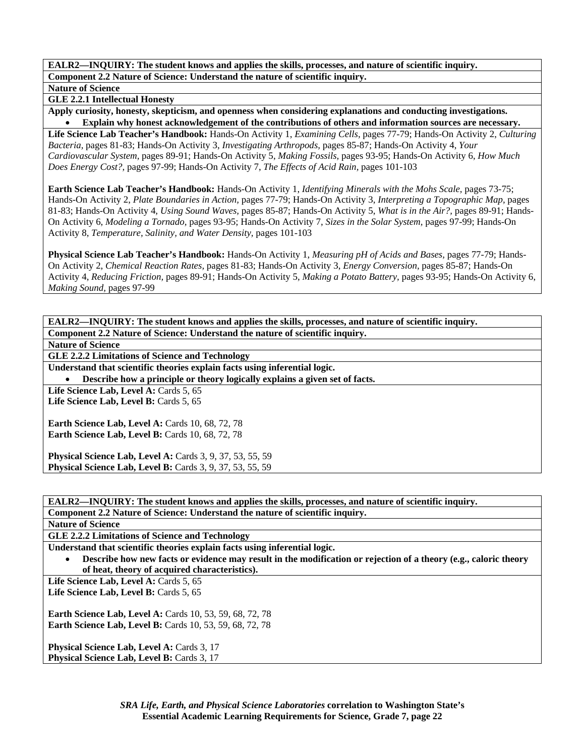**Nature of Science** 

**GLE 2.2.1 Intellectual Honesty** 

**Apply curiosity, honesty, skepticism, and openness when considering explanations and conducting investigations.**  • **Explain why honest acknowledgement of the contributions of others and information sources are necessary.** 

**Life Science Lab Teacher's Handbook:** Hands-On Activity 1, *Examining Cells,* pages 77-79; Hands-On Activity 2, *Culturing Bacteria,* pages 81-83; Hands-On Activity 3, *Investigating Arthropods,* pages 85-87; Hands-On Activity 4, *Your Cardiovascular System,* pages 89-91; Hands-On Activity 5, *Making Fossils,* pages 93-95; Hands-On Activity 6, *How Much Does Energy Cost?,* pages 97-99; Hands-On Activity 7, *The Effects of Acid Rain,* pages 101-103

**Earth Science Lab Teacher's Handbook:** Hands-On Activity 1, *Identifying Minerals with the Mohs Scale,* pages 73-75; Hands-On Activity 2, *Plate Boundaries in Action,* pages 77-79; Hands-On Activity 3, *Interpreting a Topographic Map,* pages 81-83; Hands-On Activity 4, *Using Sound Waves,* pages 85-87; Hands-On Activity 5, *What is in the Air?,* pages 89-91; Hands-On Activity 6, *Modeling a Tornado,* pages 93-95; Hands-On Activity 7, *Sizes in the Solar System,* pages 97-99; Hands-On Activity 8, *Temperature, Salinity, and Water Density,* pages 101-103

**Physical Science Lab Teacher's Handbook:** Hands-On Activity 1, *Measuring pH of Acids and Bases,* pages 77-79; Hands-On Activity 2, *Chemical Reaction Rates,* pages 81-83; Hands-On Activity 3, *Energy Conversion,* pages 85-87; Hands-On Activity 4, *Reducing Friction,* pages 89-91; Hands-On Activity 5, *Making a Potato Battery,* pages 93-95; Hands-On Activity 6, *Making Sound,* pages 97-99

**EALR2—INQUIRY: The student knows and applies the skills, processes, and nature of scientific inquiry. Component 2.2 Nature of Science: Understand the nature of scientific inquiry. Nature of Science GLE 2.2.2 Limitations of Science and Technology Understand that scientific theories explain facts using inferential logic.**  • **Describe how a principle or theory logically explains a given set of facts.**  Life Science Lab, Level A: Cards 5, 65 Life Science Lab, Level B: Cards 5, 65 **Earth Science Lab, Level A: Cards 10, 68, 72, 78 Earth Science Lab, Level B: Cards 10, 68, 72, 78 Physical Science Lab, Level A:** Cards 3, 9, 37, 53, 55, 59 **Physical Science Lab, Level B:** Cards 3, 9, 37, 53, 55, 59

**EALR2—INQUIRY: The student knows and applies the skills, processes, and nature of scientific inquiry. Component 2.2 Nature of Science: Understand the nature of scientific inquiry.** 

**Nature of Science** 

**GLE 2.2.2 Limitations of Science and Technology** 

**Understand that scientific theories explain facts using inferential logic.** 

• **Describe how new facts or evidence may result in the modification or rejection of a theory (e.g., caloric theory of heat, theory of acquired characteristics).** 

Life Science Lab, Level A: Cards 5, 65

Life Science Lab, Level B: Cards 5, 65

**Earth Science Lab, Level A: Cards 10, 53, 59, 68, 72, 78 Earth Science Lab, Level B:** Cards 10, 53, 59, 68, 72, 78

**Physical Science Lab, Level A: Cards 3, 17 Physical Science Lab, Level B: Cards 3, 17**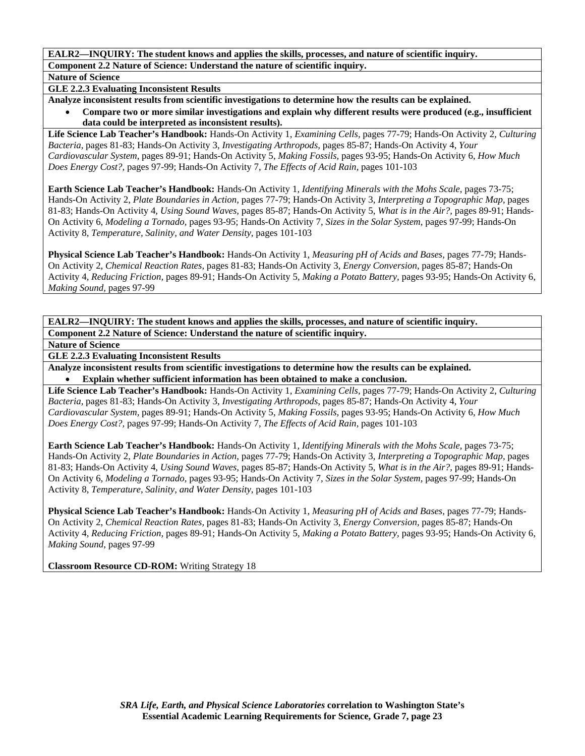## **Nature of Science**

## **GLE 2.2.3 Evaluating Inconsistent Results**

**Analyze inconsistent results from scientific investigations to determine how the results can be explained.** 

• **Compare two or more similar investigations and explain why different results were produced (e.g., insufficient data could be interpreted as inconsistent results).** 

**Life Science Lab Teacher's Handbook:** Hands-On Activity 1, *Examining Cells,* pages 77-79; Hands-On Activity 2, *Culturing Bacteria,* pages 81-83; Hands-On Activity 3, *Investigating Arthropods,* pages 85-87; Hands-On Activity 4, *Your Cardiovascular System,* pages 89-91; Hands-On Activity 5, *Making Fossils,* pages 93-95; Hands-On Activity 6, *How Much Does Energy Cost?,* pages 97-99; Hands-On Activity 7, *The Effects of Acid Rain,* pages 101-103

**Earth Science Lab Teacher's Handbook:** Hands-On Activity 1, *Identifying Minerals with the Mohs Scale,* pages 73-75; Hands-On Activity 2, *Plate Boundaries in Action,* pages 77-79; Hands-On Activity 3, *Interpreting a Topographic Map,* pages 81-83; Hands-On Activity 4, *Using Sound Waves,* pages 85-87; Hands-On Activity 5, *What is in the Air?,* pages 89-91; Hands-On Activity 6, *Modeling a Tornado,* pages 93-95; Hands-On Activity 7, *Sizes in the Solar System,* pages 97-99; Hands-On Activity 8, *Temperature, Salinity, and Water Density,* pages 101-103

**Physical Science Lab Teacher's Handbook:** Hands-On Activity 1, *Measuring pH of Acids and Bases,* pages 77-79; Hands-On Activity 2, *Chemical Reaction Rates,* pages 81-83; Hands-On Activity 3, *Energy Conversion,* pages 85-87; Hands-On Activity 4, *Reducing Friction,* pages 89-91; Hands-On Activity 5, *Making a Potato Battery,* pages 93-95; Hands-On Activity 6, *Making Sound,* pages 97-99

**EALR2—INQUIRY: The student knows and applies the skills, processes, and nature of scientific inquiry. Component 2.2 Nature of Science: Understand the nature of scientific inquiry.** 

**Nature of Science** 

## **GLE 2.2.3 Evaluating Inconsistent Results**

**Analyze inconsistent results from scientific investigations to determine how the results can be explained.**  • **Explain whether sufficient information has been obtained to make a conclusion.** 

**Life Science Lab Teacher's Handbook:** Hands-On Activity 1, *Examining Cells,* pages 77-79; Hands-On Activity 2, *Culturing Bacteria,* pages 81-83; Hands-On Activity 3, *Investigating Arthropods,* pages 85-87; Hands-On Activity 4, *Your Cardiovascular System,* pages 89-91; Hands-On Activity 5, *Making Fossils,* pages 93-95; Hands-On Activity 6, *How Much Does Energy Cost?,* pages 97-99; Hands-On Activity 7, *The Effects of Acid Rain,* pages 101-103

**Earth Science Lab Teacher's Handbook:** Hands-On Activity 1, *Identifying Minerals with the Mohs Scale,* pages 73-75; Hands-On Activity 2, *Plate Boundaries in Action,* pages 77-79; Hands-On Activity 3, *Interpreting a Topographic Map,* pages 81-83; Hands-On Activity 4, *Using Sound Waves,* pages 85-87; Hands-On Activity 5, *What is in the Air?,* pages 89-91; Hands-On Activity 6, *Modeling a Tornado,* pages 93-95; Hands-On Activity 7, *Sizes in the Solar System,* pages 97-99; Hands-On Activity 8, *Temperature, Salinity, and Water Density,* pages 101-103

**Physical Science Lab Teacher's Handbook:** Hands-On Activity 1, *Measuring pH of Acids and Bases,* pages 77-79; Hands-On Activity 2, *Chemical Reaction Rates,* pages 81-83; Hands-On Activity 3, *Energy Conversion,* pages 85-87; Hands-On Activity 4, *Reducing Friction,* pages 89-91; Hands-On Activity 5, *Making a Potato Battery,* pages 93-95; Hands-On Activity 6, *Making Sound,* pages 97-99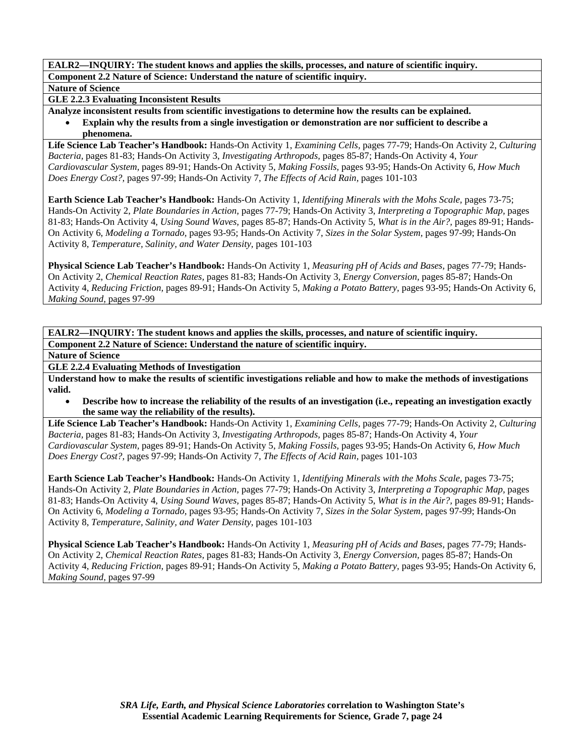**Nature of Science** 

**GLE 2.2.3 Evaluating Inconsistent Results** 

**Analyze inconsistent results from scientific investigations to determine how the results can be explained.**  • **Explain why the results from a single investigation or demonstration are nor sufficient to describe a** 

**phenomena.** 

**Life Science Lab Teacher's Handbook:** Hands-On Activity 1, *Examining Cells,* pages 77-79; Hands-On Activity 2, *Culturing Bacteria,* pages 81-83; Hands-On Activity 3, *Investigating Arthropods,* pages 85-87; Hands-On Activity 4, *Your Cardiovascular System,* pages 89-91; Hands-On Activity 5, *Making Fossils,* pages 93-95; Hands-On Activity 6, *How Much Does Energy Cost?,* pages 97-99; Hands-On Activity 7, *The Effects of Acid Rain,* pages 101-103

**Earth Science Lab Teacher's Handbook:** Hands-On Activity 1, *Identifying Minerals with the Mohs Scale,* pages 73-75; Hands-On Activity 2, *Plate Boundaries in Action,* pages 77-79; Hands-On Activity 3, *Interpreting a Topographic Map,* pages 81-83; Hands-On Activity 4, *Using Sound Waves,* pages 85-87; Hands-On Activity 5, *What is in the Air?,* pages 89-91; Hands-On Activity 6, *Modeling a Tornado,* pages 93-95; Hands-On Activity 7, *Sizes in the Solar System,* pages 97-99; Hands-On Activity 8, *Temperature, Salinity, and Water Density,* pages 101-103

**Physical Science Lab Teacher's Handbook:** Hands-On Activity 1, *Measuring pH of Acids and Bases,* pages 77-79; Hands-On Activity 2, *Chemical Reaction Rates,* pages 81-83; Hands-On Activity 3, *Energy Conversion,* pages 85-87; Hands-On Activity 4, *Reducing Friction,* pages 89-91; Hands-On Activity 5, *Making a Potato Battery,* pages 93-95; Hands-On Activity 6, *Making Sound,* pages 97-99

**EALR2—INQUIRY: The student knows and applies the skills, processes, and nature of scientific inquiry. Component 2.2 Nature of Science: Understand the nature of scientific inquiry.** 

**Nature of Science** 

**GLE 2.2.4 Evaluating Methods of Investigation** 

**Understand how to make the results of scientific investigations reliable and how to make the methods of investigations valid.** 

• **Describe how to increase the reliability of the results of an investigation (i.e., repeating an investigation exactly the same way the reliability of the results).** 

**Life Science Lab Teacher's Handbook:** Hands-On Activity 1, *Examining Cells,* pages 77-79; Hands-On Activity 2, *Culturing Bacteria,* pages 81-83; Hands-On Activity 3, *Investigating Arthropods,* pages 85-87; Hands-On Activity 4, *Your Cardiovascular System,* pages 89-91; Hands-On Activity 5, *Making Fossils,* pages 93-95; Hands-On Activity 6, *How Much Does Energy Cost?,* pages 97-99; Hands-On Activity 7, *The Effects of Acid Rain,* pages 101-103

**Earth Science Lab Teacher's Handbook:** Hands-On Activity 1, *Identifying Minerals with the Mohs Scale,* pages 73-75; Hands-On Activity 2, *Plate Boundaries in Action,* pages 77-79; Hands-On Activity 3, *Interpreting a Topographic Map,* pages 81-83; Hands-On Activity 4, *Using Sound Waves,* pages 85-87; Hands-On Activity 5, *What is in the Air?,* pages 89-91; Hands-On Activity 6, *Modeling a Tornado,* pages 93-95; Hands-On Activity 7, *Sizes in the Solar System,* pages 97-99; Hands-On Activity 8, *Temperature, Salinity, and Water Density,* pages 101-103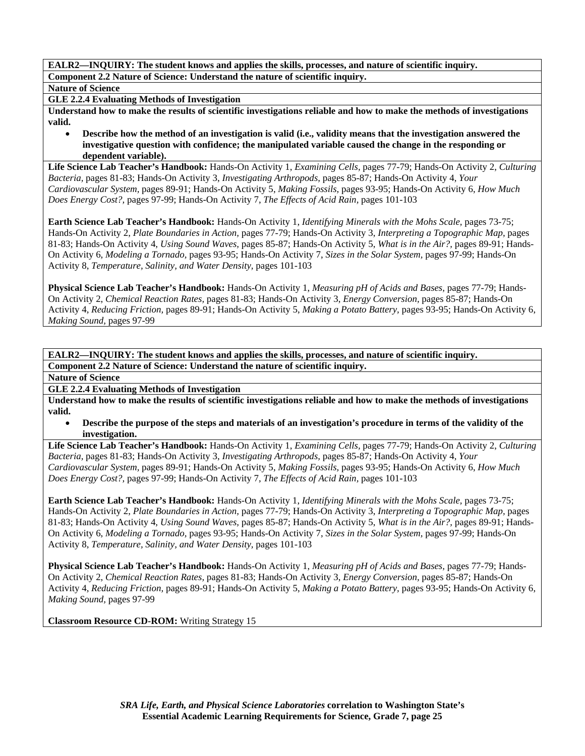**Nature of Science** 

**GLE 2.2.4 Evaluating Methods of Investigation** 

**Understand how to make the results of scientific investigations reliable and how to make the methods of investigations valid.** 

• **Describe how the method of an investigation is valid (i.e., validity means that the investigation answered the investigative question with confidence; the manipulated variable caused the change in the responding or dependent variable).** 

**Life Science Lab Teacher's Handbook:** Hands-On Activity 1, *Examining Cells,* pages 77-79; Hands-On Activity 2, *Culturing Bacteria,* pages 81-83; Hands-On Activity 3, *Investigating Arthropods,* pages 85-87; Hands-On Activity 4, *Your Cardiovascular System,* pages 89-91; Hands-On Activity 5, *Making Fossils,* pages 93-95; Hands-On Activity 6, *How Much Does Energy Cost?,* pages 97-99; Hands-On Activity 7, *The Effects of Acid Rain,* pages 101-103

**Earth Science Lab Teacher's Handbook:** Hands-On Activity 1, *Identifying Minerals with the Mohs Scale,* pages 73-75; Hands-On Activity 2, *Plate Boundaries in Action,* pages 77-79; Hands-On Activity 3, *Interpreting a Topographic Map,* pages 81-83; Hands-On Activity 4, *Using Sound Waves,* pages 85-87; Hands-On Activity 5, *What is in the Air?,* pages 89-91; Hands-On Activity 6, *Modeling a Tornado,* pages 93-95; Hands-On Activity 7, *Sizes in the Solar System,* pages 97-99; Hands-On Activity 8, *Temperature, Salinity, and Water Density,* pages 101-103

**Physical Science Lab Teacher's Handbook:** Hands-On Activity 1, *Measuring pH of Acids and Bases,* pages 77-79; Hands-On Activity 2, *Chemical Reaction Rates,* pages 81-83; Hands-On Activity 3, *Energy Conversion,* pages 85-87; Hands-On Activity 4, *Reducing Friction,* pages 89-91; Hands-On Activity 5, *Making a Potato Battery,* pages 93-95; Hands-On Activity 6, *Making Sound,* pages 97-99

**EALR2—INQUIRY: The student knows and applies the skills, processes, and nature of scientific inquiry. Component 2.2 Nature of Science: Understand the nature of scientific inquiry.** 

**Nature of Science** 

**GLE 2.2.4 Evaluating Methods of Investigation** 

**Understand how to make the results of scientific investigations reliable and how to make the methods of investigations valid.** 

• **Describe the purpose of the steps and materials of an investigation's procedure in terms of the validity of the investigation.** 

**Life Science Lab Teacher's Handbook:** Hands-On Activity 1, *Examining Cells,* pages 77-79; Hands-On Activity 2, *Culturing Bacteria,* pages 81-83; Hands-On Activity 3, *Investigating Arthropods,* pages 85-87; Hands-On Activity 4, *Your Cardiovascular System,* pages 89-91; Hands-On Activity 5, *Making Fossils,* pages 93-95; Hands-On Activity 6, *How Much Does Energy Cost?,* pages 97-99; Hands-On Activity 7, *The Effects of Acid Rain,* pages 101-103

**Earth Science Lab Teacher's Handbook:** Hands-On Activity 1, *Identifying Minerals with the Mohs Scale,* pages 73-75; Hands-On Activity 2, *Plate Boundaries in Action,* pages 77-79; Hands-On Activity 3, *Interpreting a Topographic Map,* pages 81-83; Hands-On Activity 4, *Using Sound Waves,* pages 85-87; Hands-On Activity 5, *What is in the Air?,* pages 89-91; Hands-On Activity 6, *Modeling a Tornado,* pages 93-95; Hands-On Activity 7, *Sizes in the Solar System,* pages 97-99; Hands-On Activity 8, *Temperature, Salinity, and Water Density,* pages 101-103

**Physical Science Lab Teacher's Handbook:** Hands-On Activity 1, *Measuring pH of Acids and Bases,* pages 77-79; Hands-On Activity 2, *Chemical Reaction Rates,* pages 81-83; Hands-On Activity 3, *Energy Conversion,* pages 85-87; Hands-On Activity 4, *Reducing Friction,* pages 89-91; Hands-On Activity 5, *Making a Potato Battery,* pages 93-95; Hands-On Activity 6, *Making Sound,* pages 97-99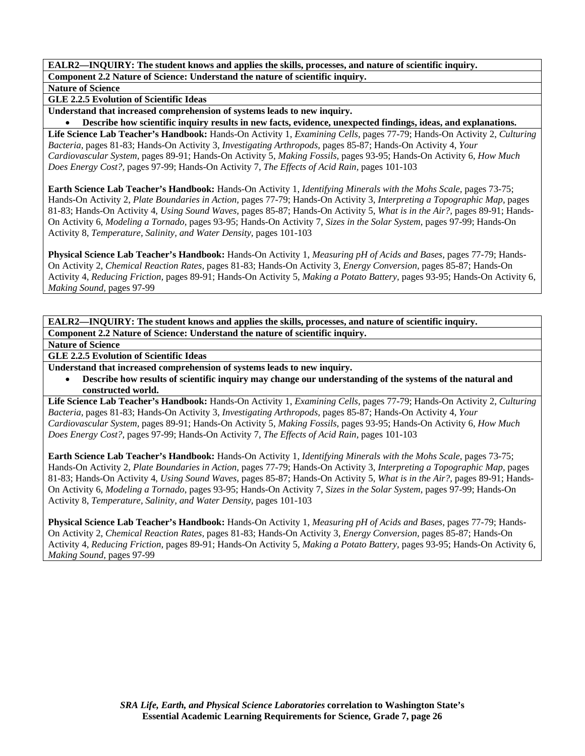**Nature of Science** 

**GLE 2.2.5 Evolution of Scientific Ideas** 

**Understand that increased comprehension of systems leads to new inquiry.** 

• **Describe how scientific inquiry results in new facts, evidence, unexpected findings, ideas, and explanations.** 

**Life Science Lab Teacher's Handbook:** Hands-On Activity 1, *Examining Cells,* pages 77-79; Hands-On Activity 2, *Culturing Bacteria,* pages 81-83; Hands-On Activity 3, *Investigating Arthropods,* pages 85-87; Hands-On Activity 4, *Your Cardiovascular System,* pages 89-91; Hands-On Activity 5, *Making Fossils,* pages 93-95; Hands-On Activity 6, *How Much Does Energy Cost?,* pages 97-99; Hands-On Activity 7, *The Effects of Acid Rain,* pages 101-103

**Earth Science Lab Teacher's Handbook:** Hands-On Activity 1, *Identifying Minerals with the Mohs Scale,* pages 73-75; Hands-On Activity 2, *Plate Boundaries in Action,* pages 77-79; Hands-On Activity 3, *Interpreting a Topographic Map,* pages 81-83; Hands-On Activity 4, *Using Sound Waves,* pages 85-87; Hands-On Activity 5, *What is in the Air?,* pages 89-91; Hands-On Activity 6, *Modeling a Tornado,* pages 93-95; Hands-On Activity 7, *Sizes in the Solar System,* pages 97-99; Hands-On Activity 8, *Temperature, Salinity, and Water Density,* pages 101-103

**Physical Science Lab Teacher's Handbook:** Hands-On Activity 1, *Measuring pH of Acids and Bases,* pages 77-79; Hands-On Activity 2, *Chemical Reaction Rates,* pages 81-83; Hands-On Activity 3, *Energy Conversion,* pages 85-87; Hands-On Activity 4, *Reducing Friction,* pages 89-91; Hands-On Activity 5, *Making a Potato Battery,* pages 93-95; Hands-On Activity 6, *Making Sound,* pages 97-99

**EALR2—INQUIRY: The student knows and applies the skills, processes, and nature of scientific inquiry. Component 2.2 Nature of Science: Understand the nature of scientific inquiry.** 

**Nature of Science** 

## **GLE 2.2.5 Evolution of Scientific Ideas**

**Understand that increased comprehension of systems leads to new inquiry.** 

• **Describe how results of scientific inquiry may change our understanding of the systems of the natural and constructed world.** 

**Life Science Lab Teacher's Handbook:** Hands-On Activity 1, *Examining Cells,* pages 77-79; Hands-On Activity 2, *Culturing Bacteria,* pages 81-83; Hands-On Activity 3, *Investigating Arthropods,* pages 85-87; Hands-On Activity 4, *Your Cardiovascular System,* pages 89-91; Hands-On Activity 5, *Making Fossils,* pages 93-95; Hands-On Activity 6, *How Much Does Energy Cost?,* pages 97-99; Hands-On Activity 7, *The Effects of Acid Rain,* pages 101-103

**Earth Science Lab Teacher's Handbook:** Hands-On Activity 1, *Identifying Minerals with the Mohs Scale,* pages 73-75; Hands-On Activity 2, *Plate Boundaries in Action,* pages 77-79; Hands-On Activity 3, *Interpreting a Topographic Map,* pages 81-83; Hands-On Activity 4, *Using Sound Waves,* pages 85-87; Hands-On Activity 5, *What is in the Air?,* pages 89-91; Hands-On Activity 6, *Modeling a Tornado,* pages 93-95; Hands-On Activity 7, *Sizes in the Solar System,* pages 97-99; Hands-On Activity 8, *Temperature, Salinity, and Water Density,* pages 101-103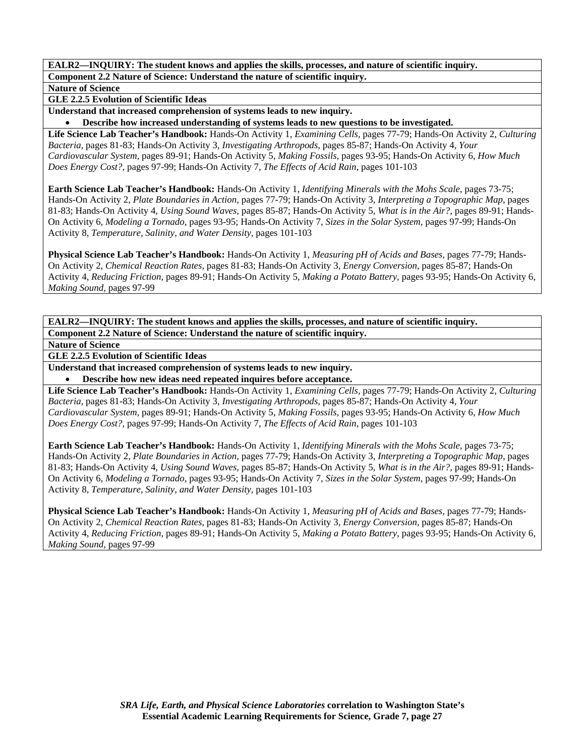**Nature of Science** 

**GLE 2.2.5 Evolution of Scientific Ideas** 

**Understand that increased comprehension of systems leads to new inquiry.** 

• **Describe how increased understanding of systems leads to new questions to be investigated.** 

**Life Science Lab Teacher's Handbook:** Hands-On Activity 1, *Examining Cells,* pages 77-79; Hands-On Activity 2, *Culturing Bacteria,* pages 81-83; Hands-On Activity 3, *Investigating Arthropods,* pages 85-87; Hands-On Activity 4, *Your Cardiovascular System,* pages 89-91; Hands-On Activity 5, *Making Fossils,* pages 93-95; Hands-On Activity 6, *How Much Does Energy Cost?,* pages 97-99; Hands-On Activity 7, *The Effects of Acid Rain,* pages 101-103

**Earth Science Lab Teacher's Handbook:** Hands-On Activity 1, *Identifying Minerals with the Mohs Scale,* pages 73-75; Hands-On Activity 2, *Plate Boundaries in Action,* pages 77-79; Hands-On Activity 3, *Interpreting a Topographic Map,* pages 81-83; Hands-On Activity 4, *Using Sound Waves,* pages 85-87; Hands-On Activity 5, *What is in the Air?,* pages 89-91; Hands-On Activity 6, *Modeling a Tornado,* pages 93-95; Hands-On Activity 7, *Sizes in the Solar System,* pages 97-99; Hands-On Activity 8, *Temperature, Salinity, and Water Density,* pages 101-103

**Physical Science Lab Teacher's Handbook:** Hands-On Activity 1, *Measuring pH of Acids and Bases,* pages 77-79; Hands-On Activity 2, *Chemical Reaction Rates,* pages 81-83; Hands-On Activity 3, *Energy Conversion,* pages 85-87; Hands-On Activity 4, *Reducing Friction,* pages 89-91; Hands-On Activity 5, *Making a Potato Battery,* pages 93-95; Hands-On Activity 6, *Making Sound,* pages 97-99

**EALR2—INQUIRY: The student knows and applies the skills, processes, and nature of scientific inquiry. Component 2.2 Nature of Science: Understand the nature of scientific inquiry.** 

**Nature of Science** 

**GLE 2.2.5 Evolution of Scientific Ideas** 

**Understand that increased comprehension of systems leads to new inquiry.** 

• **Describe how new ideas need repeated inquires before acceptance.** 

**Life Science Lab Teacher's Handbook:** Hands-On Activity 1, *Examining Cells,* pages 77-79; Hands-On Activity 2, *Culturing Bacteria,* pages 81-83; Hands-On Activity 3, *Investigating Arthropods,* pages 85-87; Hands-On Activity 4, *Your Cardiovascular System,* pages 89-91; Hands-On Activity 5, *Making Fossils,* pages 93-95; Hands-On Activity 6, *How Much Does Energy Cost?,* pages 97-99; Hands-On Activity 7, *The Effects of Acid Rain,* pages 101-103

**Earth Science Lab Teacher's Handbook:** Hands-On Activity 1, *Identifying Minerals with the Mohs Scale,* pages 73-75; Hands-On Activity 2, *Plate Boundaries in Action,* pages 77-79; Hands-On Activity 3, *Interpreting a Topographic Map,* pages 81-83; Hands-On Activity 4, *Using Sound Waves,* pages 85-87; Hands-On Activity 5, *What is in the Air?,* pages 89-91; Hands-On Activity 6, *Modeling a Tornado,* pages 93-95; Hands-On Activity 7, *Sizes in the Solar System,* pages 97-99; Hands-On Activity 8, *Temperature, Salinity, and Water Density,* pages 101-103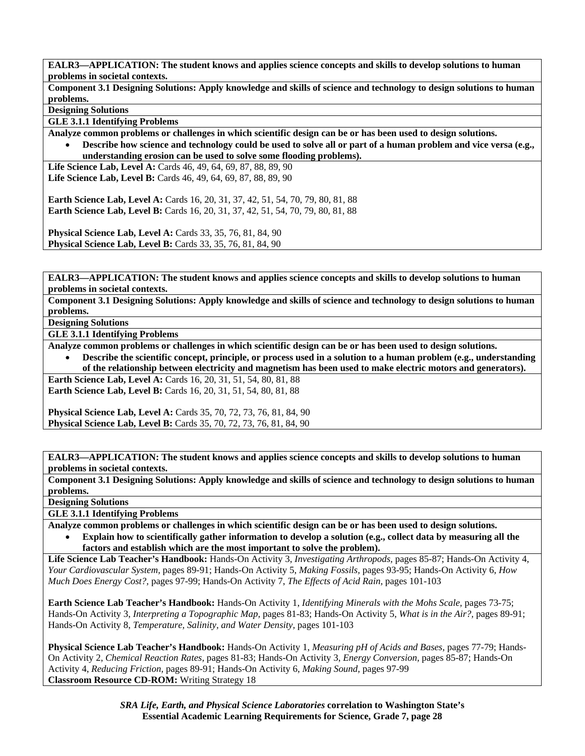**Component 3.1 Designing Solutions: Apply knowledge and skills of science and technology to design solutions to human problems.** 

**Designing Solutions** 

**GLE 3.1.1 Identifying Problems** 

**Analyze common problems or challenges in which scientific design can be or has been used to design solutions.** 

• **Describe how science and technology could be used to solve all or part of a human problem and vice versa (e.g., understanding erosion can be used to solve some flooding problems).** 

**Life Science Lab, Level A:** Cards 46, 49, 64, 69, 87, 88, 89, 90 **Life Science Lab, Level B:** Cards 46, 49, 64, 69, 87, 88, 89, 90

**Earth Science Lab, Level A:** Cards 16, 20, 31, 37, 42, 51, 54, 70, 79, 80, 81, 88 **Earth Science Lab, Level B:** Cards 16, 20, 31, 37, 42, 51, 54, 70, 79, 80, 81, 88

**Physical Science Lab, Level A: Cards 33, 35, 76, 81, 84, 90 Physical Science Lab, Level B:** Cards 33, 35, 76, 81, 84, 90

**EALR3—APPLICATION: The student knows and applies science concepts and skills to develop solutions to human problems in societal contexts.** 

**Component 3.1 Designing Solutions: Apply knowledge and skills of science and technology to design solutions to human problems.** 

**Designing Solutions** 

**GLE 3.1.1 Identifying Problems** 

**Analyze common problems or challenges in which scientific design can be or has been used to design solutions.** 

• **Describe the scientific concept, principle, or process used in a solution to a human problem (e.g., understanding of the relationship between electricity and magnetism has been used to make electric motors and generators).** 

**Earth Science Lab, Level A: Cards 16, 20, 31, 51, 54, 80, 81, 88 Earth Science Lab, Level B:** Cards 16, 20, 31, 51, 54, 80, 81, 88

**Physical Science Lab, Level A: Cards 35, 70, 72, 73, 76, 81, 84, 90 Physical Science Lab, Level B:** Cards 35, 70, 72, 73, 76, 81, 84, 90

**EALR3—APPLICATION: The student knows and applies science concepts and skills to develop solutions to human problems in societal contexts.** 

**Component 3.1 Designing Solutions: Apply knowledge and skills of science and technology to design solutions to human problems.** 

**Designing Solutions** 

**GLE 3.1.1 Identifying Problems** 

**Analyze common problems or challenges in which scientific design can be or has been used to design solutions.** 

• **Explain how to scientifically gather information to develop a solution (e.g., collect data by measuring all the factors and establish which are the most important to solve the problem).** 

**Life Science Lab Teacher's Handbook:** Hands-On Activity 3, *Investigating Arthropods,* pages 85-87; Hands-On Activity 4, *Your Cardiovascular System,* pages 89-91; Hands-On Activity 5, *Making Fossils,* pages 93-95; Hands-On Activity 6, *How Much Does Energy Cost?,* pages 97-99; Hands-On Activity 7, *The Effects of Acid Rain,* pages 101-103

**Earth Science Lab Teacher's Handbook:** Hands-On Activity 1, *Identifying Minerals with the Mohs Scale,* pages 73-75; Hands-On Activity 3, *Interpreting a Topographic Map,* pages 81-83; Hands-On Activity 5, *What is in the Air?,* pages 89-91; Hands-On Activity 8, *Temperature, Salinity, and Water Density,* pages 101-103

**Physical Science Lab Teacher's Handbook:** Hands-On Activity 1, *Measuring pH of Acids and Bases,* pages 77-79; Hands-On Activity 2, *Chemical Reaction Rates,* pages 81-83; Hands-On Activity 3, *Energy Conversion,* pages 85-87; Hands-On Activity 4, *Reducing Friction,* pages 89-91; Hands-On Activity 6, *Making Sound,* pages 97-99 **Classroom Resource CD-ROM:** Writing Strategy 18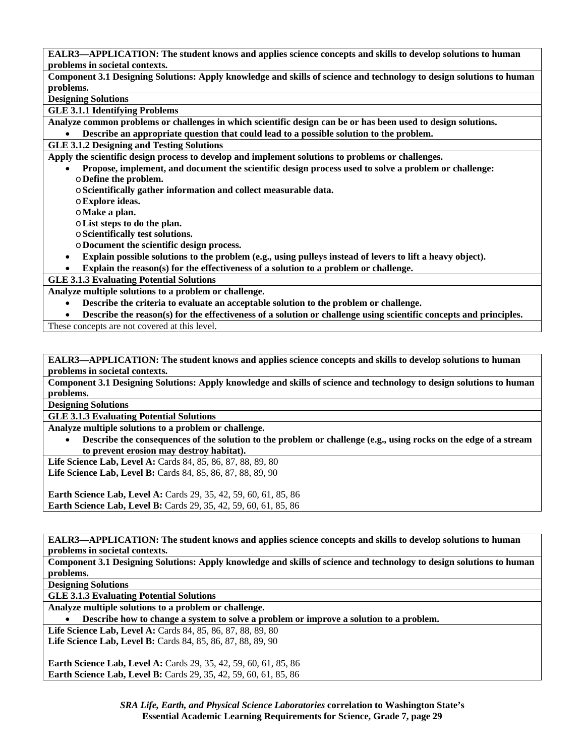**Component 3.1 Designing Solutions: Apply knowledge and skills of science and technology to design solutions to human problems.** 

**Designing Solutions** 

**GLE 3.1.1 Identifying Problems** 

**Analyze common problems or challenges in which scientific design can be or has been used to design solutions.** 

• **Describe an appropriate question that could lead to a possible solution to the problem.** 

**GLE 3.1.2 Designing and Testing Solutions** 

**Apply the scientific design process to develop and implement solutions to problems or challenges.** 

• **Propose, implement, and document the scientific design process used to solve a problem or challenge:**  o**Define the problem.** 

o**Scientifically gather information and collect measurable data.** 

o**Explore ideas.** 

o**Make a plan.** 

o**List steps to do the plan.** 

o**Scientifically test solutions.** 

o**Document the scientific design process.** 

• **Explain possible solutions to the problem (e.g., using pulleys instead of levers to lift a heavy object).** 

• **Explain the reason(s) for the effectiveness of a solution to a problem or challenge.** 

**GLE 3.1.3 Evaluating Potential Solutions** 

**Analyze multiple solutions to a problem or challenge.** 

• **Describe the criteria to evaluate an acceptable solution to the problem or challenge.** 

• **Describe the reason(s) for the effectiveness of a solution or challenge using scientific concepts and principles.** 

These concepts are not covered at this level.

**EALR3—APPLICATION: The student knows and applies science concepts and skills to develop solutions to human problems in societal contexts.** 

**Component 3.1 Designing Solutions: Apply knowledge and skills of science and technology to design solutions to human problems.** 

**Designing Solutions** 

**GLE 3.1.3 Evaluating Potential Solutions** 

**Analyze multiple solutions to a problem or challenge.** 

• **Describe the consequences of the solution to the problem or challenge (e.g., using rocks on the edge of a stream to prevent erosion may destroy habitat).** 

**Life Science Lab, Level A:** Cards 84, 85, 86, 87, 88, 89, 80

**Life Science Lab, Level B:** Cards 84, 85, 86, 87, 88, 89, 90

**Earth Science Lab, Level A:** Cards 29, 35, 42, 59, 60, 61, 85, 86 **Earth Science Lab, Level B:** Cards 29, 35, 42, 59, 60, 61, 85, 86

**EALR3—APPLICATION: The student knows and applies science concepts and skills to develop solutions to human problems in societal contexts.** 

**Component 3.1 Designing Solutions: Apply knowledge and skills of science and technology to design solutions to human problems.** 

**Designing Solutions** 

**GLE 3.1.3 Evaluating Potential Solutions** 

**Analyze multiple solutions to a problem or challenge.** 

• **Describe how to change a system to solve a problem or improve a solution to a problem.** 

**Life Science Lab, Level A:** Cards 84, 85, 86, 87, 88, 89, 80 **Life Science Lab, Level B:** Cards 84, 85, 86, 87, 88, 89, 90

**Earth Science Lab, Level A:** Cards 29, 35, 42, 59, 60, 61, 85, 86 **Earth Science Lab, Level B:** Cards 29, 35, 42, 59, 60, 61, 85, 86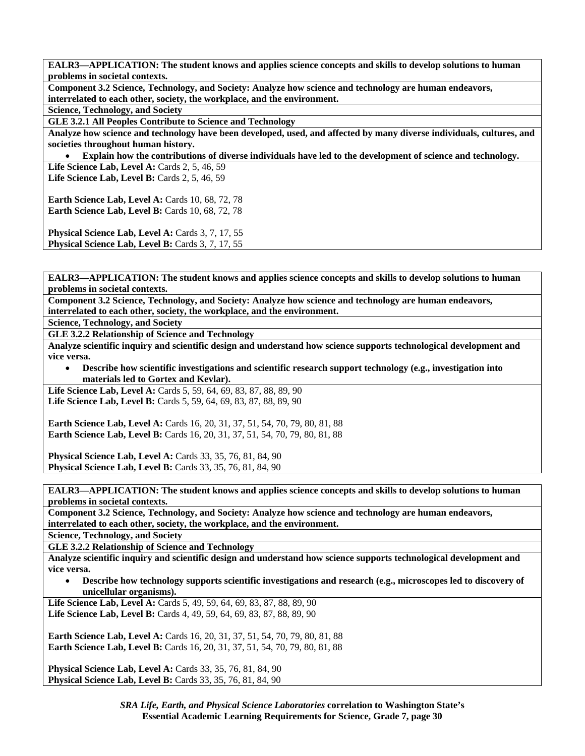**Component 3.2 Science, Technology, and Society: Analyze how science and technology are human endeavors, interrelated to each other, society, the workplace, and the environment.** 

**Science, Technology, and Society** 

**GLE 3.2.1 All Peoples Contribute to Science and Technology** 

**Analyze how science and technology have been developed, used, and affected by many diverse individuals, cultures, and societies throughout human history.** 

• **Explain how the contributions of diverse individuals have led to the development of science and technology.** 

Life Science Lab, Level A: Cards 2, 5, 46, 59 **Life Science Lab, Level B:** Cards 2, 5, 46, 59

**Earth Science Lab, Level A: Cards 10, 68, 72, 78 Earth Science Lab, Level B: Cards 10, 68, 72, 78** 

Physical Science Lab, Level A: Cards 3, 7, 17, 55 **Physical Science Lab, Level B: Cards 3, 7, 17, 55** 

**EALR3—APPLICATION: The student knows and applies science concepts and skills to develop solutions to human problems in societal contexts.** 

**Component 3.2 Science, Technology, and Society: Analyze how science and technology are human endeavors, interrelated to each other, society, the workplace, and the environment.** 

**Science, Technology, and Society** 

**GLE 3.2.2 Relationship of Science and Technology** 

**Analyze scientific inquiry and scientific design and understand how science supports technological development and vice versa.** 

• **Describe how scientific investigations and scientific research support technology (e.g., investigation into materials led to Gortex and Kevlar).** 

**Life Science Lab, Level A: Cards 5, 59, 64, 69, 83, 87, 88, 89, 90** Life Science Lab, Level B: Cards 5, 59, 64, 69, 83, 87, 88, 89, 90

**Earth Science Lab, Level A:** Cards 16, 20, 31, 37, 51, 54, 70, 79, 80, 81, 88 **Earth Science Lab, Level B:** Cards 16, 20, 31, 37, 51, 54, 70, 79, 80, 81, 88

**Physical Science Lab, Level A: Cards 33, 35, 76, 81, 84, 90 Physical Science Lab, Level B:** Cards 33, 35, 76, 81, 84, 90

**EALR3—APPLICATION: The student knows and applies science concepts and skills to develop solutions to human problems in societal contexts.** 

**Component 3.2 Science, Technology, and Society: Analyze how science and technology are human endeavors, interrelated to each other, society, the workplace, and the environment.** 

**Science, Technology, and Society** 

**GLE 3.2.2 Relationship of Science and Technology** 

**Analyze scientific inquiry and scientific design and understand how science supports technological development and vice versa.** 

• **Describe how technology supports scientific investigations and research (e.g., microscopes led to discovery of unicellular organisms).** 

Life Science Lab, Level A: Cards 5, 49, 59, 64, 69, 83, 87, 88, 89, 90 Life Science Lab, Level B: Cards 4, 49, 59, 64, 69, 83, 87, 88, 89, 90

**Earth Science Lab, Level A: Cards 16, 20, 31, 37, 51, 54, 70, 79, 80, 81, 88 Earth Science Lab, Level B:** Cards 16, 20, 31, 37, 51, 54, 70, 79, 80, 81, 88

**Physical Science Lab, Level A: Cards 33, 35, 76, 81, 84, 90 Physical Science Lab, Level B:** Cards 33, 35, 76, 81, 84, 90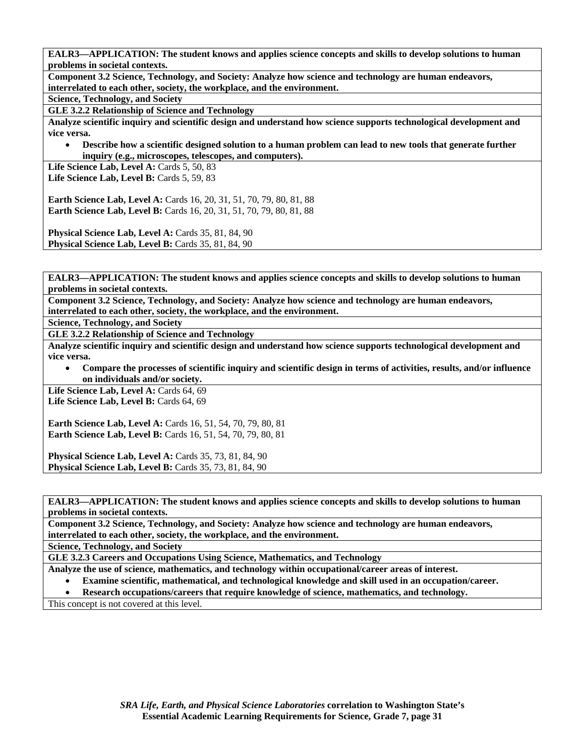**Component 3.2 Science, Technology, and Society: Analyze how science and technology are human endeavors, interrelated to each other, society, the workplace, and the environment.** 

**Science, Technology, and Society** 

**GLE 3.2.2 Relationship of Science and Technology** 

**Analyze scientific inquiry and scientific design and understand how science supports technological development and vice versa.** 

• **Describe how a scientific designed solution to a human problem can lead to new tools that generate further inquiry (e.g., microscopes, telescopes, and computers).** 

Life Science Lab, Level A: Cards 5, 50, 83 Life Science Lab, Level B: Cards 5, 59, 83

**Earth Science Lab, Level A:** Cards 16, 20, 31, 51, 70, 79, 80, 81, 88 **Earth Science Lab, Level B:** Cards 16, 20, 31, 51, 70, 79, 80, 81, 88

**Physical Science Lab, Level A: Cards 35, 81, 84, 90 Physical Science Lab, Level B: Cards 35, 81, 84, 90** 

**EALR3—APPLICATION: The student knows and applies science concepts and skills to develop solutions to human problems in societal contexts.** 

**Component 3.2 Science, Technology, and Society: Analyze how science and technology are human endeavors, interrelated to each other, society, the workplace, and the environment.** 

**Science, Technology, and Society** 

**GLE 3.2.2 Relationship of Science and Technology** 

**Analyze scientific inquiry and scientific design and understand how science supports technological development and vice versa.** 

• **Compare the processes of scientific inquiry and scientific design in terms of activities, results, and/or influence on individuals and/or society.** 

Life Science Lab, Level A: Cards 64, 69 Life Science Lab, Level B: Cards 64, 69

**Earth Science Lab, Level A:** Cards 16, 51, 54, 70, 79, 80, 81 **Earth Science Lab, Level B:** Cards 16, 51, 54, 70, 79, 80, 81

**Physical Science Lab, Level A: Cards 35, 73, 81, 84, 90 Physical Science Lab, Level B: Cards 35, 73, 81, 84, 90** 

**EALR3—APPLICATION: The student knows and applies science concepts and skills to develop solutions to human problems in societal contexts.** 

**Component 3.2 Science, Technology, and Society: Analyze how science and technology are human endeavors, interrelated to each other, society, the workplace, and the environment.** 

**Science, Technology, and Society** 

**GLE 3.2.3 Careers and Occupations Using Science, Mathematics, and Technology** 

**Analyze the use of science, mathematics, and technology within occupational/career areas of interest.** 

- **Examine scientific, mathematical, and technological knowledge and skill used in an occupation/career.**
- **Research occupations/careers that require knowledge of science, mathematics, and technology.**

This concept is not covered at this level.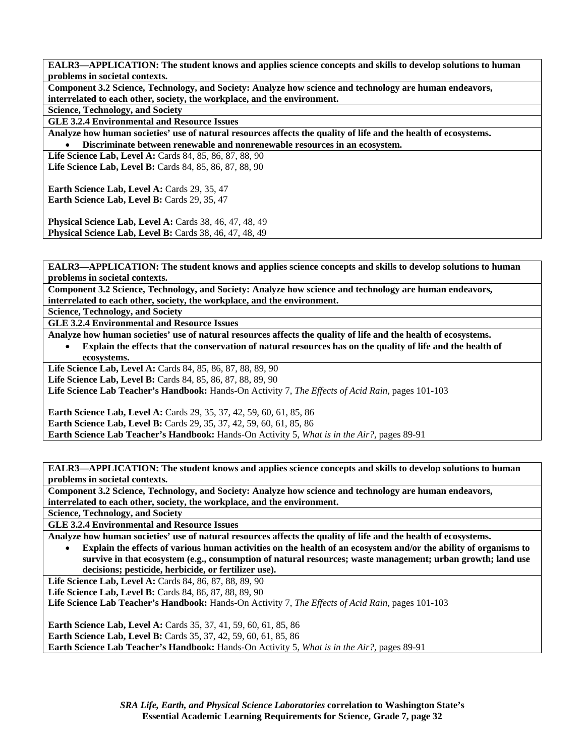**Component 3.2 Science, Technology, and Society: Analyze how science and technology are human endeavors, interrelated to each other, society, the workplace, and the environment.** 

**Science, Technology, and Society** 

**GLE 3.2.4 Environmental and Resource Issues** 

**Analyze how human societies' use of natural resources affects the quality of life and the health of ecosystems.**  • **Discriminate between renewable and nonrenewable resources in an ecosystem.** 

**Life Science Lab, Level A:** Cards 84, 85, 86, 87, 88, 90 **Life Science Lab, Level B:** Cards 84, 85, 86, 87, 88, 90

**Earth Science Lab, Level A: Cards 29, 35, 47** Earth Science Lab, Level B: Cards 29, 35, 47

**Physical Science Lab, Level A: Cards 38, 46, 47, 48, 49 Physical Science Lab, Level B:** Cards 38, 46, 47, 48, 49

**EALR3—APPLICATION: The student knows and applies science concepts and skills to develop solutions to human problems in societal contexts.** 

**Component 3.2 Science, Technology, and Society: Analyze how science and technology are human endeavors, interrelated to each other, society, the workplace, and the environment.** 

**Science, Technology, and Society** 

**GLE 3.2.4 Environmental and Resource Issues** 

**Analyze how human societies' use of natural resources affects the quality of life and the health of ecosystems.** 

• **Explain the effects that the conservation of natural resources has on the quality of life and the health of ecosystems.** 

**Life Science Lab, Level A:** Cards 84, 85, 86, 87, 88, 89, 90

**Life Science Lab, Level B:** Cards 84, 85, 86, 87, 88, 89, 90

**Life Science Lab Teacher's Handbook:** Hands-On Activity 7, *The Effects of Acid Rain,* pages 101-103

**Earth Science Lab, Level A:** Cards 29, 35, 37, 42, 59, 60, 61, 85, 86 **Earth Science Lab, Level B:** Cards 29, 35, 37, 42, 59, 60, 61, 85, 86 **Earth Science Lab Teacher's Handbook:** Hands-On Activity 5, *What is in the Air?,* pages 89-91

**EALR3—APPLICATION: The student knows and applies science concepts and skills to develop solutions to human problems in societal contexts.** 

**Component 3.2 Science, Technology, and Society: Analyze how science and technology are human endeavors, interrelated to each other, society, the workplace, and the environment.** 

**Science, Technology, and Society** 

**GLE 3.2.4 Environmental and Resource Issues** 

**Analyze how human societies' use of natural resources affects the quality of life and the health of ecosystems.** 

• **Explain the effects of various human activities on the health of an ecosystem and/or the ability of organisms to survive in that ecosystem (e.g., consumption of natural resources; waste management; urban growth; land use decisions; pesticide, herbicide, or fertilizer use).** 

Life Science Lab, Level A: Cards 84, 86, 87, 88, 89, 90

**Life Science Lab, Level B: Cards 84, 86, 87, 88, 89, 90** 

**Life Science Lab Teacher's Handbook:** Hands-On Activity 7, *The Effects of Acid Rain,* pages 101-103

**Earth Science Lab, Level A:** Cards 35, 37, 41, 59, 60, 61, 85, 86 **Earth Science Lab, Level B:** Cards 35, 37, 42, 59, 60, 61, 85, 86 **Earth Science Lab Teacher's Handbook:** Hands-On Activity 5, *What is in the Air?,* pages 89-91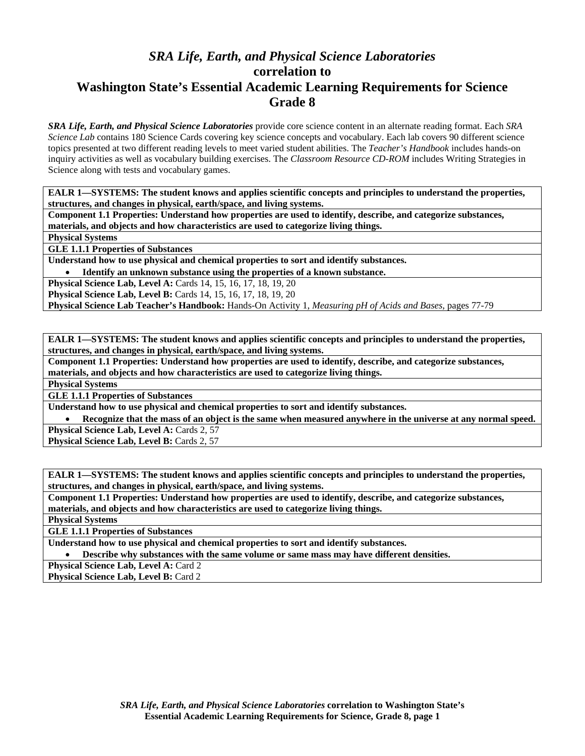# *SRA Life, Earth, and Physical Science Laboratories*  **correlation to Washington State's Essential Academic Learning Requirements for Science Grade 8**

*SRA Life, Earth, and Physical Science Laboratories* provide core science content in an alternate reading format. Each *SRA Science Lab* contains 180 Science Cards covering key science concepts and vocabulary. Each lab covers 90 different science topics presented at two different reading levels to meet varied student abilities. The *Teacher's Handbook* includes hands-on inquiry activities as well as vocabulary building exercises. The *Classroom Resource CD-ROM* includes Writing Strategies in Science along with tests and vocabulary games.

**EALR 1—SYSTEMS: The student knows and applies scientific concepts and principles to understand the properties, structures, and changes in physical, earth/space, and living systems.** 

**Component 1.1 Properties: Understand how properties are used to identify, describe, and categorize substances, materials, and objects and how characteristics are used to categorize living things.** 

**Physical Systems** 

**GLE 1.1.1 Properties of Substances** 

**Understand how to use physical and chemical properties to sort and identify substances.** 

• **Identify an unknown substance using the properties of a known substance.** 

**Physical Science Lab, Level A:** Cards 14, 15, 16, 17, 18, 19, 20

**Physical Science Lab, Level B:** Cards 14, 15, 16, 17, 18, 19, 20

**Physical Science Lab Teacher's Handbook:** Hands-On Activity 1, *Measuring pH of Acids and Bases,* pages 77-79

**EALR 1—SYSTEMS: The student knows and applies scientific concepts and principles to understand the properties, structures, and changes in physical, earth/space, and living systems.** 

**Component 1.1 Properties: Understand how properties are used to identify, describe, and categorize substances, materials, and objects and how characteristics are used to categorize living things.** 

**Physical Systems** 

**GLE 1.1.1 Properties of Substances** 

**Understand how to use physical and chemical properties to sort and identify substances.** 

• **Recognize that the mass of an object is the same when measured anywhere in the universe at any normal speed.**  Physical Science Lab, Level A: Cards 2, 57

Physical Science Lab, Level B: Cards 2, 57

**EALR 1—SYSTEMS: The student knows and applies scientific concepts and principles to understand the properties, structures, and changes in physical, earth/space, and living systems.** 

**Component 1.1 Properties: Understand how properties are used to identify, describe, and categorize substances, materials, and objects and how characteristics are used to categorize living things.** 

**Physical Systems** 

**GLE 1.1.1 Properties of Substances** 

**Understand how to use physical and chemical properties to sort and identify substances.** 

• **Describe why substances with the same volume or same mass may have different densities.** 

Physical Science Lab, Level A: Card 2

**Physical Science Lab, Level B: Card 2**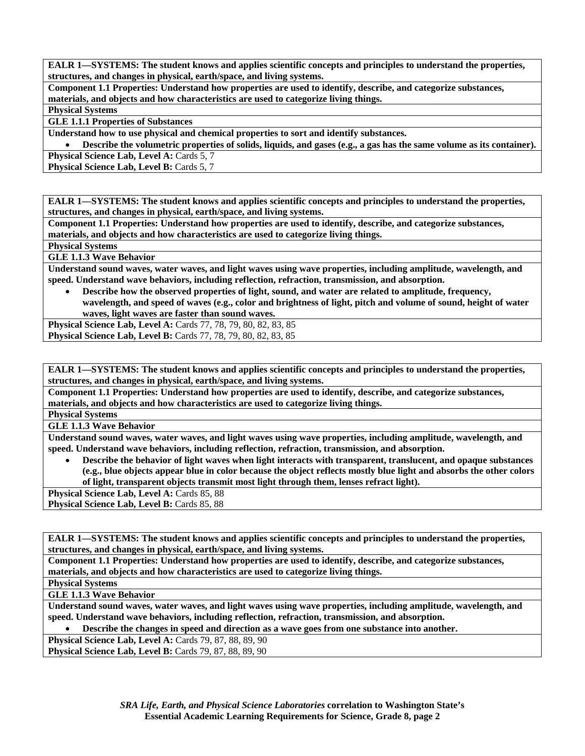**Component 1.1 Properties: Understand how properties are used to identify, describe, and categorize substances, materials, and objects and how characteristics are used to categorize living things.** 

**Physical Systems** 

**GLE 1.1.1 Properties of Substances** 

**Understand how to use physical and chemical properties to sort and identify substances.** 

• **Describe the volumetric properties of solids, liquids, and gases (e.g., a gas has the same volume as its container).** 

**Physical Science Lab, Level A: Cards 5, 7** 

**Physical Science Lab, Level B: Cards 5, 7** 

**EALR 1—SYSTEMS: The student knows and applies scientific concepts and principles to understand the properties, structures, and changes in physical, earth/space, and living systems.** 

**Component 1.1 Properties: Understand how properties are used to identify, describe, and categorize substances, materials, and objects and how characteristics are used to categorize living things.** 

**Physical Systems** 

**GLE 1.1.3 Wave Behavior** 

**Understand sound waves, water waves, and light waves using wave properties, including amplitude, wavelength, and speed. Understand wave behaviors, including reflection, refraction, transmission, and absorption.** 

• **Describe how the observed properties of light, sound, and water are related to amplitude, frequency, wavelength, and speed of waves (e.g., color and brightness of light, pitch and volume of sound, height of water waves, light waves are faster than sound waves.** 

**Physical Science Lab, Level A:** Cards 77, 78, 79, 80, 82, 83, 85 **Physical Science Lab, Level B:** Cards 77, 78, 79, 80, 82, 83, 85

**EALR 1—SYSTEMS: The student knows and applies scientific concepts and principles to understand the properties, structures, and changes in physical, earth/space, and living systems.** 

**Component 1.1 Properties: Understand how properties are used to identify, describe, and categorize substances, materials, and objects and how characteristics are used to categorize living things.** 

**Physical Systems** 

**GLE 1.1.3 Wave Behavior** 

**Understand sound waves, water waves, and light waves using wave properties, including amplitude, wavelength, and speed. Understand wave behaviors, including reflection, refraction, transmission, and absorption.** 

• **Describe the behavior of light waves when light interacts with transparent, translucent, and opaque substances (e.g., blue objects appear blue in color because the object reflects mostly blue light and absorbs the other colors of light, transparent objects transmit most light through them, lenses refract light).** 

Physical Science Lab, Level A: Cards 85, 88

Physical Science Lab, Level B: Cards 85, 88

**EALR 1—SYSTEMS: The student knows and applies scientific concepts and principles to understand the properties, structures, and changes in physical, earth/space, and living systems.** 

**Component 1.1 Properties: Understand how properties are used to identify, describe, and categorize substances, materials, and objects and how characteristics are used to categorize living things.** 

**Physical Systems** 

**GLE 1.1.3 Wave Behavior** 

**Understand sound waves, water waves, and light waves using wave properties, including amplitude, wavelength, and speed. Understand wave behaviors, including reflection, refraction, transmission, and absorption.** 

• **Describe the changes in speed and direction as a wave goes from one substance into another.** 

**Physical Science Lab, Level A: Cards 79, 87, 88, 89, 90 Physical Science Lab, Level B: Cards 79, 87, 88, 89, 90** 

> *SRA Life, Earth, and Physical Science Laboratories* **correlation to Washington State's Essential Academic Learning Requirements for Science, Grade 8, page 2**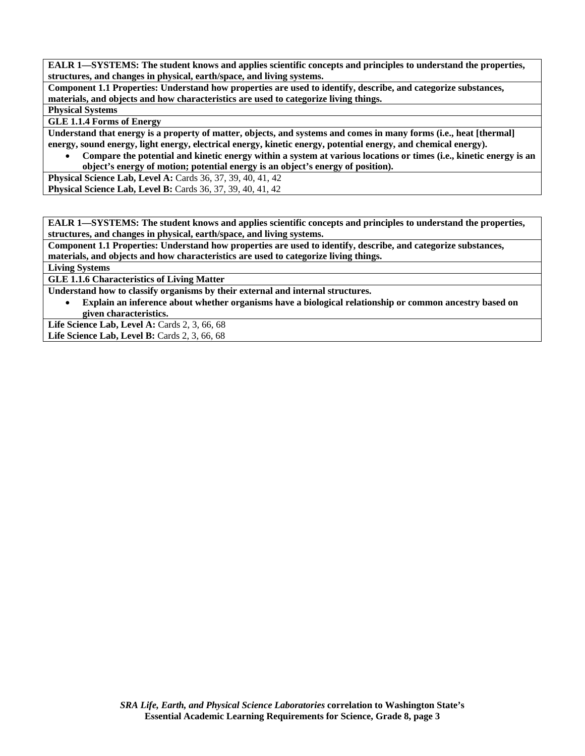**Component 1.1 Properties: Understand how properties are used to identify, describe, and categorize substances, materials, and objects and how characteristics are used to categorize living things.** 

**Physical Systems** 

**GLE 1.1.4 Forms of Energy** 

**Understand that energy is a property of matter, objects, and systems and comes in many forms (i.e., heat [thermal] energy, sound energy, light energy, electrical energy, kinetic energy, potential energy, and chemical energy).** 

• **Compare the potential and kinetic energy within a system at various locations or times (i.e., kinetic energy is an object's energy of motion; potential energy is an object's energy of position).** 

**Physical Science Lab, Level A: Cards 36, 37, 39, 40, 41, 42 Physical Science Lab, Level B:** Cards 36, 37, 39, 40, 41, 42

**EALR 1—SYSTEMS: The student knows and applies scientific concepts and principles to understand the properties, structures, and changes in physical, earth/space, and living systems.** 

**Component 1.1 Properties: Understand how properties are used to identify, describe, and categorize substances, materials, and objects and how characteristics are used to categorize living things.** 

**Living Systems** 

**GLE 1.1.6 Characteristics of Living Matter** 

**Understand how to classify organisms by their external and internal structures.** 

• **Explain an inference about whether organisms have a biological relationship or common ancestry based on given characteristics.** 

Life Science Lab, Level A: Cards 2, 3, 66, 68 Life Science Lab, Level B: Cards 2, 3, 66, 68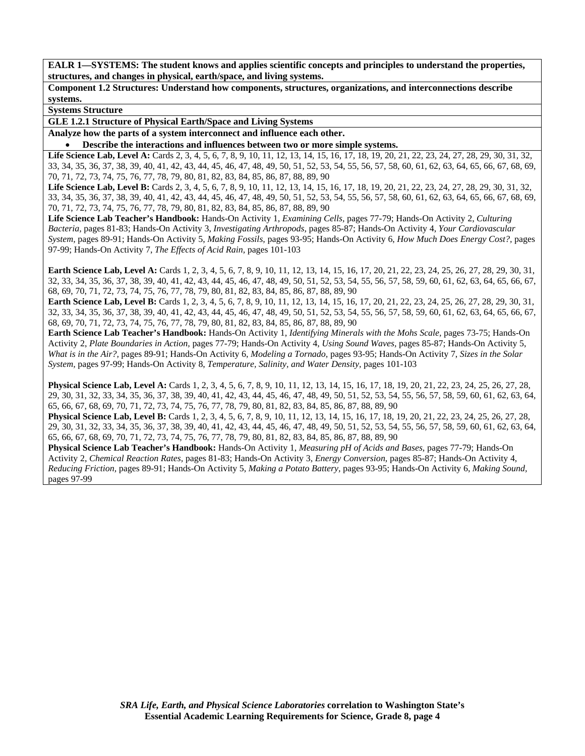**Component 1.2 Structures: Understand how components, structures, organizations, and interconnections describe systems.** 

**Systems Structure** 

**GLE 1.2.1 Structure of Physical Earth/Space and Living Systems** 

**Analyze how the parts of a system interconnect and influence each other.** 

• **Describe the interactions and influences between two or more simple systems.** 

Life Science Lab, Level A: Cards 2, 3, 4, 5, 6, 7, 8, 9, 10, 11, 12, 13, 14, 15, 16, 17, 18, 19, 20, 21, 22, 23, 24, 27, 28, 29, 30, 31, 32, 33, 34, 35, 36, 37, 38, 39, 40, 41, 42, 43, 44, 45, 46, 47, 48, 49, 50, 51, 52, 53, 54, 55, 56, 57, 58, 60, 61, 62, 63, 64, 65, 66, 67, 68, 69, 70, 71, 72, 73, 74, 75, 76, 77, 78, 79, 80, 81, 82, 83, 84, 85, 86, 87, 88, 89, 90

Life Science Lab, Level B: Cards 2, 3, 4, 5, 6, 7, 8, 9, 10, 11, 12, 13, 14, 15, 16, 17, 18, 19, 20, 21, 22, 23, 24, 27, 28, 29, 30, 31, 32, 33, 34, 35, 36, 37, 38, 39, 40, 41, 42, 43, 44, 45, 46, 47, 48, 49, 50, 51, 52, 53, 54, 55, 56, 57, 58, 60, 61, 62, 63, 64, 65, 66, 67, 68, 69, 70, 71, 72, 73, 74, 75, 76, 77, 78, 79, 80, 81, 82, 83, 84, 85, 86, 87, 88, 89, 90

**Life Science Lab Teacher's Handbook:** Hands-On Activity 1, *Examining Cells,* pages 77-79; Hands-On Activity 2, *Culturing Bacteria,* pages 81-83; Hands-On Activity 3, *Investigating Arthropods,* pages 85-87; Hands-On Activity 4, *Your Cardiovascular System,* pages 89-91; Hands-On Activity 5, *Making Fossils,* pages 93-95; Hands-On Activity 6, *How Much Does Energy Cost?,* pages 97-99; Hands-On Activity 7, *The Effects of Acid Rain,* pages 101-103

**Earth Science Lab, Level A:** Cards 1, 2, 3, 4, 5, 6, 7, 8, 9, 10, 11, 12, 13, 14, 15, 16, 17, 20, 21, 22, 23, 24, 25, 26, 27, 28, 29, 30, 31, 32, 33, 34, 35, 36, 37, 38, 39, 40, 41, 42, 43, 44, 45, 46, 47, 48, 49, 50, 51, 52, 53, 54, 55, 56, 57, 58, 59, 60, 61, 62, 63, 64, 65, 66, 67, 68, 69, 70, 71, 72, 73, 74, 75, 76, 77, 78, 79, 80, 81, 82, 83, 84, 85, 86, 87, 88, 89, 90

**Earth Science Lab, Level B:** Cards 1, 2, 3, 4, 5, 6, 7, 8, 9, 10, 11, 12, 13, 14, 15, 16, 17, 20, 21, 22, 23, 24, 25, 26, 27, 28, 29, 30, 31, 32, 33, 34, 35, 36, 37, 38, 39, 40, 41, 42, 43, 44, 45, 46, 47, 48, 49, 50, 51, 52, 53, 54, 55, 56, 57, 58, 59, 60, 61, 62, 63, 64, 65, 66, 67, 68, 69, 70, 71, 72, 73, 74, 75, 76, 77, 78, 79, 80, 81, 82, 83, 84, 85, 86, 87, 88, 89, 90

**Earth Science Lab Teacher's Handbook:** Hands-On Activity 1, *Identifying Minerals with the Mohs Scale,* pages 73-75; Hands-On Activity 2, *Plate Boundaries in Action,* pages 77-79; Hands-On Activity 4, *Using Sound Waves,* pages 85-87; Hands-On Activity 5, *What is in the Air?,* pages 89-91; Hands-On Activity 6, *Modeling a Tornado,* pages 93-95; Hands-On Activity 7, *Sizes in the Solar System,* pages 97-99; Hands-On Activity 8, *Temperature, Salinity, and Water Density,* pages 101-103

**Physical Science Lab, Level A:** Cards 1, 2, 3, 4, 5, 6, 7, 8, 9, 10, 11, 12, 13, 14, 15, 16, 17, 18, 19, 20, 21, 22, 23, 24, 25, 26, 27, 28, 29, 30, 31, 32, 33, 34, 35, 36, 37, 38, 39, 40, 41, 42, 43, 44, 45, 46, 47, 48, 49, 50, 51, 52, 53, 54, 55, 56, 57, 58, 59, 60, 61, 62, 63, 64, 65, 66, 67, 68, 69, 70, 71, 72, 73, 74, 75, 76, 77, 78, 79, 80, 81, 82, 83, 84, 85, 86, 87, 88, 89, 90

**Physical Science Lab, Level B:** Cards 1, 2, 3, 4, 5, 6, 7, 8, 9, 10, 11, 12, 13, 14, 15, 16, 17, 18, 19, 20, 21, 22, 23, 24, 25, 26, 27, 28, 29, 30, 31, 32, 33, 34, 35, 36, 37, 38, 39, 40, 41, 42, 43, 44, 45, 46, 47, 48, 49, 50, 51, 52, 53, 54, 55, 56, 57, 58, 59, 60, 61, 62, 63, 64, 65, 66, 67, 68, 69, 70, 71, 72, 73, 74, 75, 76, 77, 78, 79, 80, 81, 82, 83, 84, 85, 86, 87, 88, 89, 90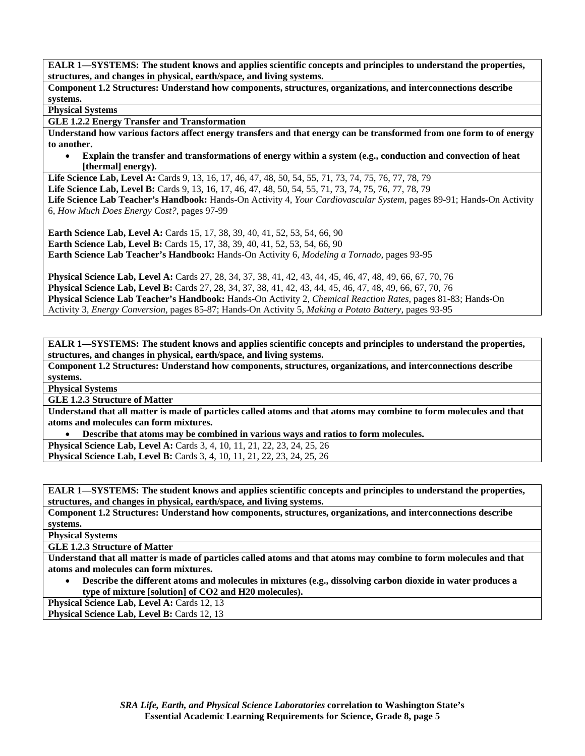**Component 1.2 Structures: Understand how components, structures, organizations, and interconnections describe systems.** 

**Physical Systems** 

**GLE 1.2.2 Energy Transfer and Transformation** 

**Understand how various factors affect energy transfers and that energy can be transformed from one form to of energy to another.** 

• **Explain the transfer and transformations of energy within a system (e.g., conduction and convection of heat [thermal] energy).** 

**Life Science Lab, Level A:** Cards 9, 13, 16, 17, 46, 47, 48, 50, 54, 55, 71, 73, 74, 75, 76, 77, 78, 79 **Life Science Lab, Level B:** Cards 9, 13, 16, 17, 46, 47, 48, 50, 54, 55, 71, 73, 74, 75, 76, 77, 78, 79 **Life Science Lab Teacher's Handbook:** Hands-On Activity 4, *Your Cardiovascular System,* pages 89-91; Hands-On Activity 6, *How Much Does Energy Cost?,* pages 97-99

**Earth Science Lab, Level A: Cards 15, 17, 38, 39, 40, 41, 52, 53, 54, 66, 90 Earth Science Lab, Level B:** Cards 15, 17, 38, 39, 40, 41, 52, 53, 54, 66, 90 **Earth Science Lab Teacher's Handbook:** Hands-On Activity 6, *Modeling a Tornado,* pages 93-95

**Physical Science Lab, Level A:** Cards 27, 28, 34, 37, 38, 41, 42, 43, 44, 45, 46, 47, 48, 49, 66, 67, 70, 76 **Physical Science Lab, Level B:** Cards 27, 28, 34, 37, 38, 41, 42, 43, 44, 45, 46, 47, 48, 49, 66, 67, 70, 76 **Physical Science Lab Teacher's Handbook:** Hands-On Activity 2, *Chemical Reaction Rates,* pages 81-83; Hands-On Activity 3, *Energy Conversion,* pages 85-87; Hands-On Activity 5, *Making a Potato Battery,* pages 93-95

**EALR 1—SYSTEMS: The student knows and applies scientific concepts and principles to understand the properties, structures, and changes in physical, earth/space, and living systems.** 

**Component 1.2 Structures: Understand how components, structures, organizations, and interconnections describe systems.** 

**Physical Systems** 

**GLE 1.2.3 Structure of Matter** 

**Understand that all matter is made of particles called atoms and that atoms may combine to form molecules and that atoms and molecules can form mixtures.** 

• **Describe that atoms may be combined in various ways and ratios to form molecules.** 

**Physical Science Lab, Level A: Cards 3, 4, 10, 11, 21, 22, 23, 24, 25, 26 Physical Science Lab, Level B:** Cards 3, 4, 10, 11, 21, 22, 23, 24, 25, 26

**EALR 1—SYSTEMS: The student knows and applies scientific concepts and principles to understand the properties, structures, and changes in physical, earth/space, and living systems.** 

**Component 1.2 Structures: Understand how components, structures, organizations, and interconnections describe systems.** 

**Physical Systems** 

**GLE 1.2.3 Structure of Matter** 

**Understand that all matter is made of particles called atoms and that atoms may combine to form molecules and that atoms and molecules can form mixtures.** 

• **Describe the different atoms and molecules in mixtures (e.g., dissolving carbon dioxide in water produces a type of mixture [solution] of CO2 and H20 molecules).** 

**Physical Science Lab, Level A: Cards 12, 13** 

**Physical Science Lab, Level B: Cards 12, 13**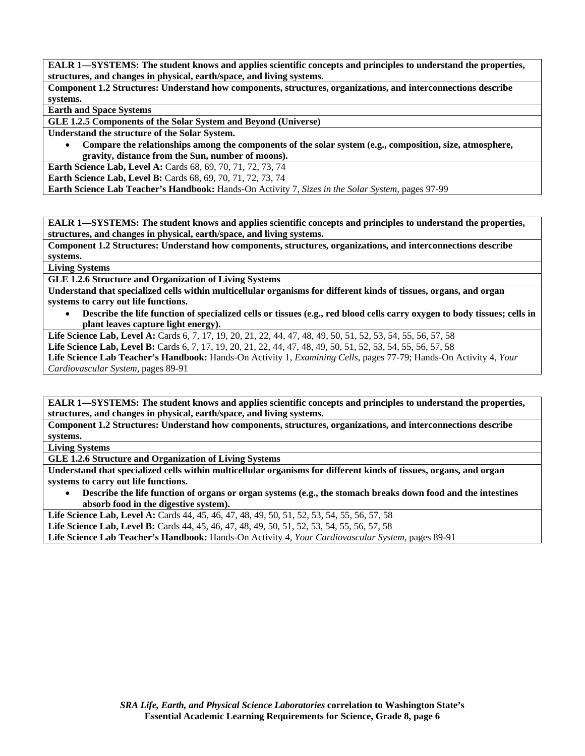**Component 1.2 Structures: Understand how components, structures, organizations, and interconnections describe systems.** 

**Earth and Space Systems** 

**GLE 1.2.5 Components of the Solar System and Beyond (Universe)** 

**Understand the structure of the Solar System.** 

• **Compare the relationships among the components of the solar system (e.g., composition, size, atmosphere, gravity, distance from the Sun, number of moons).** 

**Earth Science Lab, Level A:** Cards 68, 69, 70, 71, 72, 73, 74

**Earth Science Lab, Level B:** Cards 68, 69, 70, 71, 72, 73, 74

**Earth Science Lab Teacher's Handbook:** Hands-On Activity 7, *Sizes in the Solar System,* pages 97-99

**EALR 1—SYSTEMS: The student knows and applies scientific concepts and principles to understand the properties, structures, and changes in physical, earth/space, and living systems.** 

**Component 1.2 Structures: Understand how components, structures, organizations, and interconnections describe systems.** 

**Living Systems** 

**GLE 1.2.6 Structure and Organization of Living Systems** 

**Understand that specialized cells within multicellular organisms for different kinds of tissues, organs, and organ systems to carry out life functions.** 

• **Describe the life function of specialized cells or tissues (e.g., red blood cells carry oxygen to body tissues; cells in plant leaves capture light energy).** 

**Life Science Lab, Level A:** Cards 6, 7, 17, 19, 20, 21, 22, 44, 47, 48, 49, 50, 51, 52, 53, 54, 55, 56, 57, 58

**Life Science Lab, Level B:** Cards 6, 7, 17, 19, 20, 21, 22, 44, 47, 48, 49, 50, 51, 52, 53, 54, 55, 56, 57, 58

**Life Science Lab Teacher's Handbook:** Hands-On Activity 1, *Examining Cells,* pages 77-79; Hands-On Activity 4, *Your Cardiovascular System,* pages 89-91

**EALR 1—SYSTEMS: The student knows and applies scientific concepts and principles to understand the properties, structures, and changes in physical, earth/space, and living systems.** 

**Component 1.2 Structures: Understand how components, structures, organizations, and interconnections describe systems.** 

**Living Systems** 

**GLE 1.2.6 Structure and Organization of Living Systems** 

**Understand that specialized cells within multicellular organisms for different kinds of tissues, organs, and organ systems to carry out life functions.** 

• **Describe the life function of organs or organ systems (e.g., the stomach breaks down food and the intestines absorb food in the digestive system).** 

Life Science Lab, Level A: Cards 44, 45, 46, 47, 48, 49, 50, 51, 52, 53, 54, 55, 56, 57, 58 **Life Science Lab, Level B:** Cards 44, 45, 46, 47, 48, 49, 50, 51, 52, 53, 54, 55, 56, 57, 58

**Life Science Lab Teacher's Handbook:** Hands-On Activity 4, *Your Cardiovascular System,* pages 89-91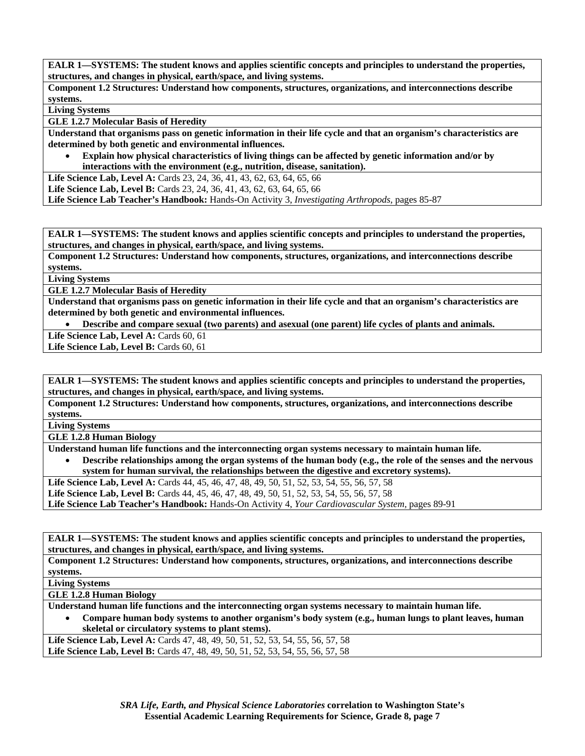**Component 1.2 Structures: Understand how components, structures, organizations, and interconnections describe systems.** 

**Living Systems** 

**GLE 1.2.7 Molecular Basis of Heredity** 

**Understand that organisms pass on genetic information in their life cycle and that an organism's characteristics are determined by both genetic and environmental influences.** 

• **Explain how physical characteristics of living things can be affected by genetic information and/or by interactions with the environment (e.g., nutrition, disease, sanitation).** 

Life Science Lab, Level A: Cards 23, 24, 36, 41, 43, 62, 63, 64, 65, 66

Life Science Lab, Level B: Cards 23, 24, 36, 41, 43, 62, 63, 64, 65, 66

**Life Science Lab Teacher's Handbook:** Hands-On Activity 3, *Investigating Arthropods,* pages 85-87

**EALR 1—SYSTEMS: The student knows and applies scientific concepts and principles to understand the properties, structures, and changes in physical, earth/space, and living systems.** 

**Component 1.2 Structures: Understand how components, structures, organizations, and interconnections describe systems.** 

**Living Systems** 

**GLE 1.2.7 Molecular Basis of Heredity** 

**Understand that organisms pass on genetic information in their life cycle and that an organism's characteristics are determined by both genetic and environmental influences.** 

• **Describe and compare sexual (two parents) and asexual (one parent) life cycles of plants and animals.** 

Life Science Lab, Level A: Cards 60, 61

Life Science Lab, Level B: Cards 60, 61

**EALR 1—SYSTEMS: The student knows and applies scientific concepts and principles to understand the properties, structures, and changes in physical, earth/space, and living systems.** 

**Component 1.2 Structures: Understand how components, structures, organizations, and interconnections describe systems.** 

**Living Systems** 

**GLE 1.2.8 Human Biology** 

**Understand human life functions and the interconnecting organ systems necessary to maintain human life.** 

• **Describe relationships among the organ systems of the human body (e.g., the role of the senses and the nervous system for human survival, the relationships between the digestive and excretory systems).** 

**Life Science Lab, Level A:** Cards 44, 45, 46, 47, 48, 49, 50, 51, 52, 53, 54, 55, 56, 57, 58

**Life Science Lab, Level B:** Cards 44, 45, 46, 47, 48, 49, 50, 51, 52, 53, 54, 55, 56, 57, 58

**Life Science Lab Teacher's Handbook:** Hands-On Activity 4, *Your Cardiovascular System,* pages 89-91

**EALR 1—SYSTEMS: The student knows and applies scientific concepts and principles to understand the properties, structures, and changes in physical, earth/space, and living systems.** 

**Component 1.2 Structures: Understand how components, structures, organizations, and interconnections describe systems.** 

**Living Systems** 

**GLE 1.2.8 Human Biology** 

**Understand human life functions and the interconnecting organ systems necessary to maintain human life.** 

• **Compare human body systems to another organism's body system (e.g., human lungs to plant leaves, human skeletal or circulatory systems to plant stems).** 

**Life Science Lab, Level A:** Cards 47, 48, 49, 50, 51, 52, 53, 54, 55, 56, 57, 58 Life Science Lab, Level B: Cards 47, 48, 49, 50, 51, 52, 53, 54, 55, 56, 57, 58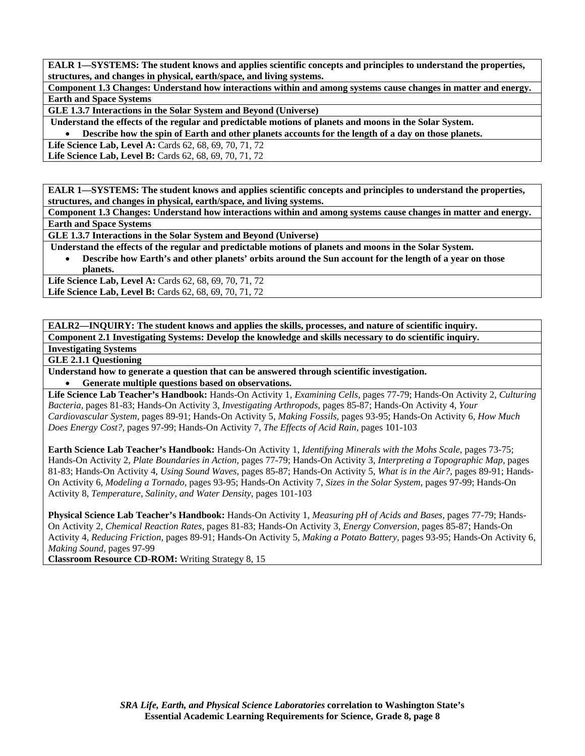**Component 1.3 Changes: Understand how interactions within and among systems cause changes in matter and energy. Earth and Space Systems** 

**GLE 1.3.7 Interactions in the Solar System and Beyond (Universe)** 

 **Understand the effects of the regular and predictable motions of planets and moons in the Solar System.** 

• **Describe how the spin of Earth and other planets accounts for the length of a day on those planets.** 

**Life Science Lab, Level A: Cards 62, 68, 69, 70, 71, 72** 

**Life Science Lab, Level B: Cards 62, 68, 69, 70, 71, 72** 

**EALR 1—SYSTEMS: The student knows and applies scientific concepts and principles to understand the properties, structures, and changes in physical, earth/space, and living systems.** 

**Component 1.3 Changes: Understand how interactions within and among systems cause changes in matter and energy. Earth and Space Systems** 

**GLE 1.3.7 Interactions in the Solar System and Beyond (Universe)** 

 **Understand the effects of the regular and predictable motions of planets and moons in the Solar System.** 

• **Describe how Earth's and other planets' orbits around the Sun account for the length of a year on those planets.** 

Life Science Lab, Level A: Cards 62, 68, 69, 70, 71, 72 Life Science Lab, Level B: Cards 62, 68, 69, 70, 71, 72

**EALR2—INQUIRY: The student knows and applies the skills, processes, and nature of scientific inquiry. Component 2.1 Investigating Systems: Develop the knowledge and skills necessary to do scientific inquiry.** 

**Investigating Systems** 

**GLE 2.1.1 Questioning** 

**Understand how to generate a question that can be answered through scientific investigation.** 

• **Generate multiple questions based on observations.** 

**Life Science Lab Teacher's Handbook:** Hands-On Activity 1, *Examining Cells,* pages 77-79; Hands-On Activity 2, *Culturing Bacteria,* pages 81-83; Hands-On Activity 3, *Investigating Arthropods,* pages 85-87; Hands-On Activity 4, *Your Cardiovascular System,* pages 89-91; Hands-On Activity 5, *Making Fossils,* pages 93-95; Hands-On Activity 6, *How Much Does Energy Cost?,* pages 97-99; Hands-On Activity 7, *The Effects of Acid Rain,* pages 101-103

**Earth Science Lab Teacher's Handbook:** Hands-On Activity 1, *Identifying Minerals with the Mohs Scale,* pages 73-75; Hands-On Activity 2, *Plate Boundaries in Action,* pages 77-79; Hands-On Activity 3, *Interpreting a Topographic Map,* pages 81-83; Hands-On Activity 4, *Using Sound Waves,* pages 85-87; Hands-On Activity 5, *What is in the Air?,* pages 89-91; Hands-On Activity 6, *Modeling a Tornado,* pages 93-95; Hands-On Activity 7, *Sizes in the Solar System,* pages 97-99; Hands-On Activity 8, *Temperature, Salinity, and Water Density,* pages 101-103

**Physical Science Lab Teacher's Handbook:** Hands-On Activity 1, *Measuring pH of Acids and Bases,* pages 77-79; Hands-On Activity 2, *Chemical Reaction Rates,* pages 81-83; Hands-On Activity 3, *Energy Conversion,* pages 85-87; Hands-On Activity 4, *Reducing Friction,* pages 89-91; Hands-On Activity 5, *Making a Potato Battery,* pages 93-95; Hands-On Activity 6, *Making Sound,* pages 97-99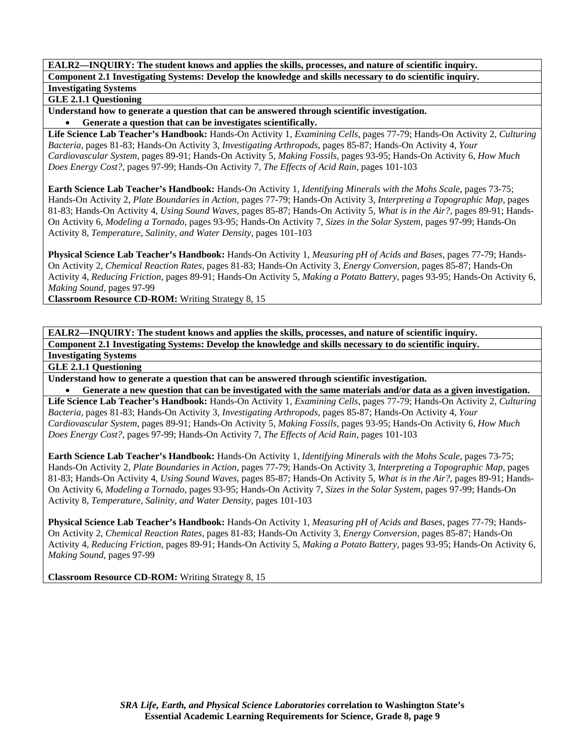### **GLE 2.1.1 Questioning**

**Understand how to generate a question that can be answered through scientific investigation.**  • **Generate a question that can be investigates scientifically.** 

**Life Science Lab Teacher's Handbook:** Hands-On Activity 1, *Examining Cells,* pages 77-79; Hands-On Activity 2, *Culturing Bacteria,* pages 81-83; Hands-On Activity 3, *Investigating Arthropods,* pages 85-87; Hands-On Activity 4, *Your Cardiovascular System,* pages 89-91; Hands-On Activity 5, *Making Fossils,* pages 93-95; Hands-On Activity 6, *How Much Does Energy Cost?,* pages 97-99; Hands-On Activity 7, *The Effects of Acid Rain,* pages 101-103

**Earth Science Lab Teacher's Handbook:** Hands-On Activity 1, *Identifying Minerals with the Mohs Scale,* pages 73-75; Hands-On Activity 2, *Plate Boundaries in Action,* pages 77-79; Hands-On Activity 3, *Interpreting a Topographic Map,* pages 81-83; Hands-On Activity 4, *Using Sound Waves,* pages 85-87; Hands-On Activity 5, *What is in the Air?,* pages 89-91; Hands-On Activity 6, *Modeling a Tornado,* pages 93-95; Hands-On Activity 7, *Sizes in the Solar System,* pages 97-99; Hands-On Activity 8, *Temperature, Salinity, and Water Density,* pages 101-103

**Physical Science Lab Teacher's Handbook:** Hands-On Activity 1, *Measuring pH of Acids and Bases,* pages 77-79; Hands-On Activity 2, *Chemical Reaction Rates,* pages 81-83; Hands-On Activity 3, *Energy Conversion,* pages 85-87; Hands-On Activity 4, *Reducing Friction,* pages 89-91; Hands-On Activity 5, *Making a Potato Battery,* pages 93-95; Hands-On Activity 6, *Making Sound,* pages 97-99

**Classroom Resource CD-ROM:** Writing Strategy 8, 15

**EALR2—INQUIRY: The student knows and applies the skills, processes, and nature of scientific inquiry. Component 2.1 Investigating Systems: Develop the knowledge and skills necessary to do scientific inquiry. Investigating Systems** 

**GLE 2.1.1 Questioning** 

**Understand how to generate a question that can be answered through scientific investigation.** 

• **Generate a new question that can be investigated with the same materials and/or data as a given investigation. Life Science Lab Teacher's Handbook:** Hands-On Activity 1, *Examining Cells,* pages 77-79; Hands-On Activity 2, *Culturing Bacteria,* pages 81-83; Hands-On Activity 3, *Investigating Arthropods,* pages 85-87; Hands-On Activity 4, *Your Cardiovascular System,* pages 89-91; Hands-On Activity 5, *Making Fossils,* pages 93-95; Hands-On Activity 6, *How Much Does Energy Cost?,* pages 97-99; Hands-On Activity 7, *The Effects of Acid Rain,* pages 101-103

**Earth Science Lab Teacher's Handbook:** Hands-On Activity 1, *Identifying Minerals with the Mohs Scale,* pages 73-75; Hands-On Activity 2, *Plate Boundaries in Action,* pages 77-79; Hands-On Activity 3, *Interpreting a Topographic Map,* pages 81-83; Hands-On Activity 4, *Using Sound Waves,* pages 85-87; Hands-On Activity 5, *What is in the Air?,* pages 89-91; Hands-On Activity 6, *Modeling a Tornado,* pages 93-95; Hands-On Activity 7, *Sizes in the Solar System,* pages 97-99; Hands-On Activity 8, *Temperature, Salinity, and Water Density,* pages 101-103

**Physical Science Lab Teacher's Handbook:** Hands-On Activity 1, *Measuring pH of Acids and Bases,* pages 77-79; Hands-On Activity 2, *Chemical Reaction Rates,* pages 81-83; Hands-On Activity 3, *Energy Conversion,* pages 85-87; Hands-On Activity 4, *Reducing Friction,* pages 89-91; Hands-On Activity 5, *Making a Potato Battery,* pages 93-95; Hands-On Activity 6, *Making Sound,* pages 97-99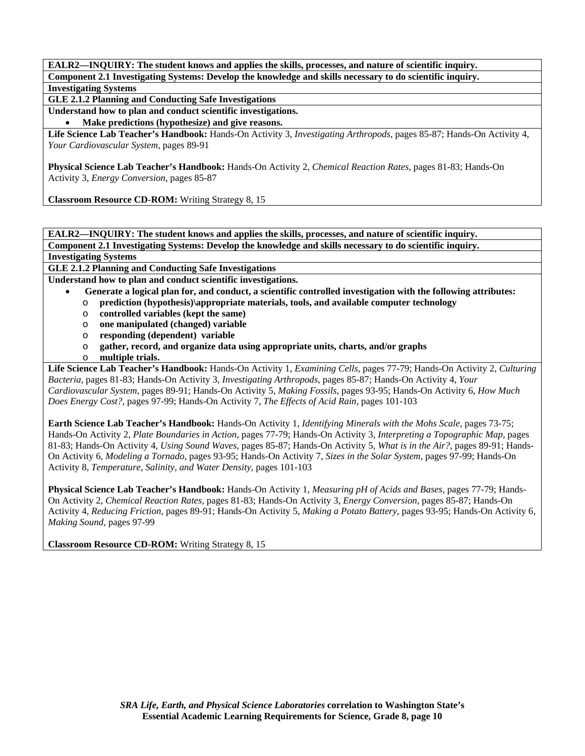**GLE 2.1.2 Planning and Conducting Safe Investigations** 

**Understand how to plan and conduct scientific investigations.** 

• **Make predictions (hypothesize) and give reasons.** 

**Life Science Lab Teacher's Handbook:** Hands-On Activity 3, *Investigating Arthropods,* pages 85-87; Hands-On Activity 4, *Your Cardiovascular System,* pages 89-91

**Physical Science Lab Teacher's Handbook:** Hands-On Activity 2, *Chemical Reaction Rates,* pages 81-83; Hands-On Activity 3, *Energy Conversion,* pages 85-87

**Classroom Resource CD-ROM:** Writing Strategy 8, 15

**EALR2—INQUIRY: The student knows and applies the skills, processes, and nature of scientific inquiry. Component 2.1 Investigating Systems: Develop the knowledge and skills necessary to do scientific inquiry.** 

# **Investigating Systems**

**GLE 2.1.2 Planning and Conducting Safe Investigations** 

**Understand how to plan and conduct scientific investigations.** 

- • **Generate a logical plan for, and conduct, a scientific controlled investigation with the following attributes:**
- o **prediction (hypothesis)\appropriate materials, tools, and available computer technology**
- o **controlled variables (kept the same)**
- o **one manipulated (changed) variable**
- o **responding (dependent) variable**
- o **gather, record, and organize data using appropriate units, charts, and/or graphs**
- o **multiple trials.**

**Life Science Lab Teacher's Handbook:** Hands-On Activity 1, *Examining Cells,* pages 77-79; Hands-On Activity 2, *Culturing Bacteria,* pages 81-83; Hands-On Activity 3, *Investigating Arthropods,* pages 85-87; Hands-On Activity 4, *Your Cardiovascular System,* pages 89-91; Hands-On Activity 5, *Making Fossils,* pages 93-95; Hands-On Activity 6, *How Much Does Energy Cost?,* pages 97-99; Hands-On Activity 7, *The Effects of Acid Rain,* pages 101-103

**Earth Science Lab Teacher's Handbook:** Hands-On Activity 1, *Identifying Minerals with the Mohs Scale,* pages 73-75; Hands-On Activity 2, *Plate Boundaries in Action,* pages 77-79; Hands-On Activity 3, *Interpreting a Topographic Map,* pages 81-83; Hands-On Activity 4, *Using Sound Waves,* pages 85-87; Hands-On Activity 5, *What is in the Air?,* pages 89-91; Hands-On Activity 6, *Modeling a Tornado,* pages 93-95; Hands-On Activity 7, *Sizes in the Solar System,* pages 97-99; Hands-On Activity 8, *Temperature, Salinity, and Water Density,* pages 101-103

**Physical Science Lab Teacher's Handbook:** Hands-On Activity 1, *Measuring pH of Acids and Bases,* pages 77-79; Hands-On Activity 2, *Chemical Reaction Rates,* pages 81-83; Hands-On Activity 3, *Energy Conversion,* pages 85-87; Hands-On Activity 4, *Reducing Friction,* pages 89-91; Hands-On Activity 5, *Making a Potato Battery,* pages 93-95; Hands-On Activity 6, *Making Sound,* pages 97-99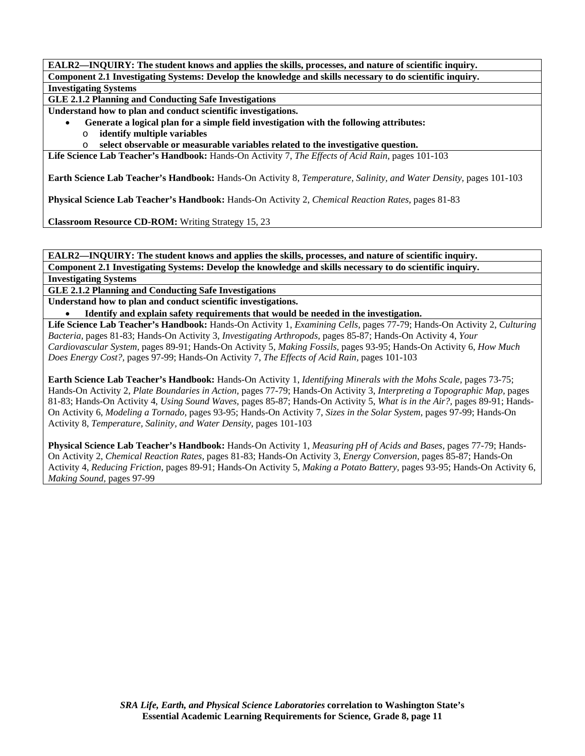**GLE 2.1.2 Planning and Conducting Safe Investigations** 

**Understand how to plan and conduct scientific investigations.** 

- • **Generate a logical plan for a simple field investigation with the following attributes:**
- o **identify multiple variables**
- o **select observable or measurable variables related to the investigative question.**

**Life Science Lab Teacher's Handbook:** Hands-On Activity 7, *The Effects of Acid Rain,* pages 101-103

**Earth Science Lab Teacher's Handbook:** Hands-On Activity 8, *Temperature, Salinity, and Water Density,* pages 101-103

**Physical Science Lab Teacher's Handbook:** Hands-On Activity 2, *Chemical Reaction Rates,* pages 81-83

**Classroom Resource CD-ROM:** Writing Strategy 15, 23

**EALR2—INQUIRY: The student knows and applies the skills, processes, and nature of scientific inquiry. Component 2.1 Investigating Systems: Develop the knowledge and skills necessary to do scientific inquiry.** 

**Investigating Systems** 

**GLE 2.1.2 Planning and Conducting Safe Investigations** 

**Understand how to plan and conduct scientific investigations.** 

• **Identify and explain safety requirements that would be needed in the investigation.** 

**Life Science Lab Teacher's Handbook:** Hands-On Activity 1, *Examining Cells,* pages 77-79; Hands-On Activity 2, *Culturing Bacteria,* pages 81-83; Hands-On Activity 3, *Investigating Arthropods,* pages 85-87; Hands-On Activity 4, *Your Cardiovascular System,* pages 89-91; Hands-On Activity 5, *Making Fossils,* pages 93-95; Hands-On Activity 6, *How Much Does Energy Cost?,* pages 97-99; Hands-On Activity 7, *The Effects of Acid Rain,* pages 101-103

**Earth Science Lab Teacher's Handbook:** Hands-On Activity 1, *Identifying Minerals with the Mohs Scale,* pages 73-75; Hands-On Activity 2, *Plate Boundaries in Action,* pages 77-79; Hands-On Activity 3, *Interpreting a Topographic Map,* pages 81-83; Hands-On Activity 4, *Using Sound Waves,* pages 85-87; Hands-On Activity 5, *What is in the Air?,* pages 89-91; Hands-On Activity 6, *Modeling a Tornado,* pages 93-95; Hands-On Activity 7, *Sizes in the Solar System,* pages 97-99; Hands-On Activity 8, *Temperature, Salinity, and Water Density,* pages 101-103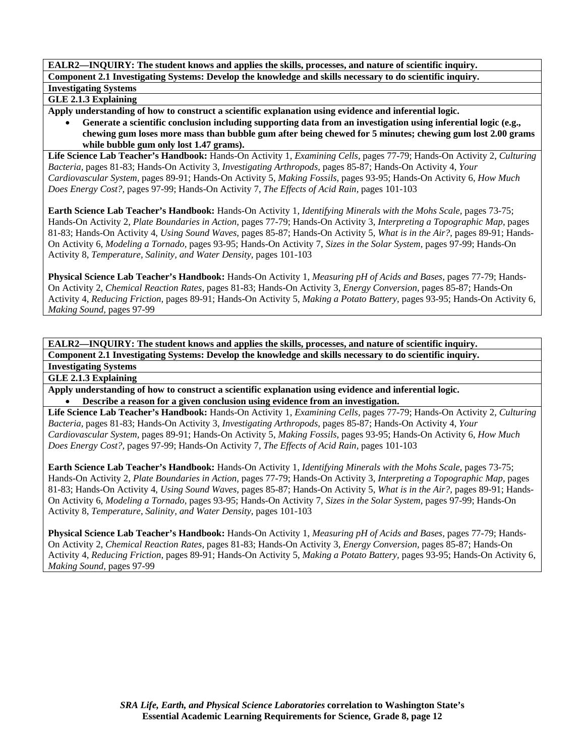# **GLE 2.1.3 Explaining**

**Apply understanding of how to construct a scientific explanation using evidence and inferential logic.** 

• **Generate a scientific conclusion including supporting data from an investigation using inferential logic (e.g., chewing gum loses more mass than bubble gum after being chewed for 5 minutes; chewing gum lost 2.00 grams while bubble gum only lost 1.47 grams).** 

**Life Science Lab Teacher's Handbook:** Hands-On Activity 1, *Examining Cells,* pages 77-79; Hands-On Activity 2, *Culturing Bacteria,* pages 81-83; Hands-On Activity 3, *Investigating Arthropods,* pages 85-87; Hands-On Activity 4, *Your Cardiovascular System,* pages 89-91; Hands-On Activity 5, *Making Fossils,* pages 93-95; Hands-On Activity 6, *How Much Does Energy Cost?,* pages 97-99; Hands-On Activity 7, *The Effects of Acid Rain,* pages 101-103

**Earth Science Lab Teacher's Handbook:** Hands-On Activity 1, *Identifying Minerals with the Mohs Scale,* pages 73-75; Hands-On Activity 2, *Plate Boundaries in Action,* pages 77-79; Hands-On Activity 3, *Interpreting a Topographic Map,* pages 81-83; Hands-On Activity 4, *Using Sound Waves,* pages 85-87; Hands-On Activity 5, *What is in the Air?,* pages 89-91; Hands-On Activity 6, *Modeling a Tornado,* pages 93-95; Hands-On Activity 7, *Sizes in the Solar System,* pages 97-99; Hands-On Activity 8, *Temperature, Salinity, and Water Density,* pages 101-103

**Physical Science Lab Teacher's Handbook:** Hands-On Activity 1, *Measuring pH of Acids and Bases,* pages 77-79; Hands-On Activity 2, *Chemical Reaction Rates,* pages 81-83; Hands-On Activity 3, *Energy Conversion,* pages 85-87; Hands-On Activity 4, *Reducing Friction,* pages 89-91; Hands-On Activity 5, *Making a Potato Battery,* pages 93-95; Hands-On Activity 6, *Making Sound,* pages 97-99

**EALR2—INQUIRY: The student knows and applies the skills, processes, and nature of scientific inquiry. Component 2.1 Investigating Systems: Develop the knowledge and skills necessary to do scientific inquiry.** 

**Investigating Systems** 

**GLE 2.1.3 Explaining** 

**Apply understanding of how to construct a scientific explanation using evidence and inferential logic.**  • **Describe a reason for a given conclusion using evidence from an investigation.** 

**Life Science Lab Teacher's Handbook:** Hands-On Activity 1, *Examining Cells,* pages 77-79; Hands-On Activity 2, *Culturing Bacteria,* pages 81-83; Hands-On Activity 3, *Investigating Arthropods,* pages 85-87; Hands-On Activity 4, *Your Cardiovascular System,* pages 89-91; Hands-On Activity 5, *Making Fossils,* pages 93-95; Hands-On Activity 6, *How Much Does Energy Cost?,* pages 97-99; Hands-On Activity 7, *The Effects of Acid Rain,* pages 101-103

**Earth Science Lab Teacher's Handbook:** Hands-On Activity 1, *Identifying Minerals with the Mohs Scale,* pages 73-75; Hands-On Activity 2, *Plate Boundaries in Action,* pages 77-79; Hands-On Activity 3, *Interpreting a Topographic Map,* pages 81-83; Hands-On Activity 4, *Using Sound Waves,* pages 85-87; Hands-On Activity 5, *What is in the Air?,* pages 89-91; Hands-On Activity 6, *Modeling a Tornado,* pages 93-95; Hands-On Activity 7, *Sizes in the Solar System,* pages 97-99; Hands-On Activity 8, *Temperature, Salinity, and Water Density,* pages 101-103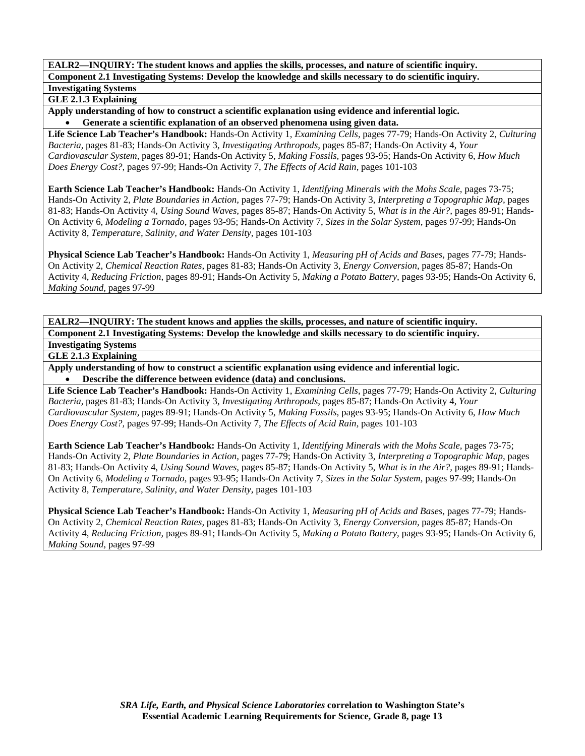# **GLE 2.1.3 Explaining**

**Apply understanding of how to construct a scientific explanation using evidence and inferential logic.**  • **Generate a scientific explanation of an observed phenomena using given data.** 

**Life Science Lab Teacher's Handbook:** Hands-On Activity 1, *Examining Cells,* pages 77-79; Hands-On Activity 2, *Culturing Bacteria,* pages 81-83; Hands-On Activity 3, *Investigating Arthropods,* pages 85-87; Hands-On Activity 4, *Your Cardiovascular System,* pages 89-91; Hands-On Activity 5, *Making Fossils,* pages 93-95; Hands-On Activity 6, *How Much Does Energy Cost?,* pages 97-99; Hands-On Activity 7, *The Effects of Acid Rain,* pages 101-103

**Earth Science Lab Teacher's Handbook:** Hands-On Activity 1, *Identifying Minerals with the Mohs Scale,* pages 73-75; Hands-On Activity 2, *Plate Boundaries in Action,* pages 77-79; Hands-On Activity 3, *Interpreting a Topographic Map,* pages 81-83; Hands-On Activity 4, *Using Sound Waves,* pages 85-87; Hands-On Activity 5, *What is in the Air?,* pages 89-91; Hands-On Activity 6, *Modeling a Tornado,* pages 93-95; Hands-On Activity 7, *Sizes in the Solar System,* pages 97-99; Hands-On Activity 8, *Temperature, Salinity, and Water Density,* pages 101-103

**Physical Science Lab Teacher's Handbook:** Hands-On Activity 1, *Measuring pH of Acids and Bases,* pages 77-79; Hands-On Activity 2, *Chemical Reaction Rates,* pages 81-83; Hands-On Activity 3, *Energy Conversion,* pages 85-87; Hands-On Activity 4, *Reducing Friction,* pages 89-91; Hands-On Activity 5, *Making a Potato Battery,* pages 93-95; Hands-On Activity 6, *Making Sound,* pages 97-99

**EALR2—INQUIRY: The student knows and applies the skills, processes, and nature of scientific inquiry. Component 2.1 Investigating Systems: Develop the knowledge and skills necessary to do scientific inquiry. Investigating Systems** 

**GLE 2.1.3 Explaining** 

**Apply understanding of how to construct a scientific explanation using evidence and inferential logic.**  • **Describe the difference between evidence (data) and conclusions.** 

**Life Science Lab Teacher's Handbook:** Hands-On Activity 1, *Examining Cells,* pages 77-79; Hands-On Activity 2, *Culturing Bacteria,* pages 81-83; Hands-On Activity 3, *Investigating Arthropods,* pages 85-87; Hands-On Activity 4, *Your Cardiovascular System,* pages 89-91; Hands-On Activity 5, *Making Fossils,* pages 93-95; Hands-On Activity 6, *How Much Does Energy Cost?,* pages 97-99; Hands-On Activity 7, *The Effects of Acid Rain,* pages 101-103

**Earth Science Lab Teacher's Handbook:** Hands-On Activity 1, *Identifying Minerals with the Mohs Scale,* pages 73-75; Hands-On Activity 2, *Plate Boundaries in Action,* pages 77-79; Hands-On Activity 3, *Interpreting a Topographic Map,* pages 81-83; Hands-On Activity 4, *Using Sound Waves,* pages 85-87; Hands-On Activity 5, *What is in the Air?,* pages 89-91; Hands-On Activity 6, *Modeling a Tornado,* pages 93-95; Hands-On Activity 7, *Sizes in the Solar System,* pages 97-99; Hands-On Activity 8, *Temperature, Salinity, and Water Density,* pages 101-103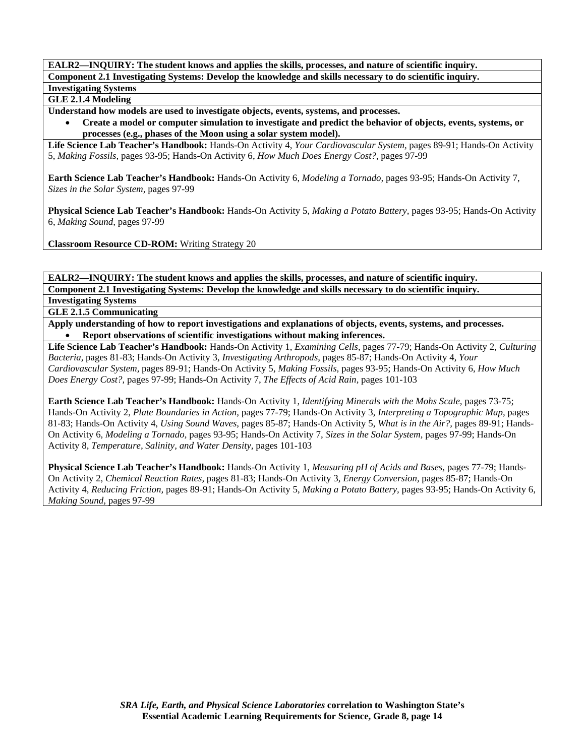**GLE 2.1.4 Modeling** 

**Understand how models are used to investigate objects, events, systems, and processes.** 

• **Create a model or computer simulation to investigate and predict the behavior of objects, events, systems, or processes (e.g., phases of the Moon using a solar system model).** 

**Life Science Lab Teacher's Handbook:** Hands-On Activity 4, *Your Cardiovascular System,* pages 89-91; Hands-On Activity 5, *Making Fossils,* pages 93-95; Hands-On Activity 6, *How Much Does Energy Cost?,* pages 97-99

**Earth Science Lab Teacher's Handbook:** Hands-On Activity 6, *Modeling a Tornado,* pages 93-95; Hands-On Activity 7, *Sizes in the Solar System,* pages 97-99

**Physical Science Lab Teacher's Handbook:** Hands-On Activity 5, *Making a Potato Battery,* pages 93-95; Hands-On Activity 6, *Making Sound,* pages 97-99

**Classroom Resource CD-ROM:** Writing Strategy 20

**EALR2—INQUIRY: The student knows and applies the skills, processes, and nature of scientific inquiry. Component 2.1 Investigating Systems: Develop the knowledge and skills necessary to do scientific inquiry.** 

**Investigating Systems GLE 2.1.5 Communicating** 

**Apply understanding of how to report investigations and explanations of objects, events, systems, and processes.**  • **Report observations of scientific investigations without making inferences.** 

**Life Science Lab Teacher's Handbook:** Hands-On Activity 1, *Examining Cells,* pages 77-79; Hands-On Activity 2, *Culturing Bacteria,* pages 81-83; Hands-On Activity 3, *Investigating Arthropods,* pages 85-87; Hands-On Activity 4, *Your Cardiovascular System,* pages 89-91; Hands-On Activity 5, *Making Fossils,* pages 93-95; Hands-On Activity 6, *How Much Does Energy Cost?,* pages 97-99; Hands-On Activity 7, *The Effects of Acid Rain,* pages 101-103

**Earth Science Lab Teacher's Handbook:** Hands-On Activity 1, *Identifying Minerals with the Mohs Scale,* pages 73-75; Hands-On Activity 2, *Plate Boundaries in Action,* pages 77-79; Hands-On Activity 3, *Interpreting a Topographic Map,* pages 81-83; Hands-On Activity 4, *Using Sound Waves,* pages 85-87; Hands-On Activity 5, *What is in the Air?,* pages 89-91; Hands-On Activity 6, *Modeling a Tornado,* pages 93-95; Hands-On Activity 7, *Sizes in the Solar System,* pages 97-99; Hands-On Activity 8, *Temperature, Salinity, and Water Density,* pages 101-103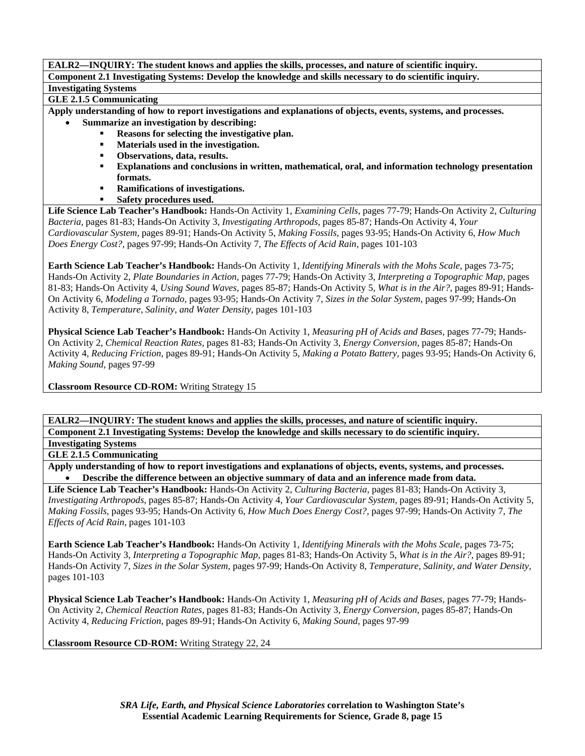**GLE 2.1.5 Communicating** 

**Apply understanding of how to report investigations and explanations of objects, events, systems, and processes.** 

- **Summarize an investigation by describing:** 
	- **Reasons for selecting the investigative plan.**
	- **Materials used in the investigation.**
	- **Observations, data, results.**
	- **Explanations and conclusions in written, mathematical, oral, and information technology presentation formats.**
	- **Ramifications of investigations.**
	- **Safety procedures used.**

**Life Science Lab Teacher's Handbook:** Hands-On Activity 1, *Examining Cells,* pages 77-79; Hands-On Activity 2, *Culturing Bacteria,* pages 81-83; Hands-On Activity 3, *Investigating Arthropods,* pages 85-87; Hands-On Activity 4, *Your Cardiovascular System,* pages 89-91; Hands-On Activity 5, *Making Fossils,* pages 93-95; Hands-On Activity 6, *How Much Does Energy Cost?,* pages 97-99; Hands-On Activity 7, *The Effects of Acid Rain,* pages 101-103

**Earth Science Lab Teacher's Handbook:** Hands-On Activity 1, *Identifying Minerals with the Mohs Scale,* pages 73-75; Hands-On Activity 2, *Plate Boundaries in Action,* pages 77-79; Hands-On Activity 3, *Interpreting a Topographic Map,* pages 81-83; Hands-On Activity 4, *Using Sound Waves,* pages 85-87; Hands-On Activity 5, *What is in the Air?,* pages 89-91; Hands-On Activity 6, *Modeling a Tornado,* pages 93-95; Hands-On Activity 7, *Sizes in the Solar System,* pages 97-99; Hands-On Activity 8, *Temperature, Salinity, and Water Density,* pages 101-103

**Physical Science Lab Teacher's Handbook:** Hands-On Activity 1, *Measuring pH of Acids and Bases,* pages 77-79; Hands-On Activity 2, *Chemical Reaction Rates,* pages 81-83; Hands-On Activity 3, *Energy Conversion,* pages 85-87; Hands-On Activity 4, *Reducing Friction,* pages 89-91; Hands-On Activity 5, *Making a Potato Battery,* pages 93-95; Hands-On Activity 6, *Making Sound,* pages 97-99

**Classroom Resource CD-ROM:** Writing Strategy 15

**EALR2—INQUIRY: The student knows and applies the skills, processes, and nature of scientific inquiry. Component 2.1 Investigating Systems: Develop the knowledge and skills necessary to do scientific inquiry. Investigating Systems** 

**GLE 2.1.5 Communicating** 

**Apply understanding of how to report investigations and explanations of objects, events, systems, and processes.**  • **Describe the difference between an objective summary of data and an inference made from data.** 

**Life Science Lab Teacher's Handbook:** Hands-On Activity 2, *Culturing Bacteria,* pages 81-83; Hands-On Activity 3, *Investigating Arthropods,* pages 85-87; Hands-On Activity 4, *Your Cardiovascular System,* pages 89-91; Hands-On Activity 5, *Making Fossils,* pages 93-95; Hands-On Activity 6, *How Much Does Energy Cost?,* pages 97-99; Hands-On Activity 7, *The Effects of Acid Rain,* pages 101-103

**Earth Science Lab Teacher's Handbook:** Hands-On Activity 1, *Identifying Minerals with the Mohs Scale,* pages 73-75; Hands-On Activity 3, *Interpreting a Topographic Map,* pages 81-83; Hands-On Activity 5, *What is in the Air?,* pages 89-91; Hands-On Activity 7, *Sizes in the Solar System,* pages 97-99; Hands-On Activity 8, *Temperature, Salinity, and Water Density,* pages 101-103

**Physical Science Lab Teacher's Handbook:** Hands-On Activity 1, *Measuring pH of Acids and Bases,* pages 77-79; Hands-On Activity 2, *Chemical Reaction Rates,* pages 81-83; Hands-On Activity 3, *Energy Conversion,* pages 85-87; Hands-On Activity 4, *Reducing Friction,* pages 89-91; Hands-On Activity 6, *Making Sound,* pages 97-99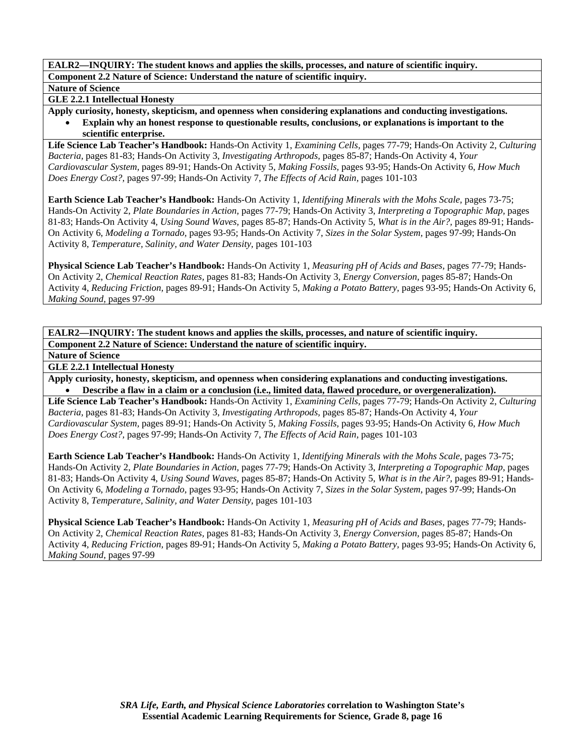#### **Nature of Science**

**GLE 2.2.1 Intellectual Honesty** 

**Apply curiosity, honesty, skepticism, and openness when considering explanations and conducting investigations.**  • **Explain why an honest response to questionable results, conclusions, or explanations is important to the scientific enterprise.** 

**Life Science Lab Teacher's Handbook:** Hands-On Activity 1, *Examining Cells,* pages 77-79; Hands-On Activity 2, *Culturing Bacteria,* pages 81-83; Hands-On Activity 3, *Investigating Arthropods,* pages 85-87; Hands-On Activity 4, *Your Cardiovascular System,* pages 89-91; Hands-On Activity 5, *Making Fossils,* pages 93-95; Hands-On Activity 6, *How Much Does Energy Cost?,* pages 97-99; Hands-On Activity 7, *The Effects of Acid Rain,* pages 101-103

**Earth Science Lab Teacher's Handbook:** Hands-On Activity 1, *Identifying Minerals with the Mohs Scale,* pages 73-75; Hands-On Activity 2, *Plate Boundaries in Action,* pages 77-79; Hands-On Activity 3, *Interpreting a Topographic Map,* pages 81-83; Hands-On Activity 4, *Using Sound Waves,* pages 85-87; Hands-On Activity 5, *What is in the Air?,* pages 89-91; Hands-On Activity 6, *Modeling a Tornado,* pages 93-95; Hands-On Activity 7, *Sizes in the Solar System,* pages 97-99; Hands-On Activity 8, *Temperature, Salinity, and Water Density,* pages 101-103

**Physical Science Lab Teacher's Handbook:** Hands-On Activity 1, *Measuring pH of Acids and Bases,* pages 77-79; Hands-On Activity 2, *Chemical Reaction Rates,* pages 81-83; Hands-On Activity 3, *Energy Conversion,* pages 85-87; Hands-On Activity 4, *Reducing Friction,* pages 89-91; Hands-On Activity 5, *Making a Potato Battery,* pages 93-95; Hands-On Activity 6, *Making Sound,* pages 97-99

**EALR2—INQUIRY: The student knows and applies the skills, processes, and nature of scientific inquiry. Component 2.2 Nature of Science: Understand the nature of scientific inquiry.** 

**Nature of Science** 

**GLE 2.2.1 Intellectual Honesty** 

**Apply curiosity, honesty, skepticism, and openness when considering explanations and conducting investigations.**  • **Describe a flaw in a claim or a conclusion (i.e., limited data, flawed procedure, or overgeneralization).** 

**Life Science Lab Teacher's Handbook:** Hands-On Activity 1, *Examining Cells,* pages 77-79; Hands-On Activity 2, *Culturing Bacteria,* pages 81-83; Hands-On Activity 3, *Investigating Arthropods,* pages 85-87; Hands-On Activity 4, *Your Cardiovascular System,* pages 89-91; Hands-On Activity 5, *Making Fossils,* pages 93-95; Hands-On Activity 6, *How Much Does Energy Cost?,* pages 97-99; Hands-On Activity 7, *The Effects of Acid Rain,* pages 101-103

**Earth Science Lab Teacher's Handbook:** Hands-On Activity 1, *Identifying Minerals with the Mohs Scale,* pages 73-75; Hands-On Activity 2, *Plate Boundaries in Action,* pages 77-79; Hands-On Activity 3, *Interpreting a Topographic Map,* pages 81-83; Hands-On Activity 4, *Using Sound Waves,* pages 85-87; Hands-On Activity 5, *What is in the Air?,* pages 89-91; Hands-On Activity 6, *Modeling a Tornado,* pages 93-95; Hands-On Activity 7, *Sizes in the Solar System,* pages 97-99; Hands-On Activity 8, *Temperature, Salinity, and Water Density,* pages 101-103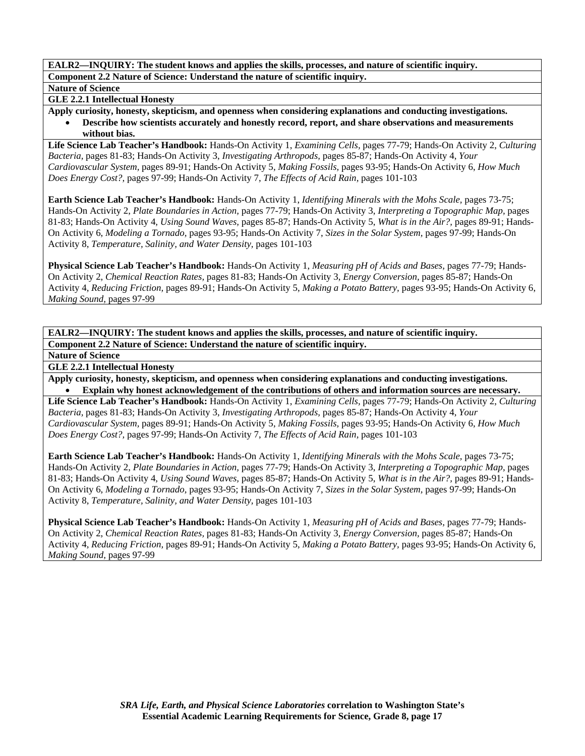## **Nature of Science**

**GLE 2.2.1 Intellectual Honesty** 

**Apply curiosity, honesty, skepticism, and openness when considering explanations and conducting investigations.**  • **Describe how scientists accurately and honestly record, report, and share observations and measurements without bias.** 

**Life Science Lab Teacher's Handbook:** Hands-On Activity 1, *Examining Cells,* pages 77-79; Hands-On Activity 2, *Culturing Bacteria,* pages 81-83; Hands-On Activity 3, *Investigating Arthropods,* pages 85-87; Hands-On Activity 4, *Your Cardiovascular System,* pages 89-91; Hands-On Activity 5, *Making Fossils,* pages 93-95; Hands-On Activity 6, *How Much Does Energy Cost?,* pages 97-99; Hands-On Activity 7, *The Effects of Acid Rain,* pages 101-103

**Earth Science Lab Teacher's Handbook:** Hands-On Activity 1, *Identifying Minerals with the Mohs Scale,* pages 73-75; Hands-On Activity 2, *Plate Boundaries in Action,* pages 77-79; Hands-On Activity 3, *Interpreting a Topographic Map,* pages 81-83; Hands-On Activity 4, *Using Sound Waves,* pages 85-87; Hands-On Activity 5, *What is in the Air?,* pages 89-91; Hands-On Activity 6, *Modeling a Tornado,* pages 93-95; Hands-On Activity 7, *Sizes in the Solar System,* pages 97-99; Hands-On Activity 8, *Temperature, Salinity, and Water Density,* pages 101-103

**Physical Science Lab Teacher's Handbook:** Hands-On Activity 1, *Measuring pH of Acids and Bases,* pages 77-79; Hands-On Activity 2, *Chemical Reaction Rates,* pages 81-83; Hands-On Activity 3, *Energy Conversion,* pages 85-87; Hands-On Activity 4, *Reducing Friction,* pages 89-91; Hands-On Activity 5, *Making a Potato Battery,* pages 93-95; Hands-On Activity 6, *Making Sound,* pages 97-99

**EALR2—INQUIRY: The student knows and applies the skills, processes, and nature of scientific inquiry. Component 2.2 Nature of Science: Understand the nature of scientific inquiry.** 

**Nature of Science** 

**GLE 2.2.1 Intellectual Honesty** 

**Apply curiosity, honesty, skepticism, and openness when considering explanations and conducting investigations.**  • **Explain why honest acknowledgement of the contributions of others and information sources are necessary.** 

**Life Science Lab Teacher's Handbook:** Hands-On Activity 1, *Examining Cells,* pages 77-79; Hands-On Activity 2, *Culturing Bacteria,* pages 81-83; Hands-On Activity 3, *Investigating Arthropods,* pages 85-87; Hands-On Activity 4, *Your Cardiovascular System,* pages 89-91; Hands-On Activity 5, *Making Fossils,* pages 93-95; Hands-On Activity 6, *How Much Does Energy Cost?,* pages 97-99; Hands-On Activity 7, *The Effects of Acid Rain,* pages 101-103

**Earth Science Lab Teacher's Handbook:** Hands-On Activity 1, *Identifying Minerals with the Mohs Scale,* pages 73-75; Hands-On Activity 2, *Plate Boundaries in Action,* pages 77-79; Hands-On Activity 3, *Interpreting a Topographic Map,* pages 81-83; Hands-On Activity 4, *Using Sound Waves,* pages 85-87; Hands-On Activity 5, *What is in the Air?,* pages 89-91; Hands-On Activity 6, *Modeling a Tornado,* pages 93-95; Hands-On Activity 7, *Sizes in the Solar System,* pages 97-99; Hands-On Activity 8, *Temperature, Salinity, and Water Density,* pages 101-103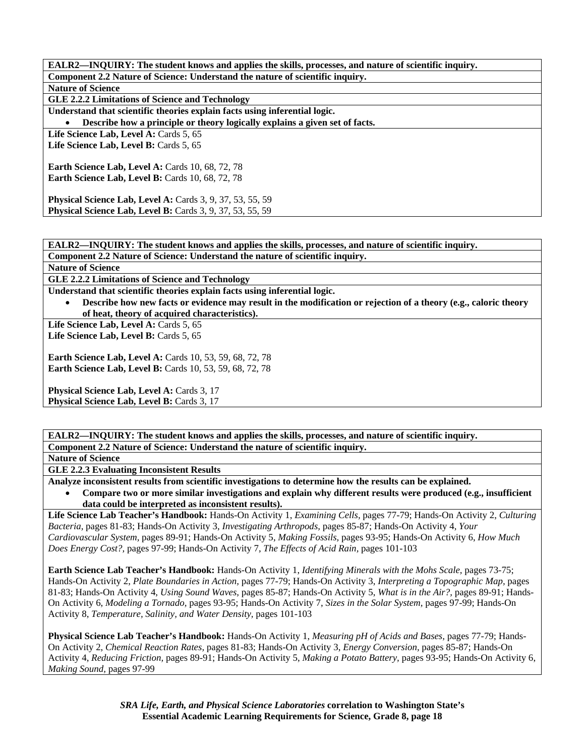| EALR2—INQUIRY: The student knows and applies the skills, processes, and nature of scientific inquiry. |
|-------------------------------------------------------------------------------------------------------|
| Component 2.2 Nature of Science: Understand the nature of scientific inquiry.                         |
| <b>Nature of Science</b>                                                                              |
| GLE 2.2.2 Limitations of Science and Technology                                                       |
| Understand that scientific theories explain facts using inferential logic.                            |
| Describe how a principle or theory logically explains a given set of facts.                           |
| Life Science Lab, Level A: Cards 5, 65                                                                |
| Life Science Lab, Level B: Cards 5, 65                                                                |
|                                                                                                       |
| <b>Earth Science Lab, Level A: Cards 10, 68, 72, 78</b>                                               |
| <b>Earth Science Lab, Level B:</b> Cards 10, 68, 72, 78                                               |
|                                                                                                       |
| Physical Science Lab, Level A: Cards 3, 9, 37, 53, 55, 59                                             |
| <b>Physical Science Lab, Level B:</b> Cards 3, 9, 37, 53, 55, 59                                      |

**EALR2—INQUIRY: The student knows and applies the skills, processes, and nature of scientific inquiry.** 

**Component 2.2 Nature of Science: Understand the nature of scientific inquiry.** 

**Nature of Science** 

**GLE 2.2.2 Limitations of Science and Technology** 

**Understand that scientific theories explain facts using inferential logic.** 

• **Describe how new facts or evidence may result in the modification or rejection of a theory (e.g., caloric theory of heat, theory of acquired characteristics).** 

Life Science Lab, Level A: Cards 5, 65

Life Science Lab, Level B: Cards 5, 65

**Earth Science Lab, Level A: Cards 10, 53, 59, 68, 72, 78 Earth Science Lab, Level B:** Cards 10, 53, 59, 68, 72, 78

**Physical Science Lab, Level A: Cards 3, 17 Physical Science Lab, Level B: Cards 3, 17** 

**EALR2—INQUIRY: The student knows and applies the skills, processes, and nature of scientific inquiry. Component 2.2 Nature of Science: Understand the nature of scientific inquiry.** 

**Nature of Science** 

**GLE 2.2.3 Evaluating Inconsistent Results** 

**Analyze inconsistent results from scientific investigations to determine how the results can be explained.** 

• **Compare two or more similar investigations and explain why different results were produced (e.g., insufficient data could be interpreted as inconsistent results).** 

**Life Science Lab Teacher's Handbook:** Hands-On Activity 1, *Examining Cells,* pages 77-79; Hands-On Activity 2, *Culturing Bacteria,* pages 81-83; Hands-On Activity 3, *Investigating Arthropods,* pages 85-87; Hands-On Activity 4, *Your Cardiovascular System,* pages 89-91; Hands-On Activity 5, *Making Fossils,* pages 93-95; Hands-On Activity 6, *How Much Does Energy Cost?,* pages 97-99; Hands-On Activity 7, *The Effects of Acid Rain,* pages 101-103

**Earth Science Lab Teacher's Handbook:** Hands-On Activity 1, *Identifying Minerals with the Mohs Scale,* pages 73-75; Hands-On Activity 2, *Plate Boundaries in Action,* pages 77-79; Hands-On Activity 3, *Interpreting a Topographic Map,* pages 81-83; Hands-On Activity 4, *Using Sound Waves,* pages 85-87; Hands-On Activity 5, *What is in the Air?,* pages 89-91; Hands-On Activity 6, *Modeling a Tornado,* pages 93-95; Hands-On Activity 7, *Sizes in the Solar System,* pages 97-99; Hands-On Activity 8, *Temperature, Salinity, and Water Density,* pages 101-103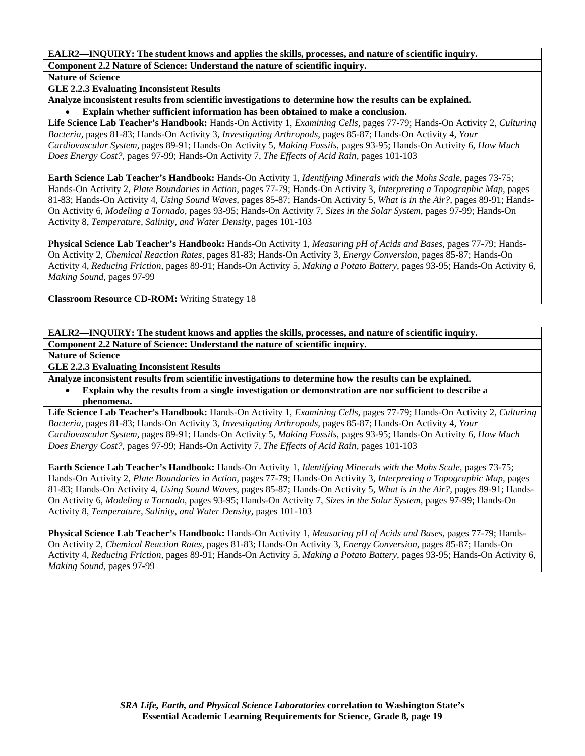**Nature of Science** 

**GLE 2.2.3 Evaluating Inconsistent Results** 

**Analyze inconsistent results from scientific investigations to determine how the results can be explained.**  • **Explain whether sufficient information has been obtained to make a conclusion.** 

**Life Science Lab Teacher's Handbook:** Hands-On Activity 1, *Examining Cells,* pages 77-79; Hands-On Activity 2, *Culturing Bacteria,* pages 81-83; Hands-On Activity 3, *Investigating Arthropods,* pages 85-87; Hands-On Activity 4, *Your Cardiovascular System,* pages 89-91; Hands-On Activity 5, *Making Fossils,* pages 93-95; Hands-On Activity 6, *How Much Does Energy Cost?,* pages 97-99; Hands-On Activity 7, *The Effects of Acid Rain,* pages 101-103

**Earth Science Lab Teacher's Handbook:** Hands-On Activity 1, *Identifying Minerals with the Mohs Scale,* pages 73-75; Hands-On Activity 2, *Plate Boundaries in Action,* pages 77-79; Hands-On Activity 3, *Interpreting a Topographic Map,* pages 81-83; Hands-On Activity 4, *Using Sound Waves,* pages 85-87; Hands-On Activity 5, *What is in the Air?,* pages 89-91; Hands-On Activity 6, *Modeling a Tornado,* pages 93-95; Hands-On Activity 7, *Sizes in the Solar System,* pages 97-99; Hands-On Activity 8, *Temperature, Salinity, and Water Density,* pages 101-103

**Physical Science Lab Teacher's Handbook:** Hands-On Activity 1, *Measuring pH of Acids and Bases,* pages 77-79; Hands-On Activity 2, *Chemical Reaction Rates,* pages 81-83; Hands-On Activity 3, *Energy Conversion,* pages 85-87; Hands-On Activity 4, *Reducing Friction,* pages 89-91; Hands-On Activity 5, *Making a Potato Battery,* pages 93-95; Hands-On Activity 6, *Making Sound,* pages 97-99

**Classroom Resource CD-ROM:** Writing Strategy 18

**EALR2—INQUIRY: The student knows and applies the skills, processes, and nature of scientific inquiry. Component 2.2 Nature of Science: Understand the nature of scientific inquiry.** 

**Nature of Science** 

**GLE 2.2.3 Evaluating Inconsistent Results** 

**Analyze inconsistent results from scientific investigations to determine how the results can be explained.** 

• **Explain why the results from a single investigation or demonstration are nor sufficient to describe a phenomena.** 

**Life Science Lab Teacher's Handbook:** Hands-On Activity 1, *Examining Cells,* pages 77-79; Hands-On Activity 2, *Culturing Bacteria,* pages 81-83; Hands-On Activity 3, *Investigating Arthropods,* pages 85-87; Hands-On Activity 4, *Your Cardiovascular System,* pages 89-91; Hands-On Activity 5, *Making Fossils,* pages 93-95; Hands-On Activity 6, *How Much Does Energy Cost?,* pages 97-99; Hands-On Activity 7, *The Effects of Acid Rain,* pages 101-103

**Earth Science Lab Teacher's Handbook:** Hands-On Activity 1, *Identifying Minerals with the Mohs Scale,* pages 73-75; Hands-On Activity 2, *Plate Boundaries in Action,* pages 77-79; Hands-On Activity 3, *Interpreting a Topographic Map,* pages 81-83; Hands-On Activity 4, *Using Sound Waves,* pages 85-87; Hands-On Activity 5, *What is in the Air?,* pages 89-91; Hands-On Activity 6, *Modeling a Tornado,* pages 93-95; Hands-On Activity 7, *Sizes in the Solar System,* pages 97-99; Hands-On Activity 8, *Temperature, Salinity, and Water Density,* pages 101-103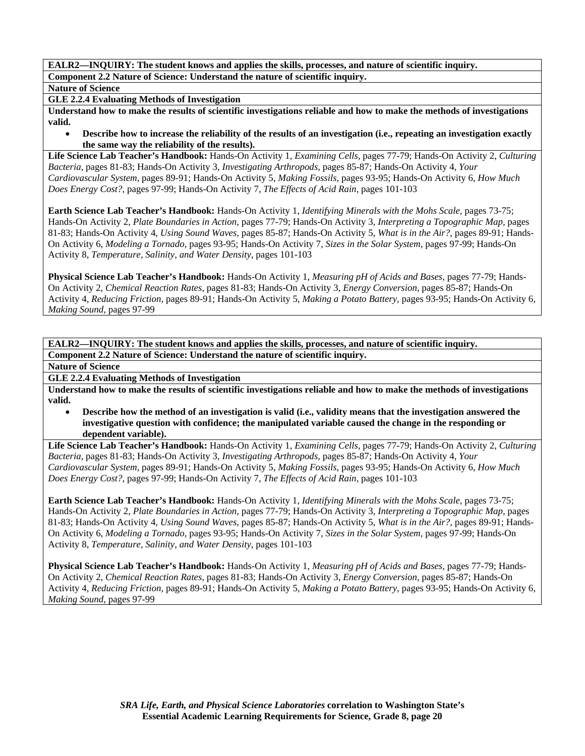**Nature of Science** 

**GLE 2.2.4 Evaluating Methods of Investigation** 

**Understand how to make the results of scientific investigations reliable and how to make the methods of investigations valid.** 

• **Describe how to increase the reliability of the results of an investigation (i.e., repeating an investigation exactly the same way the reliability of the results).** 

**Life Science Lab Teacher's Handbook:** Hands-On Activity 1, *Examining Cells,* pages 77-79; Hands-On Activity 2, *Culturing Bacteria,* pages 81-83; Hands-On Activity 3, *Investigating Arthropods,* pages 85-87; Hands-On Activity 4, *Your Cardiovascular System,* pages 89-91; Hands-On Activity 5, *Making Fossils,* pages 93-95; Hands-On Activity 6, *How Much Does Energy Cost?,* pages 97-99; Hands-On Activity 7, *The Effects of Acid Rain,* pages 101-103

**Earth Science Lab Teacher's Handbook:** Hands-On Activity 1, *Identifying Minerals with the Mohs Scale,* pages 73-75; Hands-On Activity 2, *Plate Boundaries in Action,* pages 77-79; Hands-On Activity 3, *Interpreting a Topographic Map,* pages 81-83; Hands-On Activity 4, *Using Sound Waves,* pages 85-87; Hands-On Activity 5, *What is in the Air?,* pages 89-91; Hands-On Activity 6, *Modeling a Tornado,* pages 93-95; Hands-On Activity 7, *Sizes in the Solar System,* pages 97-99; Hands-On Activity 8, *Temperature, Salinity, and Water Density,* pages 101-103

**Physical Science Lab Teacher's Handbook:** Hands-On Activity 1, *Measuring pH of Acids and Bases,* pages 77-79; Hands-On Activity 2, *Chemical Reaction Rates,* pages 81-83; Hands-On Activity 3, *Energy Conversion,* pages 85-87; Hands-On Activity 4, *Reducing Friction,* pages 89-91; Hands-On Activity 5, *Making a Potato Battery,* pages 93-95; Hands-On Activity 6, *Making Sound,* pages 97-99

**EALR2—INQUIRY: The student knows and applies the skills, processes, and nature of scientific inquiry. Component 2.2 Nature of Science: Understand the nature of scientific inquiry.** 

**Nature of Science** 

**GLE 2.2.4 Evaluating Methods of Investigation** 

**Understand how to make the results of scientific investigations reliable and how to make the methods of investigations valid.** 

• **Describe how the method of an investigation is valid (i.e., validity means that the investigation answered the investigative question with confidence; the manipulated variable caused the change in the responding or dependent variable).** 

**Life Science Lab Teacher's Handbook:** Hands-On Activity 1, *Examining Cells,* pages 77-79; Hands-On Activity 2, *Culturing Bacteria,* pages 81-83; Hands-On Activity 3, *Investigating Arthropods,* pages 85-87; Hands-On Activity 4, *Your Cardiovascular System,* pages 89-91; Hands-On Activity 5, *Making Fossils,* pages 93-95; Hands-On Activity 6, *How Much Does Energy Cost?,* pages 97-99; Hands-On Activity 7, *The Effects of Acid Rain,* pages 101-103

**Earth Science Lab Teacher's Handbook:** Hands-On Activity 1, *Identifying Minerals with the Mohs Scale,* pages 73-75; Hands-On Activity 2, *Plate Boundaries in Action,* pages 77-79; Hands-On Activity 3, *Interpreting a Topographic Map,* pages 81-83; Hands-On Activity 4, *Using Sound Waves,* pages 85-87; Hands-On Activity 5, *What is in the Air?,* pages 89-91; Hands-On Activity 6, *Modeling a Tornado,* pages 93-95; Hands-On Activity 7, *Sizes in the Solar System,* pages 97-99; Hands-On Activity 8, *Temperature, Salinity, and Water Density,* pages 101-103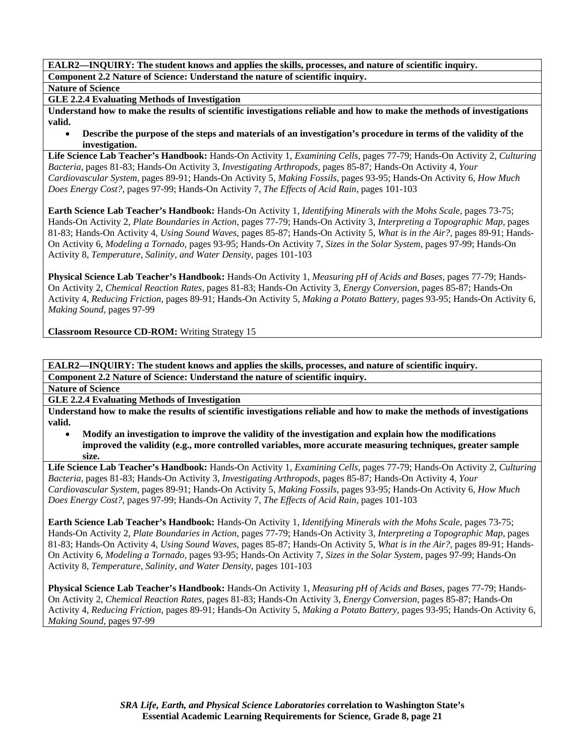**Nature of Science** 

**GLE 2.2.4 Evaluating Methods of Investigation** 

**Understand how to make the results of scientific investigations reliable and how to make the methods of investigations valid.** 

• **Describe the purpose of the steps and materials of an investigation's procedure in terms of the validity of the investigation.** 

**Life Science Lab Teacher's Handbook:** Hands-On Activity 1, *Examining Cells,* pages 77-79; Hands-On Activity 2, *Culturing Bacteria,* pages 81-83; Hands-On Activity 3, *Investigating Arthropods,* pages 85-87; Hands-On Activity 4, *Your Cardiovascular System,* pages 89-91; Hands-On Activity 5, *Making Fossils,* pages 93-95; Hands-On Activity 6, *How Much Does Energy Cost?,* pages 97-99; Hands-On Activity 7, *The Effects of Acid Rain,* pages 101-103

**Earth Science Lab Teacher's Handbook:** Hands-On Activity 1, *Identifying Minerals with the Mohs Scale,* pages 73-75; Hands-On Activity 2, *Plate Boundaries in Action,* pages 77-79; Hands-On Activity 3, *Interpreting a Topographic Map,* pages 81-83; Hands-On Activity 4, *Using Sound Waves,* pages 85-87; Hands-On Activity 5, *What is in the Air?,* pages 89-91; Hands-On Activity 6, *Modeling a Tornado,* pages 93-95; Hands-On Activity 7, *Sizes in the Solar System,* pages 97-99; Hands-On Activity 8, *Temperature, Salinity, and Water Density,* pages 101-103

**Physical Science Lab Teacher's Handbook:** Hands-On Activity 1, *Measuring pH of Acids and Bases,* pages 77-79; Hands-On Activity 2, *Chemical Reaction Rates,* pages 81-83; Hands-On Activity 3, *Energy Conversion,* pages 85-87; Hands-On Activity 4, *Reducing Friction,* pages 89-91; Hands-On Activity 5, *Making a Potato Battery,* pages 93-95; Hands-On Activity 6, *Making Sound,* pages 97-99

**Classroom Resource CD-ROM:** Writing Strategy 15

**EALR2—INQUIRY: The student knows and applies the skills, processes, and nature of scientific inquiry. Component 2.2 Nature of Science: Understand the nature of scientific inquiry.** 

**Nature of Science** 

**GLE 2.2.4 Evaluating Methods of Investigation** 

**Understand how to make the results of scientific investigations reliable and how to make the methods of investigations valid.** 

• **Modify an investigation to improve the validity of the investigation and explain how the modifications improved the validity (e.g., more controlled variables, more accurate measuring techniques, greater sample size.** 

**Life Science Lab Teacher's Handbook:** Hands-On Activity 1, *Examining Cells,* pages 77-79; Hands-On Activity 2, *Culturing Bacteria,* pages 81-83; Hands-On Activity 3, *Investigating Arthropods,* pages 85-87; Hands-On Activity 4, *Your Cardiovascular System,* pages 89-91; Hands-On Activity 5, *Making Fossils,* pages 93-95; Hands-On Activity 6, *How Much Does Energy Cost?,* pages 97-99; Hands-On Activity 7, *The Effects of Acid Rain,* pages 101-103

**Earth Science Lab Teacher's Handbook:** Hands-On Activity 1, *Identifying Minerals with the Mohs Scale,* pages 73-75; Hands-On Activity 2, *Plate Boundaries in Action,* pages 77-79; Hands-On Activity 3, *Interpreting a Topographic Map,* pages 81-83; Hands-On Activity 4, *Using Sound Waves,* pages 85-87; Hands-On Activity 5, *What is in the Air?,* pages 89-91; Hands-On Activity 6, *Modeling a Tornado,* pages 93-95; Hands-On Activity 7, *Sizes in the Solar System,* pages 97-99; Hands-On Activity 8, *Temperature, Salinity, and Water Density,* pages 101-103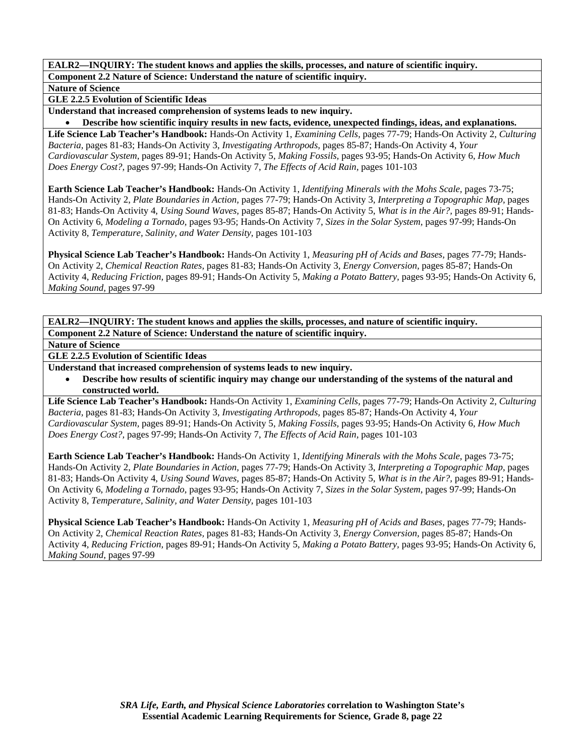**Nature of Science** 

**GLE 2.2.5 Evolution of Scientific Ideas** 

**Understand that increased comprehension of systems leads to new inquiry.** 

• **Describe how scientific inquiry results in new facts, evidence, unexpected findings, ideas, and explanations.** 

**Life Science Lab Teacher's Handbook:** Hands-On Activity 1, *Examining Cells,* pages 77-79; Hands-On Activity 2, *Culturing Bacteria,* pages 81-83; Hands-On Activity 3, *Investigating Arthropods,* pages 85-87; Hands-On Activity 4, *Your Cardiovascular System,* pages 89-91; Hands-On Activity 5, *Making Fossils,* pages 93-95; Hands-On Activity 6, *How Much Does Energy Cost?,* pages 97-99; Hands-On Activity 7, *The Effects of Acid Rain,* pages 101-103

**Earth Science Lab Teacher's Handbook:** Hands-On Activity 1, *Identifying Minerals with the Mohs Scale,* pages 73-75; Hands-On Activity 2, *Plate Boundaries in Action,* pages 77-79; Hands-On Activity 3, *Interpreting a Topographic Map,* pages 81-83; Hands-On Activity 4, *Using Sound Waves,* pages 85-87; Hands-On Activity 5, *What is in the Air?,* pages 89-91; Hands-On Activity 6, *Modeling a Tornado,* pages 93-95; Hands-On Activity 7, *Sizes in the Solar System,* pages 97-99; Hands-On Activity 8, *Temperature, Salinity, and Water Density,* pages 101-103

**Physical Science Lab Teacher's Handbook:** Hands-On Activity 1, *Measuring pH of Acids and Bases,* pages 77-79; Hands-On Activity 2, *Chemical Reaction Rates,* pages 81-83; Hands-On Activity 3, *Energy Conversion,* pages 85-87; Hands-On Activity 4, *Reducing Friction,* pages 89-91; Hands-On Activity 5, *Making a Potato Battery,* pages 93-95; Hands-On Activity 6, *Making Sound,* pages 97-99

**EALR2—INQUIRY: The student knows and applies the skills, processes, and nature of scientific inquiry. Component 2.2 Nature of Science: Understand the nature of scientific inquiry.** 

**Nature of Science** 

# **GLE 2.2.5 Evolution of Scientific Ideas**

**Understand that increased comprehension of systems leads to new inquiry.** 

• **Describe how results of scientific inquiry may change our understanding of the systems of the natural and constructed world.** 

**Life Science Lab Teacher's Handbook:** Hands-On Activity 1, *Examining Cells,* pages 77-79; Hands-On Activity 2, *Culturing Bacteria,* pages 81-83; Hands-On Activity 3, *Investigating Arthropods,* pages 85-87; Hands-On Activity 4, *Your Cardiovascular System,* pages 89-91; Hands-On Activity 5, *Making Fossils,* pages 93-95; Hands-On Activity 6, *How Much Does Energy Cost?,* pages 97-99; Hands-On Activity 7, *The Effects of Acid Rain,* pages 101-103

**Earth Science Lab Teacher's Handbook:** Hands-On Activity 1, *Identifying Minerals with the Mohs Scale,* pages 73-75; Hands-On Activity 2, *Plate Boundaries in Action,* pages 77-79; Hands-On Activity 3, *Interpreting a Topographic Map,* pages 81-83; Hands-On Activity 4, *Using Sound Waves,* pages 85-87; Hands-On Activity 5, *What is in the Air?,* pages 89-91; Hands-On Activity 6, *Modeling a Tornado,* pages 93-95; Hands-On Activity 7, *Sizes in the Solar System,* pages 97-99; Hands-On Activity 8, *Temperature, Salinity, and Water Density,* pages 101-103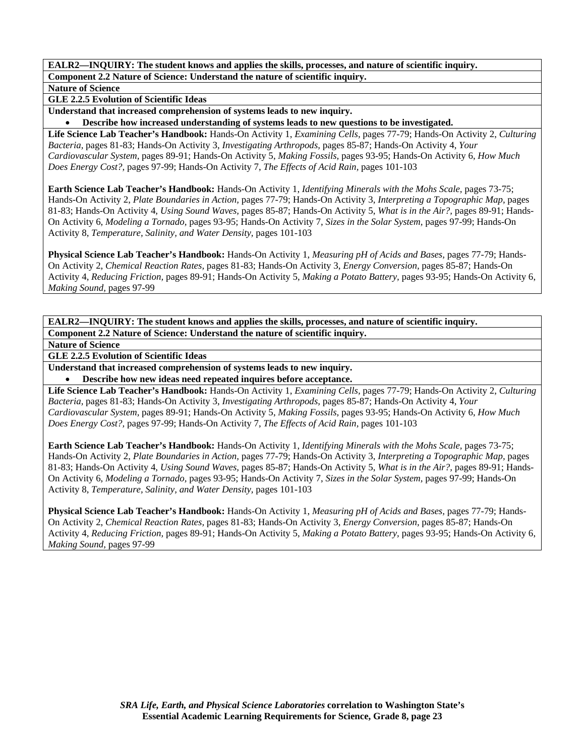**Nature of Science** 

**GLE 2.2.5 Evolution of Scientific Ideas** 

**Understand that increased comprehension of systems leads to new inquiry.** 

• **Describe how increased understanding of systems leads to new questions to be investigated.** 

**Life Science Lab Teacher's Handbook:** Hands-On Activity 1, *Examining Cells,* pages 77-79; Hands-On Activity 2, *Culturing Bacteria,* pages 81-83; Hands-On Activity 3, *Investigating Arthropods,* pages 85-87; Hands-On Activity 4, *Your Cardiovascular System,* pages 89-91; Hands-On Activity 5, *Making Fossils,* pages 93-95; Hands-On Activity 6, *How Much Does Energy Cost?,* pages 97-99; Hands-On Activity 7, *The Effects of Acid Rain,* pages 101-103

**Earth Science Lab Teacher's Handbook:** Hands-On Activity 1, *Identifying Minerals with the Mohs Scale,* pages 73-75; Hands-On Activity 2, *Plate Boundaries in Action,* pages 77-79; Hands-On Activity 3, *Interpreting a Topographic Map,* pages 81-83; Hands-On Activity 4, *Using Sound Waves,* pages 85-87; Hands-On Activity 5, *What is in the Air?,* pages 89-91; Hands-On Activity 6, *Modeling a Tornado,* pages 93-95; Hands-On Activity 7, *Sizes in the Solar System,* pages 97-99; Hands-On Activity 8, *Temperature, Salinity, and Water Density,* pages 101-103

**Physical Science Lab Teacher's Handbook:** Hands-On Activity 1, *Measuring pH of Acids and Bases,* pages 77-79; Hands-On Activity 2, *Chemical Reaction Rates,* pages 81-83; Hands-On Activity 3, *Energy Conversion,* pages 85-87; Hands-On Activity 4, *Reducing Friction,* pages 89-91; Hands-On Activity 5, *Making a Potato Battery,* pages 93-95; Hands-On Activity 6, *Making Sound,* pages 97-99

**EALR2—INQUIRY: The student knows and applies the skills, processes, and nature of scientific inquiry. Component 2.2 Nature of Science: Understand the nature of scientific inquiry.** 

**Nature of Science** 

**GLE 2.2.5 Evolution of Scientific Ideas** 

**Understand that increased comprehension of systems leads to new inquiry.** 

• **Describe how new ideas need repeated inquires before acceptance.** 

**Life Science Lab Teacher's Handbook:** Hands-On Activity 1, *Examining Cells,* pages 77-79; Hands-On Activity 2, *Culturing Bacteria,* pages 81-83; Hands-On Activity 3, *Investigating Arthropods,* pages 85-87; Hands-On Activity 4, *Your Cardiovascular System,* pages 89-91; Hands-On Activity 5, *Making Fossils,* pages 93-95; Hands-On Activity 6, *How Much Does Energy Cost?,* pages 97-99; Hands-On Activity 7, *The Effects of Acid Rain,* pages 101-103

**Earth Science Lab Teacher's Handbook:** Hands-On Activity 1, *Identifying Minerals with the Mohs Scale,* pages 73-75; Hands-On Activity 2, *Plate Boundaries in Action,* pages 77-79; Hands-On Activity 3, *Interpreting a Topographic Map,* pages 81-83; Hands-On Activity 4, *Using Sound Waves,* pages 85-87; Hands-On Activity 5, *What is in the Air?,* pages 89-91; Hands-On Activity 6, *Modeling a Tornado,* pages 93-95; Hands-On Activity 7, *Sizes in the Solar System,* pages 97-99; Hands-On Activity 8, *Temperature, Salinity, and Water Density,* pages 101-103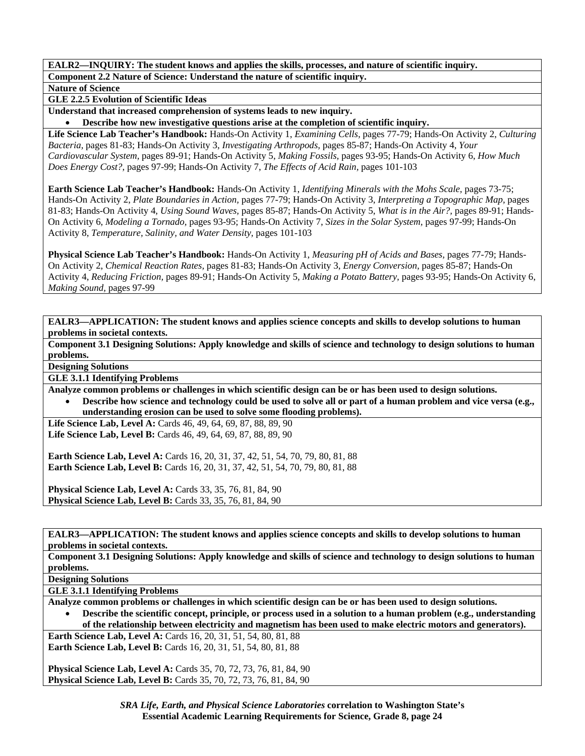**Nature of Science** 

**GLE 2.2.5 Evolution of Scientific Ideas** 

**Understand that increased comprehension of systems leads to new inquiry.** 

• **Describe how new investigative questions arise at the completion of scientific inquiry.** 

**Life Science Lab Teacher's Handbook:** Hands-On Activity 1, *Examining Cells,* pages 77-79; Hands-On Activity 2, *Culturing Bacteria,* pages 81-83; Hands-On Activity 3, *Investigating Arthropods,* pages 85-87; Hands-On Activity 4, *Your Cardiovascular System,* pages 89-91; Hands-On Activity 5, *Making Fossils,* pages 93-95; Hands-On Activity 6, *How Much Does Energy Cost?,* pages 97-99; Hands-On Activity 7, *The Effects of Acid Rain,* pages 101-103

**Earth Science Lab Teacher's Handbook:** Hands-On Activity 1, *Identifying Minerals with the Mohs Scale,* pages 73-75; Hands-On Activity 2, *Plate Boundaries in Action,* pages 77-79; Hands-On Activity 3, *Interpreting a Topographic Map,* pages 81-83; Hands-On Activity 4, *Using Sound Waves,* pages 85-87; Hands-On Activity 5, *What is in the Air?,* pages 89-91; Hands-On Activity 6, *Modeling a Tornado,* pages 93-95; Hands-On Activity 7, *Sizes in the Solar System,* pages 97-99; Hands-On Activity 8, *Temperature, Salinity, and Water Density,* pages 101-103

**Physical Science Lab Teacher's Handbook:** Hands-On Activity 1, *Measuring pH of Acids and Bases,* pages 77-79; Hands-On Activity 2, *Chemical Reaction Rates,* pages 81-83; Hands-On Activity 3, *Energy Conversion,* pages 85-87; Hands-On Activity 4, *Reducing Friction,* pages 89-91; Hands-On Activity 5, *Making a Potato Battery,* pages 93-95; Hands-On Activity 6, *Making Sound,* pages 97-99

**EALR3—APPLICATION: The student knows and applies science concepts and skills to develop solutions to human problems in societal contexts.** 

**Component 3.1 Designing Solutions: Apply knowledge and skills of science and technology to design solutions to human problems.** 

**Designing Solutions** 

**GLE 3.1.1 Identifying Problems** 

**Analyze common problems or challenges in which scientific design can be or has been used to design solutions.** 

• **Describe how science and technology could be used to solve all or part of a human problem and vice versa (e.g., understanding erosion can be used to solve some flooding problems).** 

**Life Science Lab, Level A:** Cards 46, 49, 64, 69, 87, 88, 89, 90 **Life Science Lab, Level B:** Cards 46, 49, 64, 69, 87, 88, 89, 90

**Earth Science Lab, Level A:** Cards 16, 20, 31, 37, 42, 51, 54, 70, 79, 80, 81, 88 **Earth Science Lab, Level B:** Cards 16, 20, 31, 37, 42, 51, 54, 70, 79, 80, 81, 88

**Physical Science Lab, Level A: Cards 33, 35, 76, 81, 84, 90 Physical Science Lab, Level B:** Cards 33, 35, 76, 81, 84, 90

**EALR3—APPLICATION: The student knows and applies science concepts and skills to develop solutions to human problems in societal contexts.** 

**Component 3.1 Designing Solutions: Apply knowledge and skills of science and technology to design solutions to human problems.** 

**Designing Solutions** 

**GLE 3.1.1 Identifying Problems** 

**Analyze common problems or challenges in which scientific design can be or has been used to design solutions.** 

• **Describe the scientific concept, principle, or process used in a solution to a human problem (e.g., understanding of the relationship between electricity and magnetism has been used to make electric motors and generators).** 

**Earth Science Lab, Level A:** Cards 16, 20, 31, 51, 54, 80, 81, 88 **Earth Science Lab, Level B:** Cards 16, 20, 31, 51, 54, 80, 81, 88

**Physical Science Lab, Level A:** Cards 35, 70, 72, 73, 76, 81, 84, 90 **Physical Science Lab, Level B:** Cards 35, 70, 72, 73, 76, 81, 84, 90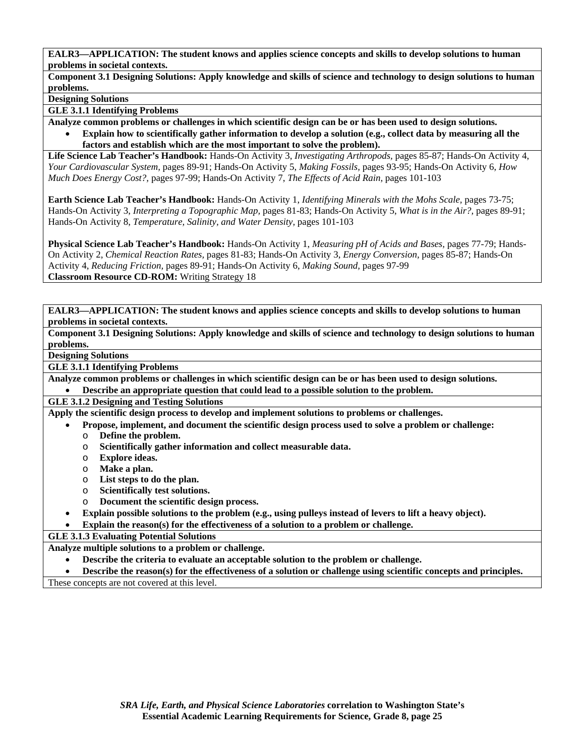**Component 3.1 Designing Solutions: Apply knowledge and skills of science and technology to design solutions to human problems.** 

### **Designing Solutions**

**GLE 3.1.1 Identifying Problems** 

- **Analyze common problems or challenges in which scientific design can be or has been used to design solutions.** 
	- **Explain how to scientifically gather information to develop a solution (e.g., collect data by measuring all the factors and establish which are the most important to solve the problem).**

**Life Science Lab Teacher's Handbook:** Hands-On Activity 3, *Investigating Arthropods,* pages 85-87; Hands-On Activity 4, *Your Cardiovascular System,* pages 89-91; Hands-On Activity 5, *Making Fossils,* pages 93-95; Hands-On Activity 6, *How Much Does Energy Cost?,* pages 97-99; Hands-On Activity 7, *The Effects of Acid Rain,* pages 101-103

**Earth Science Lab Teacher's Handbook:** Hands-On Activity 1, *Identifying Minerals with the Mohs Scale,* pages 73-75; Hands-On Activity 3, *Interpreting a Topographic Map,* pages 81-83; Hands-On Activity 5, *What is in the Air?,* pages 89-91; Hands-On Activity 8, *Temperature, Salinity, and Water Density,* pages 101-103

**Physical Science Lab Teacher's Handbook:** Hands-On Activity 1, *Measuring pH of Acids and Bases,* pages 77-79; Hands-On Activity 2, *Chemical Reaction Rates,* pages 81-83; Hands-On Activity 3, *Energy Conversion,* pages 85-87; Hands-On Activity 4, *Reducing Friction,* pages 89-91; Hands-On Activity 6, *Making Sound,* pages 97-99 **Classroom Resource CD-ROM:** Writing Strategy 18

**EALR3—APPLICATION: The student knows and applies science concepts and skills to develop solutions to human problems in societal contexts.** 

**Component 3.1 Designing Solutions: Apply knowledge and skills of science and technology to design solutions to human problems.** 

**Designing Solutions** 

**GLE 3.1.1 Identifying Problems** 

**Analyze common problems or challenges in which scientific design can be or has been used to design solutions.** 

• **Describe an appropriate question that could lead to a possible solution to the problem.** 

## **GLE 3.1.2 Designing and Testing Solutions**

**Apply the scientific design process to develop and implement solutions to problems or challenges.** 

- **Propose, implement, and document the scientific design process used to solve a problem or challenge:**
- o **Define the problem.**
- o **Scientifically gather information and collect measurable data.**
- o **Explore ideas.**
- o **Make a plan.**
- o **List steps to do the plan.**
- o **Scientifically test solutions.**
- o **Document the scientific design process.**
- **Explain possible solutions to the problem (e.g., using pulleys instead of levers to lift a heavy object).**
- **Explain the reason(s) for the effectiveness of a solution to a problem or challenge.**

### **GLE 3.1.3 Evaluating Potential Solutions**

**Analyze multiple solutions to a problem or challenge.** 

- **Describe the criteria to evaluate an acceptable solution to the problem or challenge.**
- **Describe the reason(s) for the effectiveness of a solution or challenge using scientific concepts and principles.**

These concepts are not covered at this level.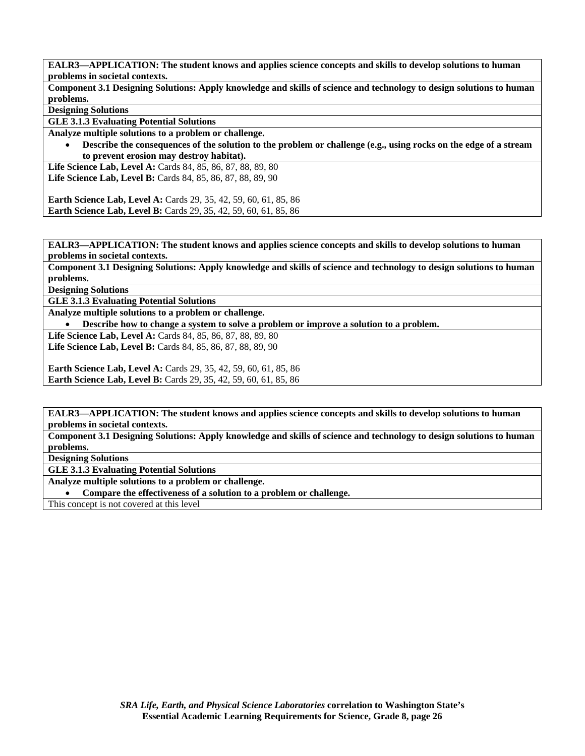**Component 3.1 Designing Solutions: Apply knowledge and skills of science and technology to design solutions to human problems.** 

**Designing Solutions** 

**GLE 3.1.3 Evaluating Potential Solutions** 

**Analyze multiple solutions to a problem or challenge.** 

• **Describe the consequences of the solution to the problem or challenge (e.g., using rocks on the edge of a stream to prevent erosion may destroy habitat).** 

**Life Science Lab, Level A:** Cards 84, 85, 86, 87, 88, 89, 80 **Life Science Lab, Level B:** Cards 84, 85, 86, 87, 88, 89, 90

**Earth Science Lab, Level A:** Cards 29, 35, 42, 59, 60, 61, 85, 86 **Earth Science Lab, Level B:** Cards 29, 35, 42, 59, 60, 61, 85, 86

**EALR3—APPLICATION: The student knows and applies science concepts and skills to develop solutions to human problems in societal contexts.** 

**Component 3.1 Designing Solutions: Apply knowledge and skills of science and technology to design solutions to human problems.** 

**Designing Solutions** 

**GLE 3.1.3 Evaluating Potential Solutions** 

**Analyze multiple solutions to a problem or challenge.** 

• **Describe how to change a system to solve a problem or improve a solution to a problem.** 

**Life Science Lab, Level A:** Cards 84, 85, 86, 87, 88, 89, 80 **Life Science Lab, Level B:** Cards 84, 85, 86, 87, 88, 89, 90

**Earth Science Lab, Level A:** Cards 29, 35, 42, 59, 60, 61, 85, 86 **Earth Science Lab, Level B:** Cards 29, 35, 42, 59, 60, 61, 85, 86

**EALR3—APPLICATION: The student knows and applies science concepts and skills to develop solutions to human problems in societal contexts.** 

**Component 3.1 Designing Solutions: Apply knowledge and skills of science and technology to design solutions to human problems.** 

**Designing Solutions** 

**GLE 3.1.3 Evaluating Potential Solutions** 

**Analyze multiple solutions to a problem or challenge.** 

• **Compare the effectiveness of a solution to a problem or challenge.** 

This concept is not covered at this level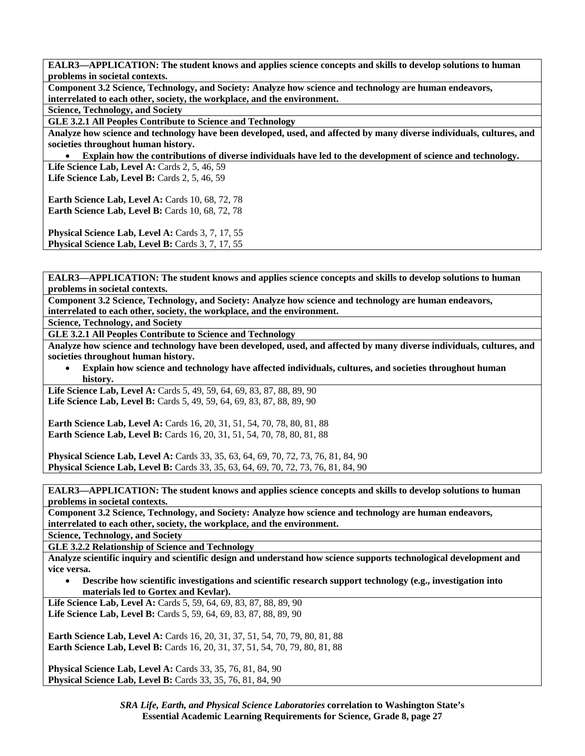**Component 3.2 Science, Technology, and Society: Analyze how science and technology are human endeavors, interrelated to each other, society, the workplace, and the environment.** 

**Science, Technology, and Society** 

**GLE 3.2.1 All Peoples Contribute to Science and Technology** 

**Analyze how science and technology have been developed, used, and affected by many diverse individuals, cultures, and societies throughout human history.** 

• **Explain how the contributions of diverse individuals have led to the development of science and technology.** 

Life Science Lab, Level A: Cards 2, 5, 46, 59 **Life Science Lab, Level B:** Cards 2, 5, 46, 59

**Earth Science Lab, Level A: Cards 10, 68, 72, 78 Earth Science Lab, Level B: Cards 10, 68, 72, 78** 

Physical Science Lab, Level A: Cards 3, 7, 17, 55 **Physical Science Lab, Level B: Cards 3, 7, 17, 55** 

**EALR3—APPLICATION: The student knows and applies science concepts and skills to develop solutions to human problems in societal contexts.** 

**Component 3.2 Science, Technology, and Society: Analyze how science and technology are human endeavors, interrelated to each other, society, the workplace, and the environment.** 

**Science, Technology, and Society** 

**GLE 3.2.1 All Peoples Contribute to Science and Technology** 

**Analyze how science and technology have been developed, used, and affected by many diverse individuals, cultures, and societies throughout human history.** 

• **Explain how science and technology have affected individuals, cultures, and societies throughout human history.** 

**Life Science Lab, Level A:** Cards 5, 49, 59, 64, 69, 83, 87, 88, 89, 90 **Life Science Lab, Level B:** Cards 5, 49, 59, 64, 69, 83, 87, 88, 89, 90

**Earth Science Lab, Level A: Cards 16, 20, 31, 51, 54, 70, 78, 80, 81, 88 Earth Science Lab, Level B:** Cards 16, 20, 31, 51, 54, 70, 78, 80, 81, 88

**Physical Science Lab, Level A:** Cards 33, 35, 63, 64, 69, 70, 72, 73, 76, 81, 84, 90 **Physical Science Lab, Level B:** Cards 33, 35, 63, 64, 69, 70, 72, 73, 76, 81, 84, 90

**EALR3—APPLICATION: The student knows and applies science concepts and skills to develop solutions to human problems in societal contexts.** 

**Component 3.2 Science, Technology, and Society: Analyze how science and technology are human endeavors, interrelated to each other, society, the workplace, and the environment.** 

**Science, Technology, and Society** 

**GLE 3.2.2 Relationship of Science and Technology** 

**Analyze scientific inquiry and scientific design and understand how science supports technological development and vice versa.** 

• **Describe how scientific investigations and scientific research support technology (e.g., investigation into materials led to Gortex and Kevlar).** 

Life Science Lab, Level A: Cards 5, 59, 64, 69, 83, 87, 88, 89, 90 **Life Science Lab, Level B:** Cards 5, 59, 64, 69, 83, 87, 88, 89, 90

**Earth Science Lab, Level A: Cards 16, 20, 31, 37, 51, 54, 70, 79, 80, 81, 88 Earth Science Lab, Level B:** Cards 16, 20, 31, 37, 51, 54, 70, 79, 80, 81, 88

**Physical Science Lab, Level A: Cards 33, 35, 76, 81, 84, 90 Physical Science Lab, Level B:** Cards 33, 35, 76, 81, 84, 90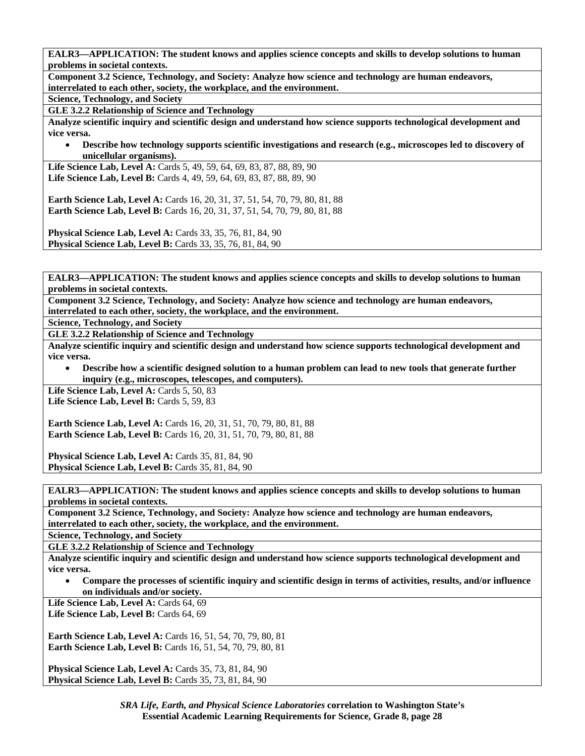**Component 3.2 Science, Technology, and Society: Analyze how science and technology are human endeavors, interrelated to each other, society, the workplace, and the environment.** 

**Science, Technology, and Society** 

**GLE 3.2.2 Relationship of Science and Technology** 

**Analyze scientific inquiry and scientific design and understand how science supports technological development and vice versa.** 

• **Describe how technology supports scientific investigations and research (e.g., microscopes led to discovery of unicellular organisms).** 

Life Science Lab, Level A: Cards 5, 49, 59, 64, 69, 83, 87, 88, 89, 90 Life Science Lab, Level B: Cards 4, 49, 59, 64, 69, 83, 87, 88, 89, 90

**Earth Science Lab, Level A: Cards 16, 20, 31, 37, 51, 54, 70, 79, 80, 81, 88 Earth Science Lab, Level B:** Cards 16, 20, 31, 37, 51, 54, 70, 79, 80, 81, 88

**Physical Science Lab, Level A: Cards 33, 35, 76, 81, 84, 90 Physical Science Lab, Level B:** Cards 33, 35, 76, 81, 84, 90

**EALR3—APPLICATION: The student knows and applies science concepts and skills to develop solutions to human problems in societal contexts.** 

**Component 3.2 Science, Technology, and Society: Analyze how science and technology are human endeavors, interrelated to each other, society, the workplace, and the environment.** 

**Science, Technology, and Society** 

**GLE 3.2.2 Relationship of Science and Technology** 

**Analyze scientific inquiry and scientific design and understand how science supports technological development and vice versa.** 

• **Describe how a scientific designed solution to a human problem can lead to new tools that generate further inquiry (e.g., microscopes, telescopes, and computers).** 

Life Science Lab, Level A: Cards 5, 50, 83 Life Science Lab, Level B: Cards 5, 59, 83

**Earth Science Lab, Level A: Cards 16, 20, 31, 51, 70, 79, 80, 81, 88 Earth Science Lab, Level B:** Cards 16, 20, 31, 51, 70, 79, 80, 81, 88

**Physical Science Lab, Level A: Cards 35, 81, 84, 90 Physical Science Lab, Level B: Cards 35, 81, 84, 90** 

**EALR3—APPLICATION: The student knows and applies science concepts and skills to develop solutions to human problems in societal contexts.** 

**Component 3.2 Science, Technology, and Society: Analyze how science and technology are human endeavors, interrelated to each other, society, the workplace, and the environment.** 

**Science, Technology, and Society** 

**GLE 3.2.2 Relationship of Science and Technology** 

**Analyze scientific inquiry and scientific design and understand how science supports technological development and vice versa.** 

• **Compare the processes of scientific inquiry and scientific design in terms of activities, results, and/or influence on individuals and/or society.** 

Life Science Lab, Level A: Cards 64, 69 Life Science Lab, Level B: Cards 64, 69

**Earth Science Lab, Level A:** Cards 16, 51, 54, 70, 79, 80, 81 **Earth Science Lab, Level B:** Cards 16, 51, 54, 70, 79, 80, 81

**Physical Science Lab, Level A: Cards 35, 73, 81, 84, 90 Physical Science Lab, Level B: Cards 35, 73, 81, 84, 90**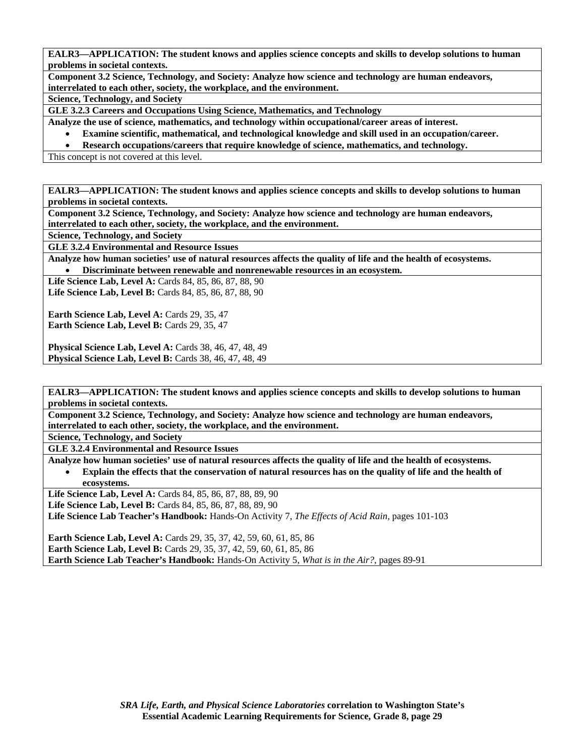**Component 3.2 Science, Technology, and Society: Analyze how science and technology are human endeavors, interrelated to each other, society, the workplace, and the environment.** 

**Science, Technology, and Society** 

**GLE 3.2.3 Careers and Occupations Using Science, Mathematics, and Technology** 

**Analyze the use of science, mathematics, and technology within occupational/career areas of interest.** 

• **Examine scientific, mathematical, and technological knowledge and skill used in an occupation/career.** 

• **Research occupations/careers that require knowledge of science, mathematics, and technology.** 

This concept is not covered at this level.

**EALR3—APPLICATION: The student knows and applies science concepts and skills to develop solutions to human problems in societal contexts.** 

**Component 3.2 Science, Technology, and Society: Analyze how science and technology are human endeavors, interrelated to each other, society, the workplace, and the environment.** 

**Science, Technology, and Society** 

**GLE 3.2.4 Environmental and Resource Issues** 

**Analyze how human societies' use of natural resources affects the quality of life and the health of ecosystems.** 

• **Discriminate between renewable and nonrenewable resources in an ecosystem.** 

**Life Science Lab, Level A: Cards 84, 85, 86, 87, 88, 90 Life Science Lab, Level B:** Cards 84, 85, 86, 87, 88, 90

Earth Science Lab, Level A: Cards 29, 35, 47 Earth Science Lab, Level B: Cards 29, 35, 47

**Physical Science Lab, Level A: Cards 38, 46, 47, 48, 49 Physical Science Lab, Level B: Cards 38, 46, 47, 48, 49** 

**EALR3—APPLICATION: The student knows and applies science concepts and skills to develop solutions to human problems in societal contexts.** 

**Component 3.2 Science, Technology, and Society: Analyze how science and technology are human endeavors, interrelated to each other, society, the workplace, and the environment.** 

**Science, Technology, and Society** 

**GLE 3.2.4 Environmental and Resource Issues** 

**Analyze how human societies' use of natural resources affects the quality of life and the health of ecosystems.** 

• **Explain the effects that the conservation of natural resources has on the quality of life and the health of ecosystems.** 

Life Science Lab, Level A: Cards 84, 85, 86, 87, 88, 89, 90

**Life Science Lab, Level B:** Cards 84, 85, 86, 87, 88, 89, 90

**Life Science Lab Teacher's Handbook:** Hands-On Activity 7, *The Effects of Acid Rain,* pages 101-103

**Earth Science Lab, Level A: Cards 29, 35, 37, 42, 59, 60, 61, 85, 86 Earth Science Lab, Level B:** Cards 29, 35, 37, 42, 59, 60, 61, 85, 86 **Earth Science Lab Teacher's Handbook:** Hands-On Activity 5, *What is in the Air?,* pages 89-91